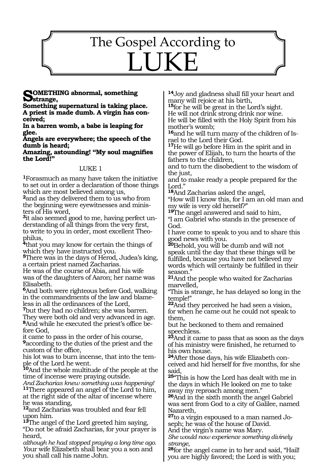# 1273 The Gospel According to LUKE

#### **Something abnormal, something strange,**

**Something supernatural is taking place. A priest is made dumb. A virgin has conceived;**

**In a barren womb, a babe is leaping for glee.**

**Angels are everywhere; the speech of the dumb is heard;**

**Amazing, astounding! "My soul magnifies the Lord!"**

### LUKE 1

**<sup>1</sup>**Forasmuch as many have taken the initiative to set out in order a declaration of those things which are most believed among us,

<sup>2</sup>and as they delivered them to us who from the beginning were eyewitnesses and ministers of His word,

**3**it also seemed good to me, having perfect understanding of all things from the very first, to write to you in order, most excellent Theophilus,

**<sup>4</sup>**that you may know for certain the things of which they have instructed you.

**<sup>5</sup>**There was in the days of Herod, Judea's king, a certain priest named Zacharias.

He was of the course of Abia, and his wife was of the daughters of Aaron; her name was Elisabeth.

**<sup>6</sup>**And both were righteous before God, walking in the commandments of the law and blameless in all the ordinances of the Lord,

**<sup>7</sup>**but they had no children; she was barren. They were both old and very advanced in age. **<sup>8</sup>**And while he executed the priest's office be- fore God,

it came to pass in the order of his course, **<sup>9</sup>**according to the duties of the priest and the

custom of the office,<br>his lot was to burn incense, that into the temhis lot was to burn incense, that into the tem- ple of the Lord he went.

**<sup>10</sup>**And the whole multitude of the people at the time of incense were praying outside.

*And Zacharias knew something was happening!* **<sup>11</sup>**There appeared an angel of the Lord to him, at the right side of the altar of incense where he was standing,

**<sup>12</sup>**and Zacharias was troubled and fear fell upon him.

**<sup>13</sup>**The angel of the Lord greeted him saying, "Do not be afraid Zacharias, for your prayer is heard,

*although he had stopped praying a long time ago. Y*our wife Elizabeth shall bear you a son and you shall call his name John.

**<sup>14</sup>**Joy and gladness shall fill your heart and many will rejoice at his birth,

**<sup>15</sup>**for he will be great in the Lord's sight. He will not drink strong drink nor wine. He will be filled with the Holy Spirit from his mother's womb;

**16**and he will turn many of the children of Israel to the Lord their God.

**<sup>17</sup>**He will go before Him in the spirit and in the power of Elijah, to turn the hearts of the fathers to the children,

and to turn the disobedient to the wisdom of the just,

and to make ready a people prepared for the Lord."

**<sup>18</sup>**And Zacharias asked the angel,

"How will I know this, for I am an old man and my wife is very old herself?"

**<sup>19</sup>**The angel answered and said to him, "I am Gabriel who stands in the presence of God.

I have come to speak to you and to share this good news with you.

**<sup>20</sup>**Behold, you will be dumb and will not speak until the day that these things will be fulfilled, because you have not believed my words which will certainly be fulfilled in their season."

**<sup>21</sup>**And the people who waited for Zacharias marvelled,

"This is strange, he has delayed so long in the temple!"

**<sup>22</sup>**And they perceived he had seen a vision, for when he came out he could not speak to them,

but he beckoned to them and remained speechless.

**<sup>23</sup>**And it came to pass that as soon as the days of his ministry were finished, he returned to his own house.

**24**After those days, his wife Elizabeth conceived and hid herself for five months, for she said,

**<sup>25</sup>**"This is how the Lord has dealt with me in the days in which He looked on me to take away my reproach among men."

**<sup>26</sup>**And in the sixth month the angel Gabriel was sent from God to a city of Galilee, named Nazareth,

**<sup>27</sup>**to a virgin espoused to a man named Jo- seph; he was of the house of David.

And the virgin's name was Mary.

*She would now experience something divinely strange,*

**<sup>28</sup>**for the angel came in to her and said, "Hail! you are highly favored; the Lord is with you;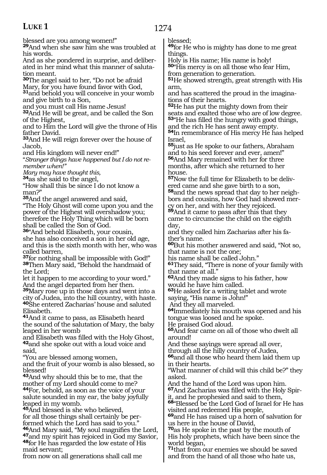1274

blessed are you among women!"

**<sup>29</sup>**And when she saw him she was troubled at his words.

And as she pondered in surprise, and deliberated in her mind what this manner of salutation meant.

**<sup>30</sup>**The angel said to her, "Do not be afraid

Mary, for you have found favor with God,

**<sup>31</sup>**and behold you will conceive in your womb and give birth to a Son,

and you must call His name Jesus!

**<sup>32</sup>**And He will be great, and be called the Son of the Highest,

and to Him the Lord will give the throne of His father David.

**<sup>33</sup>**And He will reign forever over the house of Jacob,

and His kingdom will never end!"

"*Stranger things have happened but I do not remember when!"* 

*Mary may have thought this,* 

**<sup>34</sup>**as she said to the angel,

"How shall this be since I do not know a man?"

**<sup>35</sup>**And the angel answered and said,

"The Holy Ghost will come upon you and the power of the Highest will overshadow you; therefore the Holy Thing which will be born shall be called the Son of God.

**<sup>36</sup>**"And behold Elisabeth, your cousin, she has also conceived a son in her old age, and this is the sixth month with her, who was called barren,

**<sup>37</sup>**for nothing shall be impossible with God!" **<sup>38</sup>**Then Mary said, "Behold the handmaid of the Lord;

let it happen to me according to your word." And the angel departed from her then.

**<sup>39</sup>**Mary rose up in those days and went into a city of Judea, into the hill country, with haste. **<sup>40</sup>**She entered Zacharias' house and saluted Elisabeth.

**<sup>41</sup>**And it came to pass, as Elisabeth heard the sound of the salutation of Mary, the baby leaped in her womb

and Elisabeth was filled with the Holy Ghost, **<sup>42</sup>**and she spoke out with a loud voice and said,

"You are blessed among women,

and the fruit of your womb is also blessed, so blessed!

**<sup>43</sup>**And why should this be to me, that the mother of my Lord should come to me?

**<sup>44</sup>**For, behold, as soon as the voice of your salute sounded in my ear, the baby joyfully leaped in my womb.

**<sup>45</sup>**And blessed is she who believed, for all those things shall certainly be performed which the Lord has said to you."<br>**46**And Mary said, "My soul magnifies the Lord, **<sup>47</sup>and my spirit has rejoiced in God my Savior, <sup>48</sup>for He has regarded the low estate of His** maid servant;

from now on all generations shall call me

blessed;

**<sup>49</sup>**for He who is mighty has done to me great things.

Holy is His name; His name is holy! **50**"His mercy is on all those who fear Him, from generation to generation.

**<sup>51</sup>**He showed strength, great strength with His arm,

and has scattered the proud in the imaginations of their hearts.

**<sup>52</sup>**He has put the mighty down from their seats and exalted those who are of low degree. **<sup>53</sup>**"He has filled the hungry with good things,

and the rich He has sent away empty. **<sup>54</sup>**In remembrance of His mercy He has helped Israel,

**<sup>55</sup>**just as He spoke to our fathers, Abraham and to his seed forever and ever, amen!" **<sup>56</sup>**And Mary remained with her for three months, after which she returned to her house.

**57**Now the full time for Elizabeth to be delivered came and she gave birth to a son,

**58**and the news spread that day to her neighbors and cousins, how God had showed mercy on her, and with her they rejoiced.

**<sup>59</sup>**And it came to pass after this that they came to circumcise the child on the eighth day,

and they called him Zacharias after his father's name.

**<sup>60</sup>**But his mother answered and said, "Not so, that name is not the one;

his name shall be called John."

**<sup>61</sup>**They said, "There is none of your family with that name at all."

**<sup>62</sup>**And they made signs to his father, how would he have him called.

**<sup>63</sup>**He asked for a writing tablet and wrote saying, "His name is John!"

And they all marveled.

**<sup>64</sup>**Immediately his mouth was opened and his tongue was loosed and he spoke.

He praised God aloud.

**<sup>65</sup>**And fear came on all of those who dwelt all around!

And these sayings were spread all over,

through all the hilly country of Judea,

**<sup>66</sup>**and all those who heard them laid them up in their hearts.

"What manner of child will this child be?" they asked.

And the hand of the Lord was upon him.

**67**And Zacharias was filled with the Holy Spirit, and he prophesied and said to them,

**<sup>68</sup>**"Blessed be the Lord God of Israel for He has visited and redeemed His people,

**<sup>69</sup>**and He has raised up a horn of salvation for us here in the house of David,

**<sup>70</sup>**as He spoke in the past by the mouth of His holy prophets, which have been since the world began,

**<sup>71</sup>**that from our enemies we should be saved and from the hand of all those who hate us,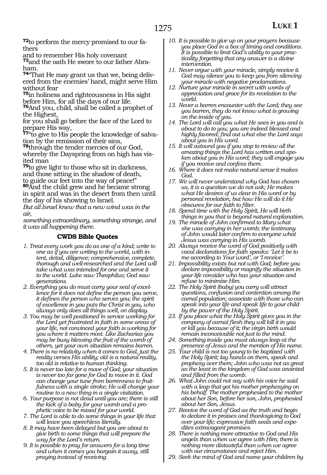**72**to perform the mercy promised to our fathers

and to remember His holy covenant

**73**and the oath He swore to our father Abraham.

**74**"That He may grant us that we, being delivered from the enemies' hand, might serve Him without fear

**<sup>75</sup>**in holiness and righteousness in His sight before Him, for all the days of our life.

**<sup>76</sup>**And you, child, shall be called a prophet of the Highest,

for you shall go before the face of the Lord to prepare His way,

**77**"to give to His people the knowledge of salvation by the remission of their sins,

**<sup>78</sup>**through the tender mercies of our God, whereby the Dayspring from on high has visited man

**<sup>79</sup>**to give light to those who sit in darkness, and those sitting in the shadow of death, to guide our feet into the way of peace!"

**<sup>80</sup>**And the child grew and he became strong in spirit and was in the desert from then until the day of his showing to Israel.

*But all Israel knew that a new wind was in the air,*

*something extraordinary, something strange, and it was all happening there.*

- *1. Treat every work you do as one of a kind; write to one as if you are writing to the world, with intent, detail, diligence; comprehensive, complete, thorough and well-researched and the Lord will take what was intended for one and serve it to the world. Luke saw Theophilus; God saw generations.*
- *2. Everything you do must carry your seal of excellence for it does not define the person you serve, it defines the person who serves you; the spirit of excellence in you puts the Christ in you, who always only does all things well, on display.*
- *3. You may be well positioned in service working for the Lord yet frustrated in faith in some areas of your life, not convinced your faith is working for you where it matters most. Like Zacharias you may be busy blessing the fruit of the womb of others, yet your own situation remains barren.*
- *4. There is no relativity when it comes to God, just the reality verses His ability; old is a natural reality, too old is relative to human thinking.*
- *5. It is never too late for a move of God; your situation is never too far gone for God to move in it. God can change your tune from barrenness to fruitfulness with a single stroke; He will change your routine to a new thing in a single visitation.*
- *6. Your purpose is not dead until you are; there is still the kick of a baby for your womb and a prophetic voice to be raised for your world.*
- *7. The Lord is able to do some things in your life that will leave you speechless literally.*
- *8. It may have been delayed but you are about to give birth to some things that will prepare the way for the Lord's return.*
- *9. It is possible to pray for answers for a long time and when it comes you bargain it away, still praying instead of receiving.*
- *10. It is possible to give up on your prayers because you place God in a box of timing and conditions. It is possible to limit God's ability to your practicality forgetting that any answer is a divine intervention.*
- *11. Never argue with your miracle, simply receive it. God may silence you to keep you from silencing your miracle with negative proclamations.*
- *12. Nurture your miracle in secret with words of appreciation and grace for its revelation to the world.*
- *13. Never a barren encounter with the Lord; they see you barren, they do not know what is growing on the inside of you.*
- *14. The Lord will call you what He sees in you and is about to do to you; you are indeed blessed and highly favored; find out what else the Lord says about you in His word.*
- *15. It will astound you if you stop to review all the amazing things the Lord has written and spoken about you in His word; they will engage you if you receive and confess them.*
- *16. Where it does not make natural sense it makes God.*
- *17. We will never understand why God has chosen us, it is a question we do not ask; He makes what He desires of us clear in His word or by personal revelation, but how He will do it He obscures for our faith to filter.*
- *18. Spend time with the Holy Spirit, He will birth things in you that is beyond natural explanation.*
- *19. The miracle of John confirmed to Mary what she was carrying in her womb; the testimony of John would later confirm to everyone what Jesus was carrying in His womb.*
- *20. Always receive the word of God positively with vocal declarations for faith speaks: 'Let it be to me according to Your word', or 'I receive'.*
- *21. Impossibility exists but not with God; before you declare impossibility or magnify the situation in your life consider who has your situation and refuse to minimize Him.*
- *22. The Holy Spirit (baby) you carry will attract questions, confusion and contention among the carnal population; associate with those who can speak into your life and speak life to your child by the power of the Holy Spirit.*
- *23. If you place what the Holy Spirit gives you in the company of carnal flesh they will kill it in you or kill you because of it; the virgin birth would remain inconceivable not just to the mind.*
- *24. Something inside you must always leap at the presence of Jesus and the mention of His name.*
- *25. Your child is not too young to be baptized with the Holy Spirit; lay hands on them, speak and prophesy over them; John who was not as great as the least in the kingdom of God was anointed and filled from the womb.*
- *26. What John could not say with his voice he said with a leap that got his mother prophesying on his behalf. The mother prophesied to the mother about her Son, before her son, John, prophesied about her Son, Jesus.*
- *27. Receive the word of God as the truth and begin to declare it in praises and thanksgiving to God over your life; expressive faith seals and expedites extravagant promises.*
- *28. There is nothing more attractive to God and His angels than when we agree with Him; there is nothing more distasteful than when we agree with our circumstance and reject Him.*
- *29. Seek the mind of God and name your children by*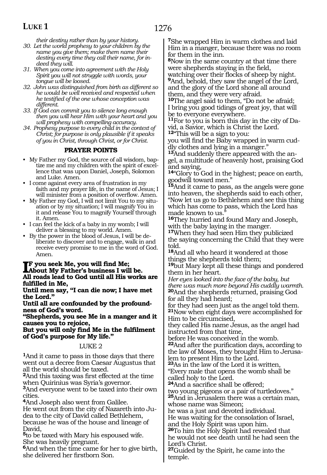### 1276

### **LUKE 1**

*their destiny rather than by your history.* 

- *30. Let the world prophesy to your children by the name you give them; make them name their destiny every time they call their name, for indeed they will.*
- *31. When you come into agreement with the Holy Spirit you will not struggle with words, your tongue will be loosed.*
- *32. John was distinguished from birth as different so he would be well received and respected when he testified of the one whose conception was different.*
- *33. If God can commit you to silence long enough then you will hear Him with your heart and you will prophesy with compelling accuracy.*
- *34. Prophesy purpose to every child in the context of Christ; for purpose is only plausible if it speaks of you in Christ, through Christ, or for Christ.*

### **PRAYER POINTS**

- My Father my God, the source of all wisdom, baptize me and my children with the spirit of excellence that was upon Daniel, Joseph, Solomon and Luke. Amen.
- I come against every area of frustration in my faith and my prayer life, in the name of Jesus; I will minister from a position of overflow. Amen.
- My Father my God, I will not limit You to my situation or by my situation; I will magnify You in it and release You to magnify Yourself through it. Amen.
- I can feel the kick of a baby in my womb; I will deliver a blessing to my world. Amen.
- By the power in the blood of Jesus, I will be deliberate to discover and to engage, walk in and receive every promise to me in the word of God. Amen.

#### **IF** you seek Me, you will find Me;<br>About My Father's business I will **About My Father's business I will be. All roads lead to God until all His works are fulfilled in Me,**

**Until men say, "I can die now; I have met the Lord."** 

**Until all are confounded by the profound- ness of God's word.** 

**"Shepherds, you see Me in a manger and it causes you to rejoice,** 

**But you will only find Me in the fulfilment of God's purpose for My life."**

### LUKE 2

**<sup>1</sup>**And it came to pass in those days that there went out a decree from Caesar Augustus that all the world should be taxed.

**<sup>2</sup>**And this taxing was first effected at the time when Quirinius was Syria's governor.

**<sup>3</sup>**And everyone went to be taxed into their own cities.

**<sup>4</sup>**And Joseph also went from Galilee.

He went out from the city of Nazareth into Judea to the city of David called Bethlehem, because he was of the house and lineage of David,

**<sup>5</sup>**to be taxed with Mary his espoused wife. She was heavily pregnant.

**<sup>6</sup>**And when the time came for her to give birth, she delivered her firstborn Son.

**<sup>7</sup>**She wrapped Him in warm clothes and laid Him in a manger, because there was no room for them in the inn.

**<sup>8</sup>**Now in the same country at that time there were shepherds staying in the field,<br>watching over their flocks of sheep by night.

**9**And, behold, they saw the angel of the Lord, and the glory of the Lord shone all around them, and they were very afraid.

**<sup>10</sup>**The angel said to them, "Do not be afraid; I bring you good tidings of great joy, that will be to everyone everywhere.

**<sup>11</sup>**For to you is born this day in the city of Da- vid, a Savior, which is Christ the Lord. **<sup>12</sup>**"This will be a sign to you:

you will find the Baby wrapped in warm cud- dly clothes and lying in a manger."

**<sup>13</sup>**And suddenly there appeared with the an- gel, a multitude of heavenly host, praising God and saying,

**<sup>14</sup>**"Glory to God in the highest; peace on earth, goodwill toward men."

**<sup>15</sup>**And it came to pass, as the angels were gone into heaven, the shepherds said to each other, "Now let us go to Bethlehem and see this thing which has come to pass, which the Lord has made known to us."

**<sup>16</sup>**They hurried and found Mary and Joseph, with the baby laying in the manger.

**<sup>17</sup>**When they had seen Him they publicized the saying concerning the Child that they were told.

**<sup>18</sup>**And all who heard it wondered at those things the shepherds told them;

**<sup>19</sup>**but Mary kept all these things and pondered them in her heart.

*Her eyes looked into the face of the baby, but there was much more beyond His cuddly warmth.*  **<sup>20</sup>**And the shepherds returned, praising God for all they had heard;

for they had seen just as the angel told them. **<sup>21</sup>**Now when eight days were accomplished for Him to be circumcised,

they called His name Jesus, as the angel had instructed from that time,

before He was conceived in the womb.

**<sup>22</sup>**And after the purification days, according to the law of Moses, they brought Him to Jerusalem to present Him to the Lord.

**<sup>23</sup>**As in the law of the Lord it is written, "Every male that opens the womb shall be called holy to the Lord.

**<sup>24</sup>**And a sacrifice shall be offered; two young pigeons or a pair of turtledoves." **<sup>25</sup>**And in Jerusalem there was a certain man,

whose name was Simeon;

he was a just and devoted individual. He was waiting for the consolation of Israel, and the Holy Spirit was upon him.

**<sup>26</sup>**To him the Holy Spirit had revealed that he would not see death until he had seen the Lord's Christ.

**<sup>27</sup>**Guided by the Spirit, he came into the temple.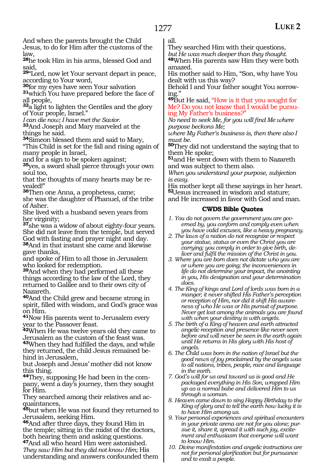And when the parents brought the Child Jesus, to do for Him after the customs of the

law,

**<sup>28</sup>**he took Him in his arms, blessed God and said,

**<sup>29</sup>**"Lord, now let Your servant depart in peace,

according to Your word,<br>**30** for my eyes have seen Your salvation

**31**which You have prepared before the face of all people,

**<sup>32</sup>**a light to lighten the Gentiles and the glory of Your people, Israel."

*I can die now; I have met the Savior.*

**<sup>33</sup>**And Joseph and Mary marveled at the things he said.

**<sup>34</sup>**Simeon blessed them and said to Mary,

"This Child is set for the fall and rising again of many people in Israel,

and for a sign to be spoken against;

**<sup>35</sup>**yes, a sword shall pierce through your own soul too,

that the thoughts of many hearts may be revealed!"

**<sup>36</sup>**Then one Anna, a prophetess, came; she was the daughter of Phanuel, of the tribe of Asher.

She lived with a husband seven years from her virginity;

**<sup>37</sup>**she was a widow of about eighty-four years. She did not leave from the temple, but served God with fasting and prayer night and day. **<sup>38</sup>**And in that instant she came and likewise gave thanks,

and spoke of Him to all those in Jerusalem who looked for redemption.

**<sup>39</sup>**And when they had performed all these things according to the law of the Lord, they returned to Galilee and to their own city of Nazareth.

**<sup>40</sup>**And the Child grew and became strong in spirit, filled with wisdom, and God's grace was on Him.

**<sup>41</sup>**Now His parents went to Jerusalem every year to the Passover feast.

**<sup>42</sup>**When He was twelve years old they came to Jerusalem as the custom of the feast was. **<sup>43</sup>**When they had fulfilled the days, and while they returned, the child Jesus remained behind in Jerusalem,

but Joseph and Jesus' mother did not know this thing.

**44**They, supposing He had been in the company, went a day's journey, then they sought for Him.

They searched among their relatives and acquaintances,

**<sup>45</sup>**but when He was not found they returned to Jerusalem, seeking Him.

**<sup>46</sup>**And after three days, they found Him in the temple; sitting in the midst of the doctors, both hearing them and asking questions.

**<sup>47</sup>**And all who heard Him were astonished. *They saw Him but they did not know Him;* His understanding and answers confounded them all.

They searched Him with their questions,

*but He was much deeper than they thought.* 

**<sup>48</sup>**When His parents saw Him they were both amazed.

His mother said to Him, "Son, why have You dealt with us this way?

Behold I and Your father sought You sorrowing."

**<sup>49</sup>**But He said, "How is it that you sought for Me? Do you not know that I would be pursuing My Father's business?"

*No need to seek Me, for you will find Me where purpose beckons Me;*

*where My Father's business is, then there also I must be.*

**<sup>50</sup>**They did not understand the saying that to them He spoke;

**<sup>51</sup>**and He went down with them to Nazareth and was subject to them also.

*When you understand your purpose, subjection is easy.* 

His mother kept all these sayings in her heart. **<sup>52</sup>**Jesus increased in wisdom and stature;

and He increased in favor with God and man.

### **CWDS Bible Quotes**

*1. You do not govern the government you are governed by, you conform and comply even when you have valid excuses, like a heavy pregnancy.*

*2. The laws of a nation do not recognize or respect your statue, status or even the Christ you are carrying; you comply in order to give birth, deliver and fulfil the mission of the Christ in you.*

*3. Where you are born does not dictate who you are or where you are going; the inconveniences in life do not determine your impact, the anointing in you, His designation and your determination does.*

*4. The King of kings and Lord of lords was born in a manger; it never shifted His Father's perception or reception of Him, nor did it shift His awareness of who He was or His pursuit of purpose. Never get lost among the animals you are found with when your destiny is with angels.*

*5. The birth of a King of heaven and earth attracted angelic reception and presence like never seen before and will never be seen in the earth again until He returns in His glory with His host of angels.*

*6. The Child was born in the nation of Israel but the good news of joy proclaimed by the angels was to all nations, tribes, people, race and language in the earth.*

*7. God's will for us and toward us is good and He packaged everything in His Son, wrapped Him up as a normal babe and delivered Him to us through a woman.*

*8. Heaven came down to sing Happy Birthday to the King of glory and to tell the earth how lucky it is to have Him among us.*

*9. Your personal experiences and spiritual encounters in your private arena are not for you alone; pursue it, share it, spread it with such joy, excitement and enthusiasm that everyone will want to know Him.*

*10. Divine manifestation and angelic instructions are not for personal glorification but for pursuance and to exalt a people.*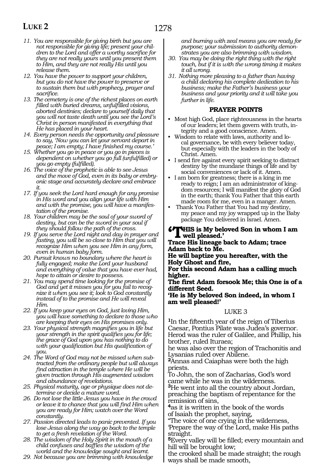- *11. You are responsible for giving birth but you are not responsible for giving life; present your children to the Lord and offer a worthy sacrifice for they are not really yours until you present them to Him, and they are not really His until you release them.*
- *12. You have the power to support your children, but you do not have the power to preserve or to sustain them but with prophecy, prayer and sacrifice.*
- *13. The cemetery is one of the richest places on earth filled with buried dreams, unfulfilled visions, aborted destinies; declare to yourself daily that you will not taste death until you see the Lord's Christ in person manifested in everything that He has placed in your heart.*
- *14. Every person needs the opportunity and pleasure to say, 'Now you can let your servant depart in peace; I am empty; I have finished my course.'*
- *15. Whether you go in peace or you go in pieces is dependent on whether you go full (unfulfilled) or you go empty (fulfilled).*
- *16. The voice of the prophetic is able to see Jesus and the move of God, even in its baby or embryonic stage and accurately declare and embrace it.*
- *17. If you seek the Lord hard enough for any promise in His word and you align your life with Him and with the promise, you will have a manifestation of the promise.*
- *18. Your children may be the soul of your sword of destiny, but can be the sword in your soul if they should follow the path of the cross.*
- *19. If you serve the Lord night and day in prayer and fasting, you will be so close to Him that you will recognize Him when you see Him in any form, even in human baby form.*
- *20. Pursuit knows no boundary where the heart is fully engaged; make the Lord your husband and everything of value that you have ever had, hope to attain or desire to possess.*
- *21. You may spend time looking for the promise of God and yet it misses you for you fail to recognize it when you see it; look to God constantly instead of to the promise and He will reveal Him.*
- *22. If you keep your eyes on God, just loving Him, you will have something to declare to those who are keeping their eyes on His promises only.*
- *23. Your physical strength magnifies you in life but your strength in the spirit qualifies you for life; the grace of God upon you has nothing to do with your qualification but His qualification of you.*
- *24. The Word of God may not be missed when subtracted from the ordinary people but will always find attraction in the temple where He will be given traction through His augmented wisdom and abundance of revelations.*
- *25. Physical maturity, age or physique does not determine or decide a mature word.*
- *26. Do not lose the little Jesus you have in the crowd or leave it to chance that you will find Him when you are ready for Him; watch over the Word constantly.*
- *27. Passion directed leads to panic prevented. If you lose Jesus along the way go back to the temple to get a fresh revelation of the Word.*
- *28. The wisdom of the Holy Spirit in the mouth of a child confuses and baffles the wisdom of the world and the knowledge sought and learnt.*
- *29. Not because you are brimming with knowledge*

*and burning with zeal means you are ready for purpose; your submission to authority demonstrates you are also brimming with wisdom.*

- *30. You may be doing the right thing with the right touch, but if it is with the wrong timing it makes it all wrong.*
- *31. Nothing more pleasing to a father than having a child declaring his complete dedication to his business; make the Father's business your business and your priority and it will take you further in life.*

### **PRAYER POINTS**

- Most high God, place righteousness in the hearts of our leaders; let them govern with truth, integrity and a good conscience. Amen.
- Wisdom to relate with laws, authority and local governance, be with every believer today, but especially with the leaders in the body of Christ. Amen.
- I send fire against every spirit seeking to distract destiny by the mundane things of life and by social conveniences or lack of it. Amen.
- I am born for greatness; there is a king in me ready to reign; I am an administrator of kingdom resources; I will manifest the glory of God in the earth; thank You Father that this earth made room for me, even in a manger. Amen.
- Thank You Father that You had my destiny, my peace and my joy wrapped up in the Baby package You delivered in Israel. Amen.

#### **'This is My beloved Son in whom I am well pleased.'**

**Trace His lineage back to Adam; trace Adam back to Me.**

**He will baptize you hereafter, with the Holy Ghost and fire,**

**For this second Adam has a calling much higher.**

**The first Adam forsook Me; this One is of a different Seed.**

**'He is My beloved Son indeed, in whom I am well pleased!'**

### LUKE 3

**<sup>1</sup>**In the fifteenth year of the reign of Tiberius Caesar, Pontius Pilate was Judea's governor. Herod was the ruler of Galilee, and Phillip, his brother, ruled Ituraea;

he was also over the region of Trachonitis and Lysanias ruled over Abilene.

**<sup>2</sup>**Annas and Caiaphas were both the high priests.

To John, the son of Zacharias, God's word came while he was in the wilderness.

**<sup>3</sup>**He went into all the country about Jordan, preaching the baptism of repentance for the remission of sins,

**<sup>4</sup>**as it is written in the book of the words of Isaiah the prophet, saying,

"The voice of one crying in the wilderness, 'Prepare the way of the Lord, make His paths straight.

**<sup>5</sup>**Every valley will be filled; every mountain and hill will be brought low;

the crooked shall be made straight; the rough ways shall be made smooth,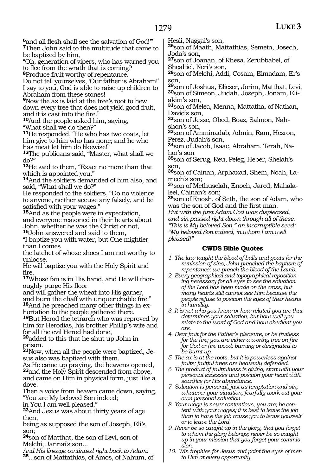**<sup>6</sup>**and all flesh shall see the salvation of God!'" **<sup>7</sup>**Then John said to the multitude that came to be baptized by him,

"Oh, generation of vipers, who has warned you to flee from the wrath that is coming?

**<sup>8</sup>**Produce fruit worthy of repentance.

Do not tell yourselves, 'Our father is Abraham!' I say to you, God is able to raise up children to Abraham from these stones!

**<sup>9</sup>**Now the ax is laid at the tree's root to hew down every tree that does not yield good fruit, and it is cast into the fire."

**<sup>10</sup>**And the people asked him, saying,

"What shall we do then?"

**<sup>11</sup>**He responded, "He who has two coats, let him give to him who has none; and he who has meat let him do likewise!"

**<sup>12</sup>**The publicans said, "Master, what shall we do?"

**<sup>13</sup>**He said to them, "Exact no more than that which is appointed you."

**<sup>14</sup>**And the soldiers demanded of him also, and said, "What shall we do?"

He responded to the soldiers, "Do no violence to anyone, neither accuse any falsely, and be satisfied with your wages."

**<sup>15</sup>**And as the people were in expectation, and everyone reasoned in their hearts about John, whether he was the Christ or not,

**<sup>16</sup>**John answered and said to them,

"I baptize you with water, but One mightier than I comes

the latchet of whose shoes I am not worthy to unloose.

He will baptize you with the Holy Spirit and fire.

**<sup>17</sup>**Whose fan is in His hand, and He will thor- oughly purge His floor

and will gather the wheat into His garner, and burn the chaff with unquenchable fire." **<sup>18</sup>**And he preached many other things in ex- hortation to the people gathered there.

**<sup>19</sup>**But Herod the tetrarch who was reproved by him for Herodias, his brother Phillip's wife and for all the evil Herod had done,

**<sup>20</sup>**added to this that he shut up John in prison.

**21**Now, when all the people were baptized, Jesus also was baptized with them.

As He came up praying, the heavens opened, **<sup>22</sup>**and the Holy Spirit descended from above, and came on Him in physical form, just like a dove.

Then a voice from heaven came down, saying, "You are My beloved Son indeed;

in You I am well pleased."

**<sup>23</sup>**And Jesus was about thirty years of age then,

being as supposed the son of Joseph, Eli's son;

**<sup>24</sup>**son of Matthat, the son of Levi, son of Melchi, Jannai's son...

*And His lineage continued right back to Adam:* **<sup>25</sup>**...son of Mattathias, of Amos, of Nahum, of

Hesli, Naggai's son,

**<sup>26</sup>**son of Maath, Mattathias, Semein, Josech, Joda's son,

**<sup>27</sup>**son of Joanan, of Rhesa, Zerubbabel, of Shealtiel, Neri's son,

**<sup>28</sup>**son of Melchi, Addi, Cosam, Elmadam, Er's son,

**<sup>29</sup>**son of Joshua, Eliezer, Jorim, Matthat, Levi, **30**son of Simeon, Judah, Joseph, Jonam, Eliakim's son,

**<sup>31</sup>**son of Melea, Menna, Mattatha, of Nathan, David's son,

**32**son of Jesse, Obed, Boaz, Salmon, Nahshon's son,

**<sup>33</sup>**son of Amminadab, Admin, Ram, Hezron, Perez, Judah's son,

**34**son of Jacob, Isaac, Abraham, Terah, Nahor's son

**<sup>35</sup>**son of Serug, Reu, Peleg, Heber, Shelah's son,

**36**son of Cainan, Arphaxad, Shem, Noah, Lamech's son;

**37**son of Methuselah, Enoch, Jared, Mahalaleel, Cainan's son;

**<sup>38</sup>**son of Enosh, of Seth, the son of Adam, who was the son of God and the first man.

*But with the first Adam God was displeased, and sin passed right down through all of these. "This is My beloved Son," an incorruptible seed; "My beloved Son indeed, in whom I am well pleased!"*

### **CWDS Bible Quotes**

*1. The law taught the blood of bulls and goats for the remission of sins, John preached the baptism of repentance; we preach the blood of the Lamb.*

*2. Every geographical and topographical repositioning necessary for all eyes to see the salvation of the Lord has been made on the cross, but many hearts still cannot see Him because the people refuse to position the eyes of their hearts in humility.*

*3. It is not who you know or how related you are that determines your salvation, but how well you relate to the word of God and how obedient you are.*

*4. Bear fruit for the Father's pleasure, or be fruitless for the fire; you are either a worthy tree on fire for God or fire wood; burning or designated to be burnt up.* 

*5. The ax is at the roots, but it is powerless against fruits; fruitful trees are heavenly defended.*

*6. The product of fruitfulness is giving; start with your personal excesses and position your heart with sacrifice for His abundance.* 

*7. Salvation is personal, just as temptation and sin; whatever your situation, fearfully work out your own personal salvation.*

*8. Your wage is never contentious, you are; be content with your wages; it is best to leave the job than to have the job cause you to leave yourself or to leave the Lord.*

*9. Never be so caught up in the glory, that you forget to whom the glory belongs; never be so caught up in your mission that you forget your commission.*

*10. Win trophies for Jesus and point the eyes of men to Him at every opportunity.*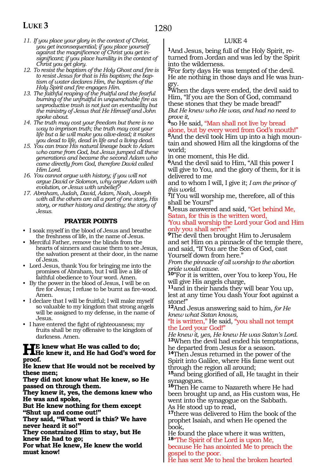- *11. If you place your glory in the context of Christ, you get inconsequential; if you place yourself against the magnificence of Christ you get insignificant; if you place humility in the context of Christ you get glory.*
- *12. To resist the baptism of the Holy Ghost and fire is to resist Jesus for that is His baptism; the baptism of water declares Him, the baptism of the Holy Spirit and fire engages Him.*
- *13. The faithful reaping of the fruitful and the fearful burning of the unfruitful in unquenchable fire as unproductive trash is not just an eventuality but the ministry of Jesus that He Himself and John spoke about.*
- *14. The truth may cost your freedom but there is no way to imprison truth; the truth may cost your life but a lie will make you alive-dead; it makes you dead to life, dead in life and a living dead.*
- *15. You can trace His natural lineage back to Adam who came from God, but Jesus jumped all these generations and became the second Adam who came directly from God, therefore David called Him Lord.*
- *16. You cannot argue with history; if you will not argue David or Solomon, why argue Adam with evolution, or Jesus with unbelief?*
- *17. Abraham, Judah, David, Adam, Noah, Joseph with all the others are all a part of one story, His story, or rather history and destiny; the story of Jesus.*

### **PRAYER POINTS**

- I soak myself in the blood of Jesus and breathe the freshness of life, in the name of Jesus.
- Merciful Father, remove the blinds from the hearts of sinners and cause them to see Jesus, the salvation present at their door, in the name of Jesus.
- Lord Jesus, thank You for bringing me into the promises of Abraham, but I will live a life of faithful obedience to Your word. Amen.
- By the power in the blood of Jesus, I will be on fire for Jesus; I refuse to be burnt as fire-wood. Amen.
- I declare that I will be fruitful; I will make myself so valuable to my kingdom that strong angels will be assigned to my defense, in the name of Jesus.
- I have entered the fight of righteousness; my fruits shall be my offensive to the kingdom of darkness. Amen.

### **HE** knew what He was called to do;<br>He knew it, and He had God's word for **proof.**

#### **He knew that He would not be received by these men;**

**They did not know what He knew, so He passed on through them.**

**They knew it, yes, the demons knew who He was and spoke,**

**But He knew nothing for them except "Shut up and come out!"**

**They said, "What word is this? We have never heard it so!"**

**They constrained Him to stay, but He knew He had to go;**

**For what He knew, He knew the world must know!**

### LUKE 4

**1**And Jesus, being full of the Holy Spirit, returned from Jordan and was led by the Spirit into the wilderness.

**<sup>2</sup>**For forty days He was tempted of the devil. He ate nothing in those days and He was hungry.

**<sup>3</sup>**When the days were ended, the devil said to Him, "If you are the Son of God, command these stones that they be made bread!" *But He knew who He was, and had no need to prove it,*

**<sup>4</sup>**so He said, "Man shall not live by bread alone, but by every word from God's mouth!"

**<sup>5</sup>**And the devil took Him up into a high moun- tain and showed Him all the kingdoms of the world;

in one moment, this He did.

**<sup>6</sup>**And the devil said to Him, "All this power I will give to You, and the glory of them, for it is delivered to me

and to whom I will, I give it; *I am the prince of this world.*

**<sup>7</sup>**If You will worship me, therefore, all of this shall be Yours!"

**<sup>8</sup>**Jesus answered and said, "Get behind Me, Satan, for this is the written word,

#### 'You shall worship the Lord your God and Him only you shall serve!'"

**<sup>9</sup>**The devil then brought Him to Jerusalem and set Him on a pinnacle of the temple there, and said, "If You are the Son of God, cast Yourself down from here."

*From the pinnacle of all worship to the abortion pride would cause.*

**<sup>10</sup>**"For it is written, over You to keep You, He will give His angels charge,

**<sup>11</sup>**and in their hands they will bear You up, lest at any time You dash Your foot against a stone!"

**<sup>12</sup>**And Jesus answering said to him*, for He knew what Satan knows,*

"It is written," He said, "you shall not tempt the Lord your God!"

*He knew it, yes, He knew He was Satan's Lord.* **<sup>13</sup>**When the devil had ended his temptations, he departed from Jesus for a season.

**<sup>14</sup>**Then Jesus returned in the power of the Spirit into Galilee, where His fame went out through the region all around;

**<sup>15</sup>**and being glorified of all, He taught in their synagogues.

**<sup>16</sup>**Then He came to Nazareth where He had been brought up and, as His custom was, He went into the synagogue on the Sabbath. As He stood up to read,

**<sup>17</sup>**there was delivered to Him the book of the prophet Isaiah, and when He opened the book,

He found the place where it was written, **<sup>18</sup>**"The Spirit of the Lord is upon Me,

because He has anointed Me to preach the gospel to the poor.

He has sent Me to heal the broken hearted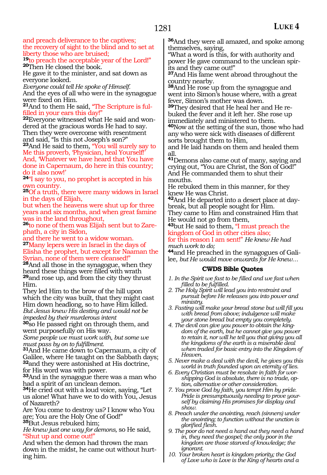and preach deliverance to the captives; the recovery of sight to the blind and to set at liberty those who are bruised;

**<sup>19</sup>**to preach the acceptable year of the Lord!" **<sup>20</sup>**Then He closed the book.

He gave it to the minister, and sat down as everyone looked.

*Everyone could tell He spoke of Himself.* And the eyes of all who were in the synagogue were fixed on Him.

**21**And to them He said, "The Scripture is fulfilled in your ears this day!"

**22**Everyone witnessed what He said and wondered at the gracious words He had to say. Then they were overcome with resentment and said, "Is this not Joseph's son?"

**<sup>23</sup>**And He said to them, "You will surely say to Me this proverb, 'Physician, heal Yourself!'

And, 'Whatever we have heard that You have done in Capernaum, do here in this country; do it also now!'

**<sup>24</sup>**"I say to you, no prophet is accepted in his own country.

**<sup>25</sup>**Of a truth, there were many widows in Israel in the days of Elijah,

but when the heavens were shut up for three years and six months, and when great famine was in the land throughout,

**26**to none of them was Elijah sent but to Zarephath, a city in Sidon,

and there he went to a widow woman. **<sup>27</sup>**Many lepers were in Israel in the days of Elisha the prophet, but except for Naaman the Syrian, none of them were cleansed!"

**<sup>28</sup>**And all those in the synagogue, when they heard these things were filled with wrath **<sup>29</sup>**and rose up, and from the city they thrust Him.

They led Him to the brow of the hill upon which the city was built, that they might cast Him down headlong, so to have Him killed. *But Jesus knew His destiny and would not be impeded by their murderous intent*

**<sup>30</sup>**so He passed right on through them, and went purposefully on His way.

*Some people we must work with, but some we must pass by on to fulfillment.*

**<sup>31</sup>**And He came down to Capernaum, a city of Galilee, where He taught on the Sabbath days; **<sup>32</sup>**and they were astonished at His doctrine, for His word was with power.

**<sup>33</sup>**And in the synagogue there was a man who had a spirit of an unclean demon.

**<sup>34</sup>**He cried out with a loud voice, saying, "Let us alone! What have we to do with You, Jesus of Nazareth?

Are You come to destroy us? I know who You are; You are the Holy One of God!" **<sup>35</sup>**But Jesus rebuked him;

*He knew just one way for demons,* so He said, "Shut up and come out!"

And when the demon had thrown the man down in the midst, he came out without hurting him.

**<sup>36</sup>**And they were all amazed, and spoke among themselves, saying,

"What a word is this, for with authority and power He gave command to the unclean spir- its and they came out!"

**<sup>37</sup>**And His fame went abroad throughout the country nearby.

**<sup>38</sup>**And He rose up from the synagogue and went into Simon's house where, with a great fever, Simon's mother was down.

**<sup>39</sup>**They desired that He heal her and He re- buked the fever and it left her. She rose up immediately and ministered to them.

**<sup>40</sup>**Now at the setting of the sun, those who had any who were sick with diseases of different sorts brought them to Him,

and He laid hands on them and healed them all.

**<sup>41</sup>**Demons also came out of many, saying and crying out, "You are Christ, the Son of God!" And He commanded them to shut their mouths.

He rebuked them in this manner, for they knew He was Christ.

**<sup>42</sup>**And He departed into a desert place at day- break, but all people sought for Him. They came to Him and constrained Him that He would not go from them,

**<sup>43</sup>**but He said to them, "I must preach the kingdom of God in other cities also; for this reason I am sent!" *He knew He had* 

*much work to do;*

**<sup>44</sup>**and He preached in the synagogues of Gali- lee, *but He would move onwards for He knew…*

- *1. In the Spirit we fast to be filled and we fast when filled to be fulfilled.*
- *2. The Holy Spirit will lead you into restraint and pursuit before He releases you into power and ministry.*
- *3. Fasting will make your bread stone but will fill you with bread from above; indulgence will make your stone bread but empty you completely.*
- *4. The devil can give you power to obtain the kingdom of the earth, but he cannot give you power to retain it, nor will he tell you that giving you all the kingdoms of the earth is a miserable deal when traded for basic entry into the Kingdom of Heaven.*
- *5. Never make a deal with the devil, he gives you this world in truth founded upon an eternity of lies.*
- *6. Every Christian must be resolute in faith for worshipping God is absolute, there is no trade, option, alternative or other consideration.*
- *7. You prove God by faith, you tempt Him by pride. Pride is presumptuously needing to prove yourself by claiming His promises for display and show.*
- *8. Preach under the anointing, reach (sinners) under the anointing; to function without the unction is glorified flesh.*
- *9. The poor do not need a hand out they need a hand in, they need the gospel; the only poor in the kingdom are those starved of knowledge; the ignorant.*
- *10. Your broken heart is kingdom priority; the God of Love who is Love is the King of hearts and a*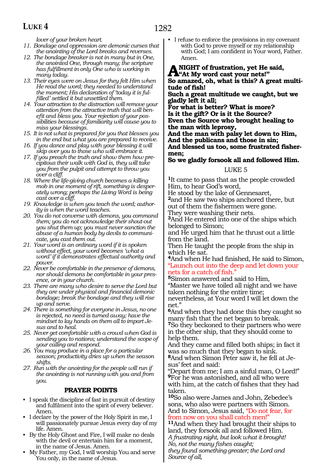*lover of your broken heart.*

- *11. Bondage and oppression are demonic curses that the anointing of the Lord breaks and reverses.*
- *12. The bondage breaker is not in many but in One, the anointed One, through many; the scripture has fulfillment in only One who is working in many today.*
- *13. Their eyes were on Jesus for they felt Him when He read the word; they needed to understand the moment; His declaration of 'today it is fulfilled' settled it but unsettled them.*
- *14. Your attraction to the distraction will remove your attention from the attractive truth that will benefit and bless you. Your rejection of your possibilities because of familiarity will cause you to miss your blessings.*
- *15. It is not what is prepared for you that blesses you in the end but what you are prepared to receive.*
- *16. If you dance and play with your blessing it will skip over you to those who will embrace it.*
- *17. If you preach the truth and show them how precipitous their walk with God is, they will take you from the pulpit and attempt to throw you over a cliff.*
- *18. Where the life-giving church becomes a killing mob in one moment of rift, something is desperately wrong; perhaps the Living Word is being cast over a cliff.*
- *19. Knowledge is when you teach the word; authority is when the word teaches.*
- *20. You do not converse with demons, you command them; you do not acknowledge their shout-out you shut them up; you must never sanction the abuse of a human body by devils to communicate, you cast them out.*
- *21. Your word is an ordinary word if it is spoken without effect, your word becomes 'what a word' if it demonstrates effectual authority and power.*
- *22. Never be comfortable in the presence of demons, nor should demons be comfortable in your presence, or in your church.*
- *23. There are many who desire to serve the Lord but they are under physical and financial demonic bondage; break the bondage and they will rise up and serve.*
- *24. There is something for everyone in Jesus, no one is rejected, no need is turned away; have the mindset to lay hands on them all to impart Jesus and to heal.*
- *25. Never get comfortable with a crowd when God is sending you to nations; understand the scope of your calling and respond.*
- *26. You may produce in a place for a particular season; productivity dries up when the season shifts.*
- *27. Run with the anointing for the people will run if the anointing is not running with you and from you.*

### **PRAYER POINTS**

- I speak the discipline of fast in pursuit of destiny and fulfilment into the spirit of every believer. Amen.
- I declare by the power of the Holy Spirit in me, I will passionately pursue Jesus every day of my life. Amen.
- By the Holy Ghost and Fire, I will make no deals with the devil or entertain him for a moment, in the name of Jesus. Amen.
- My Father, my God, I will worship You and serve You only, in the name of Jesus.

• I refuse to enforce the provisions in my covenant with God to prove myself or my relationship with God; I am confident in Your word, Father. Amen.

**A** NIGHT of frustration, yet He said,<br> **A** "At My word cast your nets!" **So amazed, oh, what is this? A great multitude of fish!**

**Such a great multitude we caught, but we gladly left it all;**

**For what is better? What is more? Is it the gift? Or is it the Source? Even the Source who brought healing to the man with leprosy,** 

**And the man with palsy let down to Him, And the publicans and those in sin; And blessed us too, some frustrated fishermen;**

**So we gladly forsook all and followed Him.**

### LUKE 5

**<sup>1</sup>**It came to pass that as the people crowded Him, to hear God's word,

He stood by the lake of Gennesaret,

**<sup>2</sup>**and He saw two ships anchored there, but out of them the fishermen were gone.

They were washing their nets.

**<sup>3</sup>**And He entered into one of the ships which belonged to Simon;

and He urged him that he thrust out a little from the land.

Then He taught the people from the ship in which He sat.

**<sup>4</sup>**And when He had finished, He said to Simon, "Launch out into the deep and let down your nets for a catch of fish."

**<sup>5</sup>**Simon answered and said to Him,

"Master we have toiled all night and we have taken nothing for the entire time;

nevertheless, at Your word I will let down the net."

**<sup>6</sup>**And when they had done this they caught so many fish that the net began to break. **<sup>7</sup>**So they beckoned to their partners who were in the other ship, that they should come to help them.

And they came and filled both ships; in fact it was so much that they began to sink.

**8**And when Simon Peter saw it, he fell at Jesus' feet and said:

"Depart from me; I am a sinful man, O Lord!" **<sup>9</sup>**For he was astonished, and all who were with him, at the catch of fishes that they had taken.

**<sup>10</sup>**So also were James and John, Zebedee's sons, who also were partners with Simon. And to Simon, Jesus said, "Do not fear, for from now on you shall catch men!"

**<sup>11</sup>**And when they had brought their ships to land, they forsook all and followed Him. *A frustrating night, but look what it brought! No, not the many fishes caught; they found something greater; the Lord and Source of all,*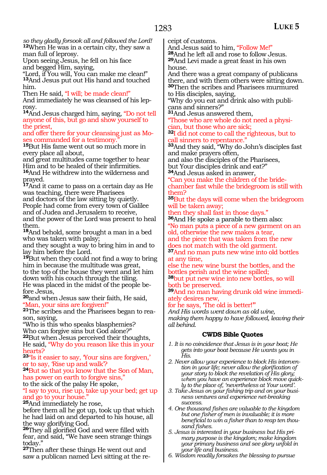*so they gladly forsook all and followed the Lord!* **<sup>12</sup>**When He was in a certain city, they saw a man full of leprosy.

Upon seeing Jesus, he fell on his face and begged Him, saying,

"Lord, if You will, You can make me clean!" **<sup>13</sup>**And Jesus put out His hand and touched him.

Then He said, "I will; be made clean!" And immediately he was cleansed of his lep-<br>rosy.

**<sup>14</sup>**And Jesus charged him, saying, "Do not tell anyone of this, but go and show yourself to the priest,

and offer there for your cleansing just as Mo- ses commanded for a testimony."

**<sup>15</sup>**But His fame went out so much more in every place all about,

and great multitudes came together to hear Him and to be healed of their infirmities. **<sup>16</sup>**And He withdrew into the wilderness and prayed.

**<sup>17</sup>**And it came to pass on a certain day as He was teaching, there were Pharisees and doctors of the law sitting by quietly. People had come from every town of Galilee and of Judea and Jerusalem to receive, and the power of the Lord was present to heal them.

**<sup>18</sup>**And behold, some brought a man in a bed who was taken with palsy;

and they sought a way to bring him in and to lay him before the Lord.

**<sup>19</sup>**But when they could not find a way to bring him in because the multitude was great, to the top of the house they went and let him down with his couch through the tiling. He was placed in the midst of the people be- fore Jesus,

**<sup>20</sup>**and when Jesus saw their faith, He said, "Man, your sins are forgiven!"

**<sup>21</sup>**The scribes and the Pharisees began to rea- son, saying,

"Who is this who speaks blasphemies?

Who can forgive sins but God alone?" **<sup>22</sup>**But when Jesus perceived their thoughts, He said, "Why do you reason like this in your hearts?

**<sup>23</sup>**"Is it easier to say, 'Your sins are forgiven,' or to say, Rise up and walk?

**<sup>24</sup>**But so that you know that the Son of Man, has power on earth to forgive sins,"

to the sick of the palsy He spoke, "I say to you, rise up, take up your bed; get up and go to your house.

**<sup>25</sup>**And immediately he rose,

before them all he got up, took up that which he had laid on and departed to his house, all the way glorifying God.

**<sup>26</sup>**They all glorified God and were filled with fear, and said, "We have seen strange things today."

**<sup>27</sup>**Then after these things He went out and saw a publican named Levi sitting at the receipt of customs.

And Jesus said to him, "Follow Me!"

**<sup>28</sup>**And he left all and rose to follow Jesus. **<sup>29</sup>**And Levi made a great feast in his own house.

And there was a great company of publicans there, and with them others were sitting down. **<sup>30</sup>**Then the scribes and Pharisees murmured to His disciples, saying,

"Why do you eat and drink also with publicans and sinners?"

**<sup>31</sup>**And Jesus answered them,

"Those who are whole do not need a physician, but those who are sick;

**<sup>32</sup>**I did not come to call the righteous, but to call sinners to repentance."

**<sup>33</sup>**And they said, "Why do John's disciples fast and make prayers often,

and also the disciples of the Pharisees, but Your disciples drink and eat?"

**<sup>34</sup>**And Jesus asked in answer,

Can you make the children of the bridechamber fast while the bridegroom is still with them?

**<sup>35</sup>**But the days will come when the bridegroom will be taken away;

then they shall fast in those days."

**<sup>36</sup>**And He spoke a parable to them also: "No man puts a piece of a new garment on an old, otherwise the new makes a tear,

and the piece that was taken from the new does not match with the old garment.

**<sup>37</sup>**And no man puts new wine into old bottles at any time,

else the new wine burst the bottles, and the bottles perish and the wine spilled;

**<sup>38</sup>**but put new wine into new bottles, so will both be preserved.

**<sup>39</sup>**And no man having drunk old wine immedi- ately desires new,

for he says, 'The old is better!'"

*And His words went down as old wine, making them happy to have followed, leaving their all behind.*

- *1. It is no coincidence that Jesus is in your boat; He gets into your boat because He wants you in His.*
- *2. Never allow your experience to block His intervention in your life; never allow the glorification of your story to block the revelation of His glory; when you have an experience block move quickly to the place of, 'nevertheless at Your word'.*
- *3. Take Jesus on your fishing trip and on your business ventures and experience net-breaking success.*
- *4. One thousand fishes are valuable to the kingdom but one fisher of men is invaluable; it is more beneficial to win a fisher than to reap ten thousand fishes.*
- *5. Jesus is interested in your business but His primary purpose is the kingdom; make kingdom your primary business and see glory unfold in your life and business.*
- *6. Wisdom readily forsakes the blessing to pursue*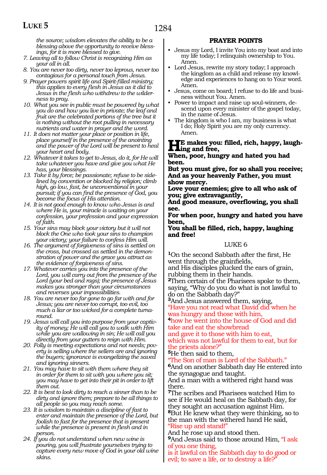*the source; wisdom elevates the ability to be a blessing above the opportunity to receive blessings, for it is more blessed to give.* 

- *7. Leaving all to follow Christ is recognizing Him as your all in all.*
- *8. You are never too dirty, never too leprous, never too contagious for a personal touch from Jesus.*
- *9. Prayer powers spirit life and Spirit-filled ministry; this applies to every flesh in Jesus as it did to Jesus in the flesh who withdrew to the wilderness to pray.*
- *10. What you see in public must be powered by what you do and how you live in private; the leaf and fruit are the celebrated portions of the tree but it is nothing without the root pulling in necessary nutrients and water in prayer and the word.*
- *11. It does not matter your place or position in life, place yourself in the presence of the anointing and the power of the Lord will be present to heal your heart and body.*
- *12. Whatever it takes to get to Jesus, do it, for He will take whatever you have and give you what He has, your blessings.*
- *13. Take it by force; be passionate; refuse to be sidelined by convention or blocked by religion; climb high, go low, fast, be unconventional in your pursuit; if you can find the presence of God, you become the focus of His attention.*
- *14. It is not good enough to know who Jesus is and where He is, your miracle is waiting on your confession, your profession and your expression of faith.*
- *15. Your sins may block your victory but it will not block the One who took your sins to champion your victory; your failure to confess Him will.*
- *16. The argument of forgiveness of sins is settled on the cross, but crossed as settled in the demonstration of power and the grace you attract as the evidence of forgiveness of sins.*
- *17. Whatever carries you into the presence of the Lord, you will carry out from the presence of the Lord (your bed and rags); the presence of Jesus makes you stronger than your circumstances and reverses your impossibilities.*
- *18. You are never too far gone to go far with and for Jesus; you are never too corrupt, too evil, too much a liar or too wicked for a complete turnaround.*
- *19. Jesus will call you into purpose from your captivity of money; He will call you to walk with Him while you are wallowing in sin; He will call you directly from your gutters to reign with Him.*
- *20. Folly is meeting expectations and not needs; poverty is selling where the sellers are and ignoring the buyers; ignorance is evangelizing the saved and ignoring sinners.*
- *21. You may have to sit with them where they sit in order for them to sit with you where you sit; you may have to get into their pit in order to lift them out.*
- *22. It is best to look dirty to reach a sinner than to be dirty and ignore them; prepare to be all things to all people so you may reach some.*
- *23. It is wisdom to maintain a discipline of fast to enter and maintain the presence of the Lord, but foolish to fast for the presence that is present while the presence is present in flesh and in person.*
- *24. If you do not understand when new wine is pouring, you will frustrate yourselves trying to capture every new move of God in your old wine skins.*

### **PRAYER POINTS**

- Jesus my Lord, I invite You into my boat and into my life today; I relinquish ownership to You. Amen.
- Lord Jesus, rewrite my story today; I approach the kingdom as a child and release my knowledge and experiences to hang on to Your word. Amen.
- Jesus, come on board; I refuse to do life and business without You. Amen.
- Power to impact and raise up soul-winners, descend upon every minister of the gospel today, in the name of Jesus.
- The kingdom is who I am, my business is what I do; Holy Spirit you are my only currency. Amen.

## **He makes you: filled, rich, happy, laugh-ing and free,**

#### **When, poor, hungry and hated you had been.**

**But you must give, for so shall you receive; And as your heavenly Father, you must show mercy.**

**Love your enemies; give to all who ask of you; give extravagantly,**

**And good measure, overflowing, you shall see.**

**For when poor, hungry and hated you have been,**

#### **You shall be filled, rich, happy, laughing and free!**

### LUKE 6

**<sup>1</sup>**On the second Sabbath after the first, He went through the grainfields,

and His disciples plucked the ears of grain, rubbing them in their hands.

**<sup>2</sup>**Then certain of the Pharisees spoke to them, saying, "Why do you do what is not lawful to do on the Sabbath day?"

**<sup>3</sup>**And Jesus answered them, saying, "Have you not read what David did when he was hungry and those with him,

**<sup>4</sup>**how he went into the house of God and did take and eat the showbread

and gave it to those with him to eat, which was not lawful for them to eat, but for the priests alone?"

**<sup>5</sup>**He then said to them,

The Son of man is Lord of the Sabbath."

**<sup>6</sup>**And on another Sabbath day He entered into the synagogue and taught.

And a man with a withered right hand was there.

**<sup>7</sup>**The scribes and Pharisees watched Him to see if He would heal on the Sabbath day, for they sought an accusation against Him. **<sup>8</sup>**But He knew what they were thinking, so to the man with the withered hand He said, "Rise up and stand!"

### And he rose up and stood then.

**<sup>9</sup>**And Jesus said to those around Him, "I ask of you one thing,

is it lawful on the Sabbath day to do good or evil; to save a life, or to destroy a life?"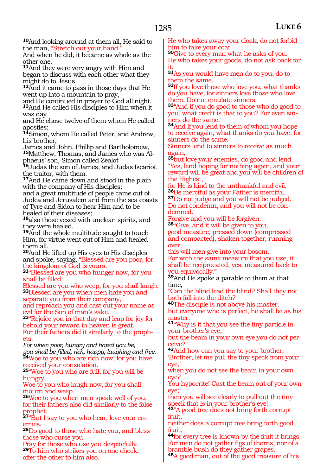**<sup>10</sup>**And looking around at them all, He said to the man, "Stretch out your hand."

And when he did, it became as whole as the other one.

**<sup>11</sup>**And they were very angry with Him and began to discuss with each other what they might do to Jesus.

**<sup>12</sup>**And it came to pass in those days that He went up into a mountain to pray,

and He continued in prayer to God all night. **<sup>13</sup>**And He called His disciples to Him when it

was day and He chose twelve of them whom He called apostles:

**<sup>14</sup>**Simon, whom He called Peter, and Andrew, his brother;

James and John, Phillip and Bartholomew,<br><sup>15</sup>Matthew, Thomas, and James who was Al-**<sup>15</sup>**Matthew, Thomas, and James who was Al- phaeus' son, Simon called Zealot

**<sup>16</sup>**Judas the son of James, and Judas Iscariot, the traitor, with them.

**<sup>17</sup>**And He came down and stood in the plain with the company of His disciples;

and a great multitude of people came out of Judea and Jerusalem and from the sea coasts of Tyre and Sidon to hear Him and to be healed of their diseases;

**<sup>18</sup>**also those vexed with unclean spirits, and they were healed.

**<sup>19</sup>**And the whole multitude sought to touch Him, for virtue went out of Him and healed them all.

**<sup>20</sup>**And He lifted up His eyes to His disciples and spoke, saying, "Blessed are you poor, for the kingdom of God is yours.

**<sup>21</sup>**"Blessed are you who hunger now, for you shall be filled.

Blessed are you who weep, for you shall laugh. **<sup>22</sup>**Blessed are you when men hate you and separate you from their company,

and reproach you and cast out your name as evil for the Son of man's sake.

**<sup>23</sup>**"Rejoice you in that day and leap for joy for behold your reward in heaven is great. For their fathers did it similarly to the prophets.

*For when poor, hungry and hated you be, you shall be filled, rich, happy, laughing and free.* **<sup>24</sup>**Woe to you who are rich now, for you have received your consolation.

**<sup>25</sup>**"Woe to you who are full, for you will be hungry.

Woe to you who laugh now, for you shall mourn and weep.

**<sup>26</sup>**Woe to you when men speak well of you, for their fathers also did similarly to the false prophet.

**27** But I say to you who hear, love your en-<br>emies.

**<sup>28</sup>**Do good to those who hate you, and bless those who curse you.

Pray for those who use you despitefully. **<sup>29</sup>**To him who strikes you on one cheek, offer the other to him also.

He who takes away your cloak, do not forbid him to take your coat.

**<sup>30</sup>**Give to every man what he asks of you. He who takes your goods, do not ask back for it.

**<sup>31</sup>**As you would have men do to you, do to them the same.

**<sup>32</sup>**If you love those who love you, what thanks do you have, for sinners love those who love them. Do not emulate sinners.

**<sup>33</sup>**''And if you do good to those who do good to you, what credit is that to you? For even sinners do the same.

**<sup>34</sup>**And if you lend to them of whom you hope to receive again, what thanks do you have, for sinners do the same.

Sinners lend to sinners to receive as much again,

**<sup>35</sup>**but love your enemies, do good and lend. "Yes, lend hoping for nothing again, and your reward will be great and you will be children of the Highest,

% for He is kind to the unthankful and evil.  $^{36}\mathrm{Be}$  merciful as your Father is merciful. **37**Do not judge and you will not be judged. Do not condemn, and you will not be condemned.

Forgive and you will be forgiven. **<sup>38</sup>**"Give, and it will be given to you,

good measure, pressed down (compressed and compacted), shaken together, running over;

this will men give into your bosom.

For with the same measure that you use, it shall be reciprocated, yes, measured back to you equivocally."

**<sup>39</sup>**And He spoke a parable to them at that time,

"Can the blind lead the blind? Shall they not both fall into the ditch?

**<sup>40</sup>**The disciple is not above his master, but everyone who is perfect, he shall be as his master.

**<sup>41</sup>**"Why is it that you see the tiny particle in your brother's eye,

but the beam in your own eye you do not perceive?

**<sup>42</sup>**And how can you say to your brother, 'Brother, let me pull the tiny speck from your eye,'

when you do not see the beam in your own eye?

You hypocrite! Cast the beam out of your own eye;

then you will see clearly to pull out the tiny peck that is in your brother's eye!

**<sup>43</sup>**"A good tree does not bring forth corrupt fruit,

neither does a corrupt tree bring forth good fruit,

**<sup>44</sup>**for every tree is known by the fruit it brings. For men do not gather figs of thorns, nor of a bramble bush do they gather grapes.

**<sup>45</sup>**A good man, out of the good treasure of his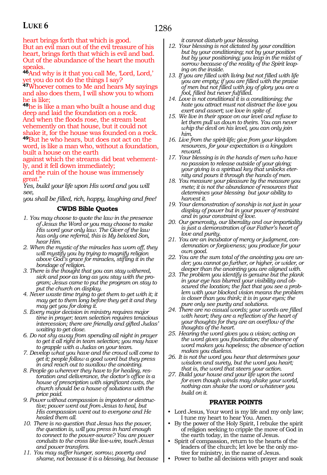1286

heart brings forth that which is good. But an evil man out of the evil treasure of his heart, brings forth that which is evil and bad. Out of the abundance of the heart the mouth speaks.

**<sup>46</sup>**And why is it that you call Me, 'Lord, Lord,' et you do not do the things I say?

**<sup>47</sup>**Whoever comes to Me and hears My sayings and also does them, I will show you to whom he is like;

**<sup>48</sup>**he is like a man who built a house and dug deep and laid the foundation on a rock. And when the floods rose, the stream beat vehemently on that house, but it could not shake it, for the house was founded on a rock. **<sup>49</sup>**But he who hears, but does not act on the word, is like a man who, without a foundation, built a house on the earth

against which the streams did beat vehemently, and it fell down immediately;

and the ruin of the house was immensely great."

*Yes, build your life upon His word and you will see,*

*you shall be filled, rich, happy, laughing and free!*

### **CWDS Bible Quotes**

- *1. You may choose to quote the law in the presence of Jesus the Word or you may choose to make His word your only law. The Giver of the law has only one referral, this is My beloved Son, hear Him.*
- *2. When the mystic of the miracles has worn off, they will mystify you by trying to magnify religion above God's grace for miracles, stifling it in the bondage of religion.*
- *3. There is the thought that you can stay withered, sick and poor as long as you stay with the program; Jesus came to put the program on stay to put the church on display.*
- *4. Never waste time trying to get them to get with it; it may get to them long before they get it and they may get you for doing it.*
- *5. Every major decision in ministry requires major time in prayer; team selection requires tenacious intercession; there are friendly and gifted Judas' waiting to get close.*
- *6. Do not shy away from spending all night in prayer to get it all right in team selection; you may have to grapple with a Judas on your team.*
- *7. Develop what you have and the crowd will come to get it; people follow a good word but they press in and reach out to swallow the anointing.*
- *8. People go wherever they have to for healing, restoration and deliverance, the doctor's office is a house of prescription with significant costs, the church should be a house of solutions with the price paid.*
- *9. Power without compassion is impotent or destructive; power went out from Jesus to heal, but His compassion went out to everyone and He healed them all.*
- *10. There is no question that Jesus has the power, the question is, will you press in hard enough to connect to the power-source? You are power conduits to the cross like live-wire, touch Jesus and power transfers.*
- *11. You may suffer hunger, sorrow, poverty and shame, not because it is a blessing, but because*

*it cannot disturb your blessing.*

- *12. Your blessing is not dictated by your condition but by your conditioning; not by your position but by your positioning; you leap in the midst of sorrow because of the reality of the Spirit leaping on the inside.*
- *13. If you are filled with living but not filled with life you are empty; if you are filled with the praise of men but not filled with joy of glory you are a fool, filled but never fulfilled.*
- *14. Love is not conditional it is a conditioning; the hate you attract must not distract the love you exert and assert; we love in spite of.*
- *15. We live in their space on our level and refuse to let them pull us down to theirs. You can never whip the devil on his level, you can only join him.*
- *16. Live from the spirit-life; give from your kingdom resources, for your expectation is a kingdom reward.*
- *17. Your blessing is in the hands of men who have no passion to release outside of your giving; your giving is a spiritual key that unlocks eternity and pours it through the hands of men.*
- *18. You measure your pleasure by the measure you mete; it is not the abundance of resources that determines your blessing but your ability to harvest it.*
- *19. Your demonstration of sonship is not just in your display of power but in your power of restraint and in your constraint of love.*
- *20. Our generosity, our liberality and our impartiality is just a demonstration of our Father's heart of love and purity.*
- *21. You are an incubator of mercy or judgment, condemnation or forgiveness; you produce for your own good.*
- *22. You are the sum total of the anointing you are under; you cannot go further, or higher, or wider, or deeper than the anointing you are aligned with.*
- *23. The problem you identify is genuine but the plank in your eye has blurred your visibility and obscured the location; the fact that you see a problem with your blocked vision means the problem is closer than you think; it is in your eyes; the pure only see purity and solutions.*
- *24. There are no casual words; your words are filled with heart; they are a reflection of the heart of your thoughts for they are an overflow of the thoughts of the heart.*
- *25. Hearing the word gives you a vision; acting on the word gives you foundation; the absence of word makes you hopeless; the absence of action makes you clueless.*
- *26. It is not the word you hear that determines your wisdom and surety, but the word you heart; that is, the word that steers your action.*
- *27. Build your house and your life upon the word for even though winds may shake your world, nothing can shake the word or whatever you build on it.*

### **PRAYER POINTS**

- Lord Jesus, Your word is my life and my only law; I tune my heart to hear You. Amen.
- By the power of the Holy Spirit, I rebuke the spirit of religion seeking to cripple the move of God in the earth today, in the name of Jesus.
- Spirit of compassion, return to the hearts of the leaders of the church; let love be the only motive for ministry, in the name of Jesus.
- Power to bathe all decisions with prayer and soak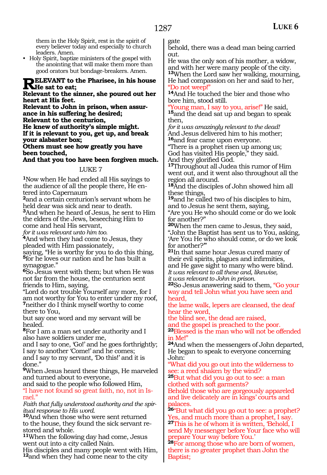them in the Holy Spirit, rest in the spirit of every believer today and especially to church leaders. Amen.

• Holy Spirit, baptize ministers of the gospel with the anointing that will make them more than good orators but bondage-breakers. Amen.

### **RELEVANT** to the Pharisee, in his house **He sat to eat;**

#### **Relevant to the sinner, she poured out her heart at His feet.**

**Relevant to John in prison, when assurance in his suffering he desired; Relevant to the centurion, He knew of authority's simple might. If it is relevant to you, get up, and break your alabaster box;**

**Others must see how greatly you have been touched,**

**And that you too have been forgiven much.**

### LUKE 7

**<sup>1</sup>**Now when He had ended all His sayings to the audience of all the people there, He entered into Capernaum

**<sup>2</sup>**and a certain centurion's servant whom he held dear was sick and near to death.

**<sup>3</sup>**And when he heard of Jesus, he sent to Him the elders of the Jews, beseeching Him to come and heal His servant,

*for it was relevant unto him too.*

**<sup>4</sup>**And when they had come to Jesus, they pleaded with Him passionately,

saying, "He is worthy for you to do this thing, **<sup>5</sup>**for he loves our nation and he has built a synagogue."

**<sup>6</sup>**So Jesus went with them; but when He was not far from the house, the centurion sent friends to Him, saying,

"Lord do not trouble Yourself any more, for I am not worthy for You to enter under my roof, **<sup>7</sup>**neither do I think myself worthy to come there to You,

but say one word and my servant will be healed.

**<sup>8</sup>**For I am a man set under authority and I also have soldiers under me,

and I say to one, 'Go!' and he goes forthrightly; I say to another 'Come!' and he comes; and I say to my servant, 'Do this!' and it is done."

**<sup>9</sup>**When Jesus heard these things, He marveled and turned about to everyone,

and said to the people who followed Him, "I have not found so great faith, no, not in Israel."

*Faith that fully understood authority and the spiritual response to His word.*

**<sup>10</sup>**And when those who were sent returned to the house, they found the sick servant restored and whole.

**<sup>11</sup>**When the following day had come, Jesus went out into a city called Nain.

His disciples and many people went with Him, **<sup>12</sup>**and when they had come near to the city

gate

behold, there was a dead man being carried out.

He was the only son of his mother, a widow, and with her were many people of the city. **<sup>13</sup>**When the Lord saw her walking, mourning,

He had compassion on her and said to her, "Do not weep!"

**<sup>14</sup>**And He touched the bier and those who bore him, stood still.

Young man, I say to you, arise!" He said, **<sup>15</sup>**and the dead sat up and began to speak then,

*for it was amazingly relevant to the dead!* And Jesus delivered him to his mother; **<sup>16</sup>**and fear came upon everyone.

"There is a prophet risen up among us; God has visited His people," they said. And they glorified God.

**<sup>17</sup>**Throughout all Judea this rumor of Him went out, and it went also throughout all the region all around.

**<sup>18</sup>**And the disciples of John showed him all these things,

**<sup>19</sup>**and he called two of his disciples to him, and to Jesus he sent them, saying,

"Are you He who should come or do we look for another?"

**<sup>20</sup>**When the men came to Jesus, they said, "John the Baptist has sent us to You, asking, 'Are You He who should come, or do we look for another?'"

**<sup>21</sup>**In that same hour Jesus cured many of their evil spirits, plagues and infirmities, and He gave sight to many who were blind. *It was relevant to all these and, likewise,*

*it was relevant to John in prison.* 

**<sup>22</sup>**So Jesus answering said to them, "Go your way and tell John what you have seen and heard,

the lame walk, lepers are cleansed, the deaf hear the word,

the blind see, the dead are raised, and the gospel is preached to the poor.

**<sup>23</sup>**Blessed is the man who will not be offended in Me!"

**<sup>24</sup>**And when the messengers of John departed, He began to speak to everyone concerning John:

"What did you go out into the wilderness to see: a reed shaken by the wind?

**<sup>25</sup>**But what did you go out to see: a man clothed with soft garments?

Behold those who are gorgeously appareled and live delicately are in kings' courts and palaces.

**<sup>26</sup>**"But what did you go out to see: a prophet? Yes, and much more than a prophet, I say. **<sup>27</sup>**This is he of whom it is written, 'Behold, I send My messenger before Your face who will prepare Your way before You.'

**<sup>28</sup>**For among those who are born of women, there is no greater prophet than John the Baptist;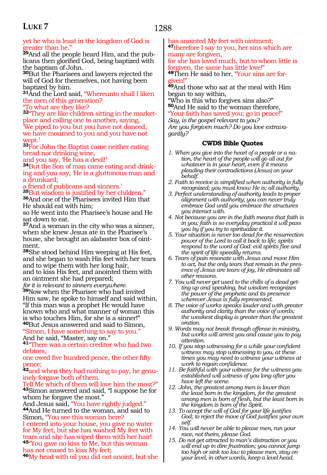### 1288

#### yet he who is least in the kingdom of God is greater than he."

**29**And all the people heard Him, and the publicans then glorified God, being baptized with the baptism of John.

**<sup>30</sup>**But the Pharisees and lawyers rejected the will of God for themselves, not having been baptized by him.

**<sup>31</sup>**And the Lord said, "Whereunto shall I liken the men of this generation?

"To what are they like?

**32**"They are like children sitting in the marketplace and calling one to another, saying, 'We piped to you but you have not danced, we have mourned to you and you have not wept.'

**<sup>33</sup>**For John the Baptist came neither eating bread nor drinking wine,

and you say, 'He has a devil!'

**34**But the Son of man came eating and drinking and you say, 'He is a gluttonous man and a drunkard;

a friend of publicans and sinners.'

**<sup>35</sup>**But wisdom is justified by her children." **<sup>36</sup>**And one of the Pharisees invited Him that He should eat with him;

so He went into the Pharisee's house and He sat down to eat.

**<sup>37</sup>**And a woman in the city who was a sinner, when she knew Jesus ate in the Pharisee's house, she brought an alabaster box of ointment.

**<sup>38</sup>**She stood behind Him weeping at His feet, and she began to wash His feet with her tears and to wipe them with her long hair, and to kiss His feet, and anointed them with an ointment she had prepared;

*for it is relevant to sinners everywhere.*

**<sup>39</sup>**Now when the Pharisee who had invited Him saw, he spoke to himself and said within, "If this man was a prophet He would have known who and what manner of woman this is who touches Him, for she is a sinner!" **<sup>40</sup>**But Jesus answered and said to Simon,

"Simon, I have something to say to you." And he said, "Master, say on."

**<sup>41</sup>**"There was a certain creditor who had two debtors,

one owed five hundred pence, the other fifty pence;

**42**and when they had nothing to pay, he genuinely forgave both of them.

Tell Me which of them will love him the most?" **<sup>43</sup>**Simon answered and said, "I suppose he for

whom he forgave the most."<br>And Jesus said, "You have rightly judged." <sup>44</sup>And He turned to the woman, and said to Simon, "You see this woman here?

I entered into your house, you gave no water for My feet, but she has washed My feet with tears and she has wiped them with her hair! **<sup>45</sup>**"You gave no kiss to Me, but this woman

has not ceased to kiss My feet;

**<sup>46</sup>**My head with oil you did not anoint, but she

has anointed My feet with ointment; **<sup>47</sup>**therefore I say to you, her sins which are many are forgiven,

for she has loved much, but to whom little is forgiven, the same has little love!"

**48**Then He said to her, "Your sins are foriven!"

**<sup>49</sup>**And those who sat at the meal with Him began to say within,

"Who is this who forgives sins also?" **<sup>50</sup>**And He said to the woman therefore, "Your faith has saved you; go in peace!"

*Say, is the gospel relevant to you? Are you forgiven much? Do you love extravagantly?*

- *1. When you give into the heart of a people or a nation, the heart of the people will go all out for whatever is in your heart, even if it means pleading their contradictions (Jesus) on your behalf.*
- *2. Faith to receive is simplified when authority is fully recognized; you must know He is; all authority.*
- *3. Perfect understanding of authority leads to proper alignment with authority; you can never truly embrace God until you embrace the structures you interact with.*
- *4. Not because you are in the faith means that faith is in you; faith is so everyday practical it will pass you by if you try to spiritualize it.*
- *5. Your situation is never too dead for the resurrection power of the Lord to call it back to life; spirits respond to the word of God: evil spirits flee and the spirit of life speedily returns.*
- *6. Tears of pain resonate with Jesus and move Him to act, but the only tears that remain in the presence of Jesus are tears of joy, He eliminates all other reasons.*
- *7. You will never get used to the chills of a dead getting up and speaking, but wisdom recognizes the power of the prophetic and its presence wherever Jesus is fully represented.*
- *8. The voice of works speaks louder and with greater authority and clarity than the voice of words; the weakest display is greater than the greatest oration.*
- *9. Words may not break through offense in ministry, but works will arrest you and cause you to pay attention.*
- *10. If you stop witnessing for a while your confident witness may stop witnessing to you, at these times you may need to witness your witness at work to regain confidence.*
- *11. Be faithful with your witness for the witness you established will witness of you long after you have left the scene.*
- *12. John, the greatest among men is lower than the least born in the kingdom, for the greatest among men is born of flesh, but the least born in the kingdom is born of the Spirit.*
- *13. To accept the will of God for your life justifies God; to reject the move of God justifies your own self.*
- *14. You will never be able to please men, run your race, not theirs, please God.*
- *15. Do not get attracted to man's distraction or you will end up in dire frustration; you cannot jump too high or sink too low to please men, stay on your level, in other words, keep a level head.*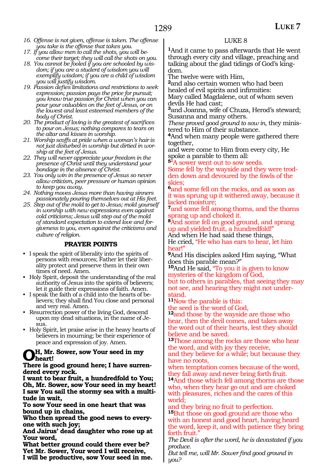- *16. Offense is not given, offense is taken. The offense you take is the offense that takes you.*
- *17. If you allow men to call the shots, you will become their target; they will call the shots on you.*
- *18. You cannot be fooled if you are schooled by wisdom; if you are a student of wisdom you will exemplify wisdom; if you are a child of wisdom you will justify wisdom.*
- *19. Passion defies limitations and restrictions to seek expression; passion pays the price for pursuit; you know true passion for Christ when you can pour your valuables on the feet of Jesus, or on the lowest and least esteemed members of the body of Christ.*
- *20. The product of loving is the greatest of sacrifices to pour on Jesus; nothing compares to tears on the altar and kisses in worship.*
- *21. Worship scoffs at pride when a woman's hair is not just disturbed in worship but dirtied in worship at the feet of Jesus.*
- *22. They will never appreciate your freedom in the presence of Christ until they understand your bondage in the absence of Christ.*
- *23. You only win in the presence of Jesus so never allow criticism, peer pressure or human opinion to keep you away.*
- *24. Nothing moves Jesus more than having sinners passionately pouring themselves out at His feet.*
- *25. Step out of the mold to get to Jesus; mold yourself in worship with new expressions even against cold criticisms; Jesus will step out of the mold of standard expectation to extend love and forgiveness to you, even against the criticisms and culture of religion.*

### **PRAYER POINTS**

- I speak the spirit of liberality into the spirits of persons with resources; Father let their liberality protect and preserve them in their own times of need. Amen.
- Holy Spirit, deposit the understanding of the real authority of Jesus into the spirits of believers; let it guide their expressions of faith. Amen.
- I speak the faith of a child into the hearts of believers; they shall find You close and personal and very real. Amen.
- Resurrection power of the living God, descend upon my dead situations, in the name of Jesus.
- Holy Spirit, let praise arise in the heavy hearts of believers in mourning; be their experience of peace and expression of joy. Amen.

### **Oh, Mr. Sower, sow Your seed in my heart!**

#### **There is good ground here; I have surrendered every rock.**

**I want to bear fruit, a hundredfold to You; Oh, Mr. Sower, sow Your seed in my heart! I saw You sail the stormy sea with a multitude in wait,**

**To sow Your seed in one heart that was bound up in chains,**

**Who then spread the good news to everyone with such joy;**

**And Jairus' dead daughter who rose up at Your word,**

**What better ground could there ever be? Yet Mr. Sower, Your word I will receive, I will be productive, sow Your seed in me.**

### LUKE 8

**<sup>1</sup>**And it came to pass afterwards that He went through every city and village, preaching and talking about the glad tidings of God's kingdom.

The twelve were with Him,

**<sup>2</sup>**and also certain women who had been healed of evil spirits and infirmities:

Mary called Magdalene, out of whom seven devils He had cast;

**<sup>3</sup>**and Joanna, wife of Chuza, Herod's steward; Susanna and many others.

*These proved good ground to sow in*, they ministered to Him of their substance.

**<sup>4</sup>**And when many people were gathered there together,

and were come to Him from every city, He spoke a parable to them all:

**<sup>5</sup>**"A sower went out to sow seeds.

Some fell by the wayside and they were trodden down and devoured by the fowls of the skies;

**<sup>6</sup>**and some fell on the rocks, and as soon as it was sprung up it withered away, because it lacked moisture;

**<sup>7</sup>**and some fell among thorns, and the thorns sprang up and choked it.

**<sup>8</sup>**And some fell on good ground, and sprang up and yielded fruit, a hundredfold!"

And when He had said these things, He cried, "He who has ears to hear, let him hear!"

**<sup>9</sup>**And His disciples asked Him saying, "What does this parable mean?"

**<sup>10</sup>**And He said, "To you it is given to know mysteries of the kingdom of God, but to others in parables, that seeing they may not see, and hearing they might not under- stand.

**<sup>11</sup>**Now the parable is this:

the seed is the word of God,

**<sup>12</sup>**and those by the wayside are those who hear, then the devil comes, and takes away the word out of their hearts, lest they should believe and be saved.

**<sup>13</sup>**Those among the rocks are those who hear the word, and with joy they receive,

and they believe for a while; but because they have no roots,

when temptation comes because of the word, they fall away and never bring forth fruit.

**<sup>14</sup>**And those which fell among thorns are those who, when they hear go out and are choked with pleasures, riches and the cares of this world;

and they bring no fruit to perfection. **<sup>15</sup>**But those on good ground are those who with an honest and good heart, having heard the word, keep it, and with patience they bring forth fruit.

*The Devil is after the word, he is devastated if you produce.*

*But tell me, will Mr. Sower find good ground in you?*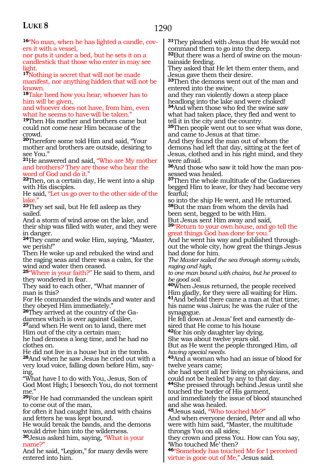**16**"No man, when he has lighted a candle, covers it with a vessel,

nor puts it under a bed, but he sets it on a candlestick that those who enter in may see light.

**<sup>17</sup>**Nothing is secret that will not be made manifest, nor anything hidden that will not be known.

**<sup>18</sup>**Take heed how you hear; whoever has to him will be given,

and whoever does not have, from him, even what he seems to have will be taken."

**<sup>19</sup>**Then His mother and brothers came but could not come near Him because of the crowd.

**<sup>20</sup>**Therefore some told Him and said, "Your mother and brothers are outside, desiring to see You."

**<sup>21</sup>**He answered and said, "Who are My mother and brothers? They are those who hear the word of God and do it."

**<sup>22</sup>**Then, on a certain day, He went into a ship with His disciples.

He said, "Let us go over to the other side of the lake."

**<sup>23</sup>**They set sail, but He fell asleep as they sailed.

And a storm of wind arose on the lake, and their ship was filled with water, and they were in danger.

**<sup>24</sup>**They came and woke Him, saying, "Master, we perish!"

Then He woke up and rebuked the wind and the raging seas and there was a calm, for the wind and water then ceased.

**<sup>25</sup>**"Where is your faith?" He said to them, and they wondered in fear.

They said to each other, "What manner of man is this?

For He commanded the winds and water and they obeyed Him immediately."

**26**They arrived at the country of the Gadarenes which is over against Galilee,

**<sup>27</sup>**and when He went on to land, there met Him out of the city a certain man;

he had demons a long time, and he had no clothes on.

He did not live in a house but in the tombs. **<sup>28</sup>**And when he saw Jesus he cried out with a very loud voice, falling down before Him, saying,

"What have I to do with You, Jesus, Son of God Most High; I beseech You, do not torment me."

**<sup>29</sup>**For He had commanded the unclean spirit to come out of the man,

for often it had caught him, and with chains and fetters he was kept bound.

He would break the bands, and the demons would drive him into the wilderness.

**<sup>30</sup>**Jesus asked him, saying, "What is your name?"

And he said, "Legion," for many devils were entered into him.

**<sup>31</sup>**They pleaded with Jesus that He would not command them to go into the deep.

**32**But there was a herd of swine on the mountainside feeding.

They asked that He let them enter them, and Jesus gave them their desire.

**<sup>33</sup>**Then the demons went out of the man and entered into the swine,

and they ran violently down a steep place headlong into the lake and were choked! **<sup>34</sup>**And when those who fed the swine saw what had taken place, they fled and went to

tell it in the city and the country.

**<sup>35</sup>**Then people went out to see what was done, and came to Jesus at that time.

And they found the man out of whom the demons had left that day, sitting at the feet of Jesus, clothed and in his right mind, and they were afraid.

**36**And those who saw it told how the man possessed was healed.

**<sup>37</sup>**Then the whole multitude of the Gadarenes begged Him to leave, for they had become very fearful;

so into the ship He went, and He returned. **<sup>38</sup>**But the man from whom the devils had been sent, begged to be with Him.

But Jesus sent Him away and said,

**<sup>39</sup>**"Return to your own house, and go tell the great things God has done for you."

And he went his way and published throughout the whole city, how great the things Jesus had done for him.

*The Master sailed the sea through stormy winds, raging and high,*

*to one man bound with chains, but he proved to be good soil.*

**<sup>40</sup>**When Jesus returned, the people received Him gladly, for they were all waiting for Him. **<sup>41</sup>**And behold there came a man at that time; his name was Jairus; he was the ruler of the synagogue.

He fell down at Jesus' feet and earnestly desired that He come to his house

**<sup>42</sup>**for his only daughter lay dying.

She was about twelve years old.

But as He went the people thronged Him, *all having special needs.*

**<sup>43</sup>**And a woman who had an issue of blood for twelve years came;

she had spent all her living on physicians, and could not be healed by any to that day.

**<sup>44</sup>**She pressed through behind Jesus until she touched the border of His garment,

and immediately the issue of blood staunched and she was healed.

**<sup>45</sup>**Jesus said, "Who touched Me?"

And when everyone denied, Peter and all who were with him said, "Master, the multitude throngs You on all sides;

they crown and press You. How can You say, 'Who touched Me' then?

**<sup>46</sup>**"Somebody has touched Me for I perceived virtue is gone out of Me," Jesus said.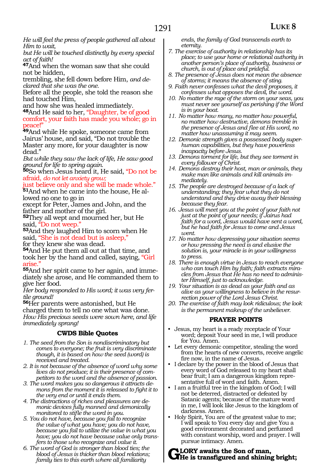*Him to wait, but He will be touched distinctly by every special act of faith!*

**<sup>47</sup>**And when the woman saw that she could not be hidden,

trembling, she fell down before Him, *and declared that she was the one.*

Before all the people, she told the reason she had touched Him,

and how she was healed immediately.

**<sup>48</sup>**And He said to her, "Daughter, be of good comfort, your faith has made you whole; go in peace!"

**<sup>49</sup>**And while He spoke, someone came from Jairus' house, and said, "Do not trouble the Master any more, for your daughter is now dead."

*But while they saw the lack of life, He saw good ground for life to spring again.*

**<sup>50</sup>**So when Jesus heard it, He said, "Do not be afraid, *do not let anxiety grow;*

just believe only and she will be made whole." **51**And when he came into the house, He allowed no one to go in

except for Peter, James and John, and the father and mother of the girl.

**<sup>52</sup>**They all wept and mourned her, but He

53And they laughed Him to scorn when He said, "She is not dead but is asleep," for they knew she was dead.

**<sup>54</sup>**And He put them all out at that time, and took her by the hand and called, saying, "Girl arise."

**<sup>55</sup>**And her spirit came to her again, and imme- diately she arose, and He commanded them to give her food.

*Her body responded to His word; it was very fertile ground!*

**<sup>56</sup>**Her parents were astonished, but He charged them to tell no one what was done. *How His precious seeds were sown here, and life immediately sprang!* 

### **CWDS Bible Quotes**

- *1. The seed from the Son is nondiscriminatory but comes to everyone; the fruit is very discriminate though, it is based on how the seed (word) is received and treated.*
- *2. It is not because of the absence of word why some lives do not produce; it is their presence of competitors to the word and the absence of passion.*
- *3. The word makes you so dangerous it attracts demons from the moment it is released to fight it to the very end or until it ends them.*
- *4. The distractions of riches and pleasures are demonic devices fully manned and demonically monitored to stifle the word in you.*
- *5. You do not have, because you fail to recognize the value of what you have; you do not have, because you fail to utilize the value in what you have; you do not have because value only transfers to those who recognize and value it.*
- *6. The word of God is stronger than blood ties; the blood of Jesus is thicker than blood relations; family ties to this earth where all familiarity*

*ends, the family of God transcends earth to eternity.*

- *7. The exercise of authority in relationship has its place; to use your home or relational authority in another person's place of authority, business or church, is out of place and prideful.*
- *8. The presence of Jesus does not mean the absence of storms; it means the absence of sting.*
- *9. Faith never confesses what the devil proposes, it confesses what opposes the devil, the word.*
- *10. No matter the rage of the storm on your seas, you must never see yourself as perishing if the Word is in your boat.*
- *11. No matter how many, no matter how powerful, no matter how destructive, demons tremble in the presence of Jesus and flee at His word, no matter how unassuming it may seem.*
- *12. Demonic strength gives a possessed body superhuman capabilities, but they have powerless incapacity before Jesus.*
- *13. Demons torment for life, but they see torment in every follower of Christ.*
- *14. Demons destroy their host, man or animals, they make man like animals and kill animals immediately.*
- *15. The people are destroyed because of a lack of understanding; they fear what they do not understand and they drive away their blessing because they fear.*
- *16. Jesus will meet you at the point of your faith not just at the point of your needs; if Jairus had faith for a word, Jesus would have sent a word, but he had faith for Jesus to come and Jesus went.*
- *17. No matter how depressing your situation seems or how pressing the need is and elusive the solution is, your miracle is in your willingness to press.*
- *18. There is enough virtue in Jesus to reach everyone who can touch Him by faith; faith extracts miracles from Jesus that He has no need to administer Himself, just to acknowledge.*
- *19. Your situation is as dead as your faith and as alive as your willingness to believe in the resurrection power of the Lord Jesus Christ.*
- *20. The exercise of faith may look ridiculous; the look is the permanent makeup of the unbeliever.*

### **PRAYER POINTS**

- Jesus, my heart is a ready receptacle of Your word; deposit Your seed in me, I will produce for You. Amen.
- Let every demonic competitor, stealing the word from the hearts of new converts, receive angelic fire now, in the name of Jesus.
- I declare by the power in the blood of Jesus that every word of God released to my heart shall bear fruit; I am a dangerous kingdom representative full of word and faith. Amen.
- I am a fruitful tree in the kingdom of God; I will not be deterred, distracted or defeated by Satanic agents; because of the mature word in me, I will look like Jesus to the kingdom of darkness. Amen.
- Holy Spirit, You are of the greatest value to me; I will speak to You every day and give You a good environment decorated and perfumed with constant worship, word and prayer. I will pursue intimacy. Amen.

# **Glory awaits the Son of man, He is transfigured and shining bright;**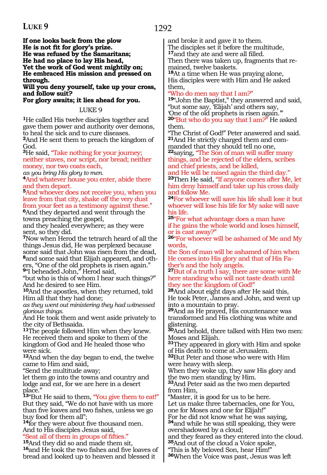**If one looks back from the plow He is not fit for glory's prize. He was refused by the Samaritans; He had no place to lay His head, Yet the work of God went mightily on; He embraced His mission and pressed on through.** 

**Will you deny yourself, take up your cross, and follow suit?**

**For glory awaits; it lies ahead for you.**

LUKE 9

**<sup>1</sup>**He called His twelve disciples together and gave them power and authority over demons, to heal the sick and to cure diseases.

**<sup>2</sup>**And He sent them to preach the kingdom of God.

**<sup>3</sup>**He said, "Take nothing for your journey; neither staves, nor script, nor bread; neither money, nor two coats each,

*as you bring His glory to men.*

**<sup>4</sup>**And whatever house you enter, abide there and then depart.

**<sup>5</sup>**And whoever does not receive you, when you leave from that city, shake off the very dust from your feet as a testimony against these."

**<sup>6</sup>**And they departed and went through the towns preaching the gospel,

and they healed everywhere; as they were sent, so they did.

**<sup>7</sup>**Now when Herod the tetrarch heard of all the things Jesus did, He was perplexed because some said that John was risen from the dead, **8**and some said that Elijah appeared, and others, "One of the old prophets is risen again." **<sup>9</sup>**"I beheaded John," Herod said,

"but who is this of whom I hear such things?" And he desired to see Him.

**<sup>10</sup>**And the apostles, when they returned, told Him all that they had done;

*as they went out ministering they had witnessed glorious things.*

And He took them and went aside privately to the city of Bethsaida.

**<sup>11</sup>**The people followed Him when they knew. He received them and spoke to them of the kingdom of God and He healed those who were sick.

**<sup>12</sup>**And when the day began to end, the twelve came to Him and said,

"Send the multitude away;

let them go into the towns and country and lodge and eat, for we are here in a desert place."

**<sup>13</sup>**"But He said to them, "You give them to eat!" But they said, "We do not have with us more than five loaves and two fishes, unless we go buy food for them all";

**<sup>14</sup>**for they were about five thousand men. And to His disciples Jesus said,

"Seat all of them in groups of fifties."<br><sup>15</sup>And they did so and made them sit,

**16** and He took the two fishes and five loaves of bread and looked up to heaven and blessed it

and broke it and gave it to them. The disciples set it before the multitude, **<sup>17</sup>**and they ate and were all filled. Then there was taken up, fragments that re-

mained, twelve baskets. **<sup>18</sup>**At a time when He was praying alone, His disciples were with Him and He asked

them, Who do men say that I am?"

**<sup>19</sup>**"John the Baptist," they answered and said, "but some say, 'Elijah' and others say, 'One of the old prophets is risen again.'" **<sup>20</sup>**"But who do you say that I am?" He asked

them. "The Christ of God!" Peter answered and said. **21**And He strictly charged them and com-

manded that they should tell no one, **<sup>22</sup>**saying, "The Son of man will suffer many

things, and be rejected of the elders, scribes and chief priests, and be killed,

and He will be raised again the third day." **<sup>23</sup>**Then He said, "If anyone comes after Me, let him deny himself and take up his cross daily and follow Me.

**<sup>24</sup>**For whoever will save his life shall lose it but whoever will lose his life for My sake will save his life.

**<sup>25</sup>**"For what advantage does a man have if he gains the whole world and loses himself, or is cast away?"

26"For whoever will be ashamed of Me and My words,

the Son of man will be ashamed of him when He comes into His glory and that of His Father's and the holy angels.

**<sup>27</sup>**But of a truth I say, there are some with Me here standing who will not taste death until they see the kingdom of God!"

**<sup>28</sup>**And about eight days after He said this, He took Peter, James and John, and went up into a mountain to pray.

**<sup>29</sup>**And as He prayed, His countenance was transformed and His clothing was white and glistening.

**<sup>30</sup>**And behold, there talked with Him two men: Moses and Elijah.

**<sup>31</sup>**They appeared in glory with Him and spoke of His death to come at Jerusalem.

**<sup>32</sup>**But Peter and those who were with Him were heavy with sleep.

When they woke up, they saw His glory and the two men standing by Him.

**<sup>33</sup>**And Peter said as the two men departed from Him,

"Master, it is good for us to be here. Let us make three tabernacles, one for You, one for Moses and one for Elijah!"

For he did not know what he was saying, **<sup>34</sup>**and while he was still speaking, they were overshadowed by a cloud;

and they feared as they entered into the cloud. **<sup>35</sup>**And out of the cloud a Voice spoke,

"This is My beloved Son, hear Him!"

**<sup>36</sup>**When the Voice was past, Jesus was left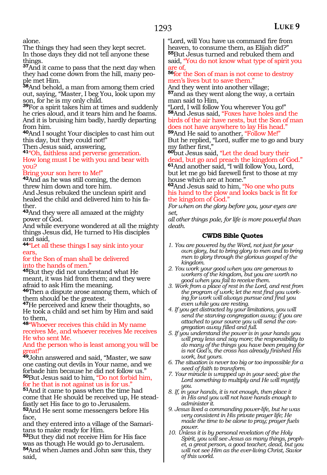alone.

The things they had seen they kept secret. In those days they did not tell anyone these things.

**<sup>37</sup>**And it came to pass that the next day when they had come down from the hill, many people met Him.

**<sup>38</sup>**And behold, a man from among them cried out, saying, "Master, I beg You, look upon my son, for he is my only child.

**<sup>39</sup>**For a spirit takes him at times and suddenly he cries aloud, and it tears him and he foams. And it is bruising him badly, hardly departing from him.

**<sup>40</sup>**And I sought Your disciples to cast him out this day, but they could not!"

Then Jesus said, answering,

**<sup>41</sup>**"Oh, faithless and perverse generation. How long must I be with you and bear with you?

#### Bring your son here to Me!"

**<sup>42</sup>**And as he was still coming, the demon threw him down and tore him.

And Jesus rebuked the unclean spirit and healed the child and delivered him to his father.

**<sup>43</sup>**And they were all amazed at the mighty power of God.

And while everyone wondered at all the mighty things Jesus did, He turned to His disciples and said,

**<sup>44</sup>**"Let all these things I say sink into your ears,

for the Son of man shall be delivered into the hands of men."

**<sup>45</sup>**But they did not understand what He meant, it was hid from them; and they were afraid to ask Him the meaning.

**<sup>46</sup>**Then a dispute arose among them, which of them should be the greatest.

**<sup>47</sup>**He perceived and knew their thoughts, so He took a child and set him by Him and said to them,

**<sup>48</sup>**"Whoever receives this child in My name receives Me, and whoever receives Me receives He who sent Me.

And the person who is least among you will be rreat!"

**<sup>49</sup>**John answered and said, "Master, we saw one casting out devils in Your name, and we forbade him because he did not follow us." **<sup>50</sup>**But Jesus said to him, "Do not forbid him, for he that is not against us is for us."

**<sup>51</sup>**And it came to pass when the time had come that He should be received up, He steadfastly set His face to go to Jerusalem.

**<sup>52</sup>**And He sent some messengers before His face,

and they entered into a village of the Samaritans to make ready for Him.

**<sup>53</sup>**But they did not receive Him for His face was as though He would go to Jerusalem. **<sup>54</sup>**And when James and John saw this, they said,

"Lord, will You have us command fire from heaven, to consume them, as Elijah did?" **<sup>55</sup>**But Jesus turned and rebuked them and

said, "You do not know what type of spirit you are of,

**<sup>56</sup>**for the Son of man is not come to destroy men's lives but to save them."

And they went into another village; **<sup>57</sup>**and as they went along the way, a certain man said to Him,

"Lord, I will follow You wherever You go!" **<sup>58</sup>**And Jesus said, "Foxes have holes and the birds of the air have nests, but the Son of man

does not have anywhere to lay His head." **<sup>59</sup>**And He said to another, "Follow Me!"

But he replied, "Lord, suffer me to go and bury my father first,"

**<sup>60</sup>**but Jesus said, "Let the dead bury their dead, but go and preach the kingdom of God." **<sup>61</sup>**And another said, "I will follow You, Lord, but let me go bid farewell first to those at my house which are at home."

**<sup>62</sup>**And Jesus said to him, "No one who puts his hand to the plow and looks back is fit for the kingdom of God."

*For when on the glory before you, your eyes are set,*

*all other things pale, for life is more powerful than death.*

- *1. You are powered by the Word, not just for your own glory, but to bring glory to men and to bring men to glory through the glorious gospel of the kingdom.*
- *2. You work your good when you are generous to workers of the kingdom, but you are worth no good when you fail to receive them.*
- *3. Work from a place of rest in the Lord, and rest from the program of work; let the rest find you working for work will always pursue and find you even while you are resting.*
- *4. If you get distracted by your limitations, you will send the starving congregation away; if you are attached to your source you will send the congregation away filled and full.*
- *5. If you understand the power is in your hands you will pray less and say more; the responsibility to do many of the things you have been praying for is not God's, the cross has already finished His work, but yours.*
- *6. The situation is never too big or too impossible for a seed of faith to transform.*
- *7. Your miracle is wrapped up in your seed; give the Lord something to multiply and He will mystify you.*
- *8. If, in your hands, it is not enough, then place it in His and you will not have hands enough to administer it.*
- *9. Jesus lived a commanding power-life, but he was very consistent in His private prayer life; He made the time to be alone to pray; prayer fuels power.*
- *10. Unless it is by personal revelation of the Holy Spirit, you will see Jesus as many things, prophet, a great person, a good teacher, dead, but you will not see Him as the ever-living Christ, Savior of this world.*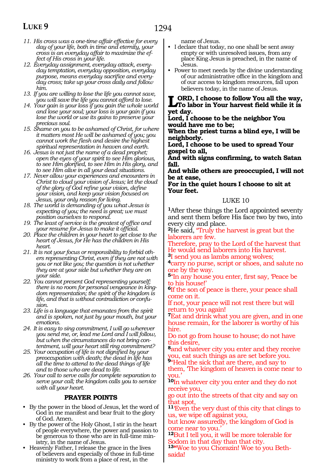- *11. His cross was a one-time affair effective for every day of your life, both in time and eternity, your cross is an everyday affair to maximize the effect of His cross in your life.*
- *12. Everyday assignment, everyday attack, everyday temptation, everyday opposition, everyday purpose, means everyday sacrifice and everyday cross; take up your cross daily and follow him.*
- *13. If you are willing to lose the life you cannot save, you will save the life you cannot afford to lose.*
- *14. Your gain is your loss if you gain the whole world and lose your soul; your loss is your gain if you lose the world or use its gains to preserve your precious soul.*
- *15. Shame on you to be ashamed of Christ, for where it matters most He will be ashamed of you; you cannot work the flesh and desire the highest spiritual representation in heaven and earth.*
- *16. Jesus is not just the name of a dead prophet; open the eyes of your spirit to see Him glorious, to see Him glorified, to see Him in His glory, and to see Him alive in all your dead situations.*
- *17. Never allow your experiences and encounters in Christ to cloud your vision of Jesus; let the cloud of the glory of God refine your vision, define your vision, and keep your vision focused on Jesus, your only reason for living.*
- *18. The world is demanding of you what Jesus is expecting of you; the need is great; we must position ourselves to respond.*
- *19. The least of service is the greatest of office and your resume for Jesus to make it official.*
- *20. Place the children in your heart to get close to the heart of Jesus, for He has the children in His heart.*
- *21. It is not your focus or responsibility to forbid others representing Christ, even if they are not with you or not like you; the question is not whether they are at your side but whether they are on your side.*
- *22. You cannot present God representing yourself; there is no room for personal vengeance in kingdom representation; the spirit of the kingdom is life, and that is without contradiction or confusion.*
- *23. Life is a language that emanates from the spirit and is spoken, not just by your mouth, but your emotions.*
- *24. It is easy to sing commitment, I will go wherever you send me, or, lead me Lord and I will follow, but when the circumstances do not bring contentment, will your heart still ring commitment?*
- *25. Your occupation of life is not dignified by your preoccupation with death; the dead in life has all the time to attend to the dead things of life and to those who are dead to life.*
- *26. Your call to serve calls for complete separation to serve your call; the kingdom calls you to service with all your heart.*

### **PRAYER POINTS**

- By the power in the blood of Jesus, let the word of God in me manifest and bear fruit to the glory of God. Amen.
- By the power of the Holy Ghost, I stir in the heart of people everywhere, the power and passion to be generous to those who are in full-time ministry, in the name of Jesus.
- Heavenly Father, I release the grace in the lives of believers and especially of those in full-time ministry to work from a place of rest, in the

name of Jesus.

- I declare that today, no one shall be sent away empty or with unresolved issues, from any place King Jesus is preached, in the name of Jesus.
- Power to meet needs by the divine understanding of our administrative office in the kingdom and of our access to kingdom resources, fall upon believers today, in the name of Jesus.

**LORD, I choose to follow You all the way,**<br>To labor in Your harvest field while it is<br> $\frac{1}{2}$ **yet day.**

**Lord, I choose to be the neighbor You would have me to be;**

**When the priest turns a blind eye, I will be neighborly.**

**Lord, I choose to be used to spread Your gospel to all,**

**And with signs confirming, to watch Satan fall.**

**And while others are preoccupied, I will not be at ease,** 

**For in the quiet hours I choose to sit at Your feet.**

#### LUKE 10

**<sup>1</sup>**After these things the Lord appointed seventy and sent them before His face two by two, into every city and place.

**<sup>2</sup>**He said, "Truly the harvest is great but the laborers are few.

Therefore, pray to the Lord of the harvest that He would send laborers into His harvest.

**<sup>3</sup>**I send you as lambs among wolves;

**<sup>4</sup>**carry no purse, script or shoes, and salute no one by the way.

**<sup>5</sup>**"In any house you enter, first say, 'Peace be to his house!'

**<sup>6</sup>**If the son of peace is there, your peace shall come on it.

If not, your peace will not rest there but will return to you again!

**<sup>7</sup>**Eat and drink what you are given, and in one house remain, for the laborer is worthy of his hire.

Do not go from house to house; do not have this desire,

**<sup>8</sup>**and whatever city you enter and they receive you, eat such things as are set before you.

**<sup>9</sup>**"Heal the sick that are there, and say to them, 'The kingdom of heaven is come near to you.'

**<sup>10</sup>**In whatever city you enter and they do not receive you,

go out into the streets of that city and say on hat spot,

**<sup>11</sup>**'Even the very dust of this city that clings to us, we wipe off against you,

but know assuredly, the kingdom of God is come near to you.'

**<sup>12</sup>**But I tell you, it will be more tolerable for odom in that day than that city.

**13"**Woe to you Chorazin! Woe to you Bethsaida!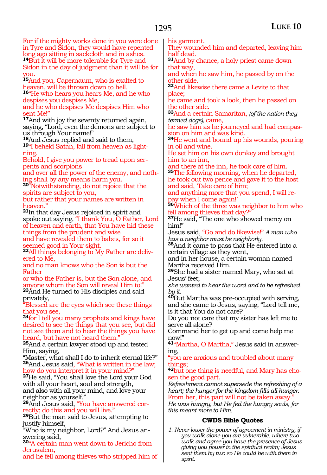### 1295

For if the mighty works done in you were done in Tyre and Sidon, they would have repented long ago sitting in sackcloth and in ashes. **<sup>14</sup>**But it will be more tolerable for Tyre and Sidon in the day of judgment than it will be for you.

**<sup>15</sup>**And you, Capernaum, who is exalted to heaven, will be thrown down to hell. **<sup>16</sup>**"He who hears you hears Me, and he who

despises you despises Me, and he who despises Me despises Him who

sent Me!"

**<sup>17</sup>**And with joy the seventy returned again, saying, "Lord, even the demons are subject to

us through Your name!"<br><sup>18</sup>And Jesus replied and said to them, <sup>19"</sup>I beheld Satan, fall from heaven as lightning.

Behold, I give you power to tread upon serpents and scorpions

and over all the power of the enemy, and nothing shall by any means harm you.

**<sup>20</sup>**"Notwithstanding, do not rejoice that the spirits are subject to you,

but rather that your names are written in heaven."

**<sup>21</sup>**In that day Jesus rejoiced in spirit and spoke out saying, "I thank You, O Father, Lord of heaven and earth, that You have hid these things from the prudent and wise

and have revealed them to babes, for so it seemed good in Your sight.

**22**All things belonging to My Father are delivered to Me,

and no man knows who the Son is but the Father

or who the Father is, but the Son alone, and anyone whom the Son will reveal Him to!"

**<sup>23</sup>**And He turned to His disciples and said privately,

"Blessed are the eyes which see these things that you see,

**<sup>24</sup>**for I tell you many prophets and kings have desired to see the things that you see, but did not see them and to hear the things you have heard, but have not heard them."

**<sup>25</sup>**And a certain lawyer stood up and tested Him, saying,

"Master, what shall I do to inherit eternal life?" **<sup>26</sup>**And Jesus said, "What is written in the law; how do you interpret it in your mind?"

**<sup>27</sup>**He said, "You shall love the Lord your God with all your heart, soul and strength, and also with all your mind, and love your neighbor as yourself."

**28**And Jesus said, "You have answered correctly; do this and you will live."

**<sup>29</sup>**But the man said to Jesus, attempting to justify himself,

"Who is my neighbor, Lord?" And Jesus answering said,

**<sup>30</sup>**"A certain man went down to Jericho from Jerusalem,

and he fell among thieves who stripped him of

his garment.

They wounded him and departed, leaving him half dead.

**<sup>31</sup>**And by chance, a holy priest came down that way,

and when he saw him, he passed by on the other side.

**<sup>32</sup>**And likewise there came a Levite to that place;

he came and took a look, then he passed on the other side.

**<sup>33</sup>**And a certain Samaritan, *(of the nation they termed dogs),* came,

he saw him as he journeyed and had compas- sion on him and was kind.

**<sup>34</sup>**He went and bound up his wounds, pouring in oil and wine.

He set him on his own donkey and brought him to an inn,

and there at the inn, he took care of him. **<sup>35</sup>**The following morning, when he departed, he took out two pence and gave it to the host and said, Take care of him;

and anything more that you spend, I will repay when I come again!'

**<sup>36</sup>**Which of the three was neighbor to him who fell among thieves that day?"

**<sup>37</sup>**He said, "The one who showed mercy on him!"

Jesus said, "Go and do likewise!" *A man who has a neighbor must be neighborly.*

**<sup>38</sup>**And it came to pass that He entered into a certain village as they went,

and in her house, a certain woman named Martha received Him.

**<sup>39</sup>**She had a sister named Mary, who sat at Jesus' feet;

*she wanted to hear the word and to be refreshed by it.*

**<sup>40</sup>**But Martha was pre-occupied with serving, and she came to Jesus, saying; "Lord tell me, is it that You do not care?

Do you not care that my sister has left me to serve all alone?

Command her to get up and come help me now!"

**41**"Martha, O Martha," Jesus said in answering,

"you are anxious and troubled about many things;

**<sup>42</sup>**but one thing is needful, and Mary has cho- sen the good part.

*Refreshment cannot supersede the refreshing of a heart; the hunger for the kingdom fills all hunger.* From her, this part will not be taken away.

*He was hungry, but He fed the hungry souls, for this meant more to Him.*

### **CWDS Bible Quotes**

*1. Never lower the power of agreement in ministry, if you walk alone you are vulnerable, where two walk and agree you have the presence of Jesus giving you power in the spiritual realm; Jesus sent them by two so He could be with them in spirit.*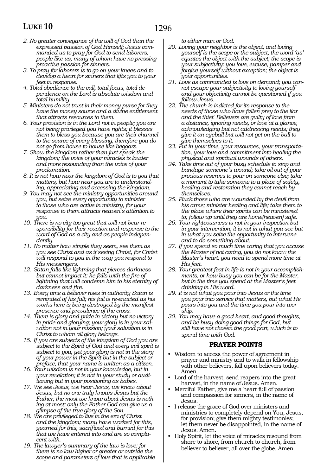- *2. No greater conveyance of the will of God than the expressed passion of God Himself; Jesus commanded us to pray for God to send laborers, people like us, many of whom have no pressing proactive passion for sinners.*
- *3. To pray for laborers is to go on your knees and to develop a heart for sinners that lifts you to your feet in response.*
- *4. Total obedience to the call, total focus, total dependence on the Lord is absolute wisdom and total humility.*
- *5. Ministers do not trust in their money purse for they have the money source and a divine entitlement that attracts resources to them.*
- *6. Your provision is in the Lord not in people; you are not being privileged you have rights; it blesses them to bless you because you are their channel to the source of every blessing, therefore you do not go from house to house like beggars.*
- *7. Show the kingdom rather than just speak the kingdom; the voice of your miracles is louder and more resounding than the voice of your proclamation.*
- *8. It is not how near the kingdom of God is to you that matters, but how near you are to understanding, appreciating and accessing the kingdom.*
- *9. You may not see the ministry opportunities around you, but seize every opportunity to minister to those who are active in ministry, for your response to them attracts heaven's attention to you.*
- *10. There is no city too great that will not bear responsibility for their reaction and response to the word of God as a city and as people independently.*
- *11. No matter how simple they seem, see them as you see Christ and as if seeing Christ, for Christ will respond to you in the way you respond to His messengers.*
- *12. Satan falls like lightning that pierces darkness but cannot impact it; he falls with the fire of lightning that will condemn him to his eternity of darkness and fire.*
- *13. Every time a believer rises in authority Satan is reminded of his fall; his fall is re-enacted as his works here is being destroyed by the manifest presence and prevalence of the cross.*
- *14. There is glory and pride in victory but no victory in pride and glorying; your glory is in your salvation not in your mission; your salvation is in Christ to whom all glory belongs.*
- *15. If you are subjects of the kingdom of God you are subject to the Spirit of God and every evil spirit is subject to you, yet your glory is not in the story of your power in the Spirit but in the subject or preface, that your name is written as a citizen.*
- *16. Your wisdom is not in your knowledge, but in your revelation; it is not in your study or auditioning but in your positioning as babes.*
- *17. We see Jesus, we hear Jesus, we know about Jesus, but no one truly knows Jesus but the Father; the most we know about Jesus is nothing at most; only the Father God can give us a glimpse of the true glory of the Son.*
- *18. We are privileged to live in the era of Christ and the kingdom; many have worked for this, yearned for this, sacrificed and burned for this that we have entered into and are so complacent with.*
- *19. The lawyer's summary of the law is love; for there is no law higher or greater or outside the scope and parameters of love that is applicable*

*to either man or God.*

- *20. Loving your neighbor is the object, and loving yourself is the scope or the subject, the word 'as' equates the object with the subject; the scope is your subjectivity: you love, excuse, pamper and forgive yourself without exception; the object is your opportunities.*
- *21. Love as commanded is love on demand; you cannot escape your subjectivity to loving yourself and your objectivity cannot be questioned if you follow Jesus.*
- *22. The church is indicted for its response to the needs of those who have fallen prey to the liar and the thief. Believers are guilty of love from a distance, ignoring needs, or love at a glance, acknowledging but not addressing needs; they give it an eyeball but will not get on the ball to give themselves to it.*
- *23. Put in your time, your resources, your transportation, your love and commitment into healing the physical and spiritual wounds of others.*
- *24. Take time out of your busy schedule to stop and bandage someone's wound; take oil out of your precious reserves to pour on someone else; take a moment to take someone to a place of safety, healing and restoration they cannot reach by themselves.*
- *25. Pluck those who are wounded by the devil from his arms; minister healing and life; take them to the place where their spirits can be ministered to; follow up until they are home(heaven) safe.*
- *26. Your righteousness is not in your inspection but in your intervention; it is not in what you see but in what you seize the opportunity to intervene and to do something about.*
- *27. If you spend so much time caring that you accuse the Master of not caring, you do not know the Master's heart; you need to spend more time at His feet.*
- *28. Your greatest feat in life is not in your accomplishments, or how busy you can be for the Master, but in the time you spend at the Master's feet drinking in His word.*
- *29. It is not what you pour into Jesus or the time you pour into service that matters, but what He pours into you and the time you pour into worship.*
- *30. You may have a good heart, and good thoughts, and be busy doing good things for God, but still have not chosen the good part, which is to spend time with God.*

### **PRAYER POINTS**

- Wisdom to access the power of agreement in prayer and ministry and to walk in fellowship with other believers, fall upon believers today. Amen.
- Lord of the harvest, send reapers into the great harvest, in the name of Jesus. Amen.
- Merciful Father, give me a heart full of passion and compassion for sinners, in the name of Jesus.
- I release the grace of God over ministers and ministries to completely depend on You, Jesus, for provision; give them mighty testimonies; let them never be disappointed, in the name of Jesus. Amen.
- Holy Spirit, let the voice of miracles resound from shore to shore, from church to church, from believer to believer, all over the globe. Amen.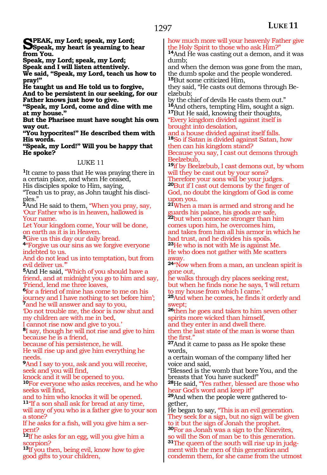**Speak, my Lord; speak, my Lord; Speak, my heart is yearning to hear from You.**

**Speak, my Lord; speak, my Lord;**

**Speak and I will listen attentively.**

**We said, "Speak, my Lord, teach us how to pray!"**

**He taught us and He told us to forgive,**

**And to be persistent in our seeking, for our Father knows just how to give.** 

**"Speak, my Lord, come and dine with me at my house."**

**But the Pharisee must have sought his own way out.**

**"You hypocrites!" He described them with His words.**

**"Speak, my Lord!" Will you be happy that He spoke?**

### LUKE 11

**<sup>1</sup>**It came to pass that He was praying there in a certain place, and when He ceased,

His disciples spoke to Him, saying,

"Teach us to pray, as John taught his disciples."

**<sup>2</sup>**And He said to them, "When you pray, say, 'Our Father who is in heaven, hallowed is Your name.

Let Your kingdom come, Your will be done, on earth as it is in Heaven.

**<sup>3</sup>**Give us this day our daily bread.

**<sup>4</sup>**"Forgive us our sins as we forgive everyone indebted to us.

And do not lead us into temptation, but from evil deliver us.'"

**<sup>5</sup>**And He said, "Which of you should have a friend, and at midnight you go to him and say, 'Friend, lend me three loaves,

**<sup>6</sup>**for a friend of mine has come to me on his journey and I have nothing to set before him'; **<sup>7</sup>**and he will answer and say to you,

'Do not trouble me, the door is now shut and my children are with me in bed,

I cannot rise now and give to you.'

**<sup>8</sup>**I say, though he will not rise and give to him because he is a friend,

because of his persistence, he will.

He will rise up and give him everything he needs.

**<sup>9</sup>**And I say to you, ask and you will receive, seek and you will find,

knock and it will be opened to you.

**<sup>10</sup>**For everyone who asks receives, and he who seeks will find,

and to him who knocks it will be opened.

**<sup>11</sup>**"If a son shall ask for bread at any time, will any of you who is a father give to your son a stone?

If he asks for a fish, will you give him a serpent?

**<sup>12</sup>**If he asks for an egg, will you give him a corpion?

**<sup>13</sup>**If you then, being evil, know how to give good gifts to your children,

how much more will your heavenly Father give the Holy Spirit to those who ask Him?"

**<sup>14</sup>**And He was casting out a demon, and it was dumb;

and when the demon was gone from the man, the dumb spoke and the people wondered. **<sup>15</sup>**But some criticized Him,

they said, "He casts out demons through Beelzebub;

by the chief of devils He casts them out." **<sup>16</sup>**And others, tempting Him, sought a sign. **<sup>17</sup>**But He said, knowing their thoughts,

"Every kingdom divided against itself is brought into desolation,

and a house divided against itself falls. **<sup>18</sup>**So if Satan is divided against Satan, how then can his kingdom stand?

Because you say, I cast out demons through Beelzebub,

**<sup>19</sup>**if by Beelzebub, I cast demons out, by whom will they be cast out by your sons?

Therefore your sons will be your judges. **<sup>20</sup>**But if I cast out demons by the finger of God, no doubt the kingdom of God is come upon you.

**<sup>21</sup>**When a man is armed and strong and he guards his palace, his goods are safe, **<sup>22</sup>**but when someone stronger than him comes upon him, he overcomes him, and takes from him all his armor in which he had trust, and he divides his spoils.

**<sup>23</sup>**He who is not with Me is against Me. He who does not gather with Me scatters away.

**<sup>24</sup>**"Now when from a man, an unclean spirit is gone out,

he walks through dry places seeking rest, but when he finds none he says, 'I will return to my house from which I came.'

**<sup>25</sup>**And when he comes, he finds it orderly and wept;

**<sup>26</sup>**then he goes and takes to him seven other spirits more wicked than himself,

and they enter in and dwell there.

then the last state of the man is worse than the first."

**<sup>27</sup>**And it came to pass as He spoke these words,

a certain woman of the company lifted her voice and said,

"Blessed is the womb that bore You, and the breasts that You have sucked!"

**<sup>28</sup>**He said, "Yes rather, blessed are those who hear God's word and keep it!"

**29**And when the people were gathered together,

He began to say, "This is an evil generation. They seek for a sign, but no sign will be given to it but the sign of Jonah the prophet.

**<sup>30</sup>**For as Jonah was a sign to the Ninevites, o will the Son of man be to this generation. **31**The queen of the south will rise up in judgment with the men of this generation and condemn them, for she came from the utmost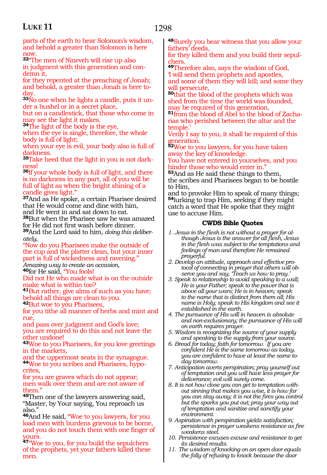parts of the earth to hear Solomon's wisdom, and behold a greater than Solomon is here now.

**<sup>32</sup>**"The men of Nineveh will rise up also in judgment with this generation and condemn it,

for they repented at the preaching of Jonah; and behold, a greater than Jonah is here today.

**33**No one when he lights a candle, puts it under a bushel or in a secret place,

but on a candlestick, that those who come in may see the light it makes.

**<sup>34</sup>**The light of the body is the eye,

when the eye is single, therefore, the whole body is full of light;

when your eye is evil, your body also is full of darkness.

**35**Take heed that the light in you is not darkness!

**<sup>36</sup>**If your whole body is full of light, and there is no darkness in any part, all of you will be full of light as when the bright shining of a candle gives light."

**<sup>37</sup>**And as He spoke, a certain Pharisee desired that He would come and dine with him, and He went in and sat down to eat.

**<sup>38</sup>**But when the Pharisee saw he was amazed for He did not first wash before dinner.

**<sup>39</sup>**And the Lord said to him, *doing this deliberately,*

"Now do you Pharisees make the outside of the cup and the platter clean, but your inner part is full of wickedness and ravening."

*Amazing way to create an occasion,*

**<sup>40</sup>**for He said, "You fools!

Did not He who made what is on the outside make what is within too?

**<sup>41</sup>**But rather, give alms of such as you have; behold all things are clean to you.

**<sup>42</sup>**But woe to you Pharisees, for you tithe all manner of herbs and mint and rue,

and pass over judgment and God's love; you are required to do this and not leave the other undone!

**<sup>43</sup>**Woe to you Pharisees, for you love greetings in the markets,

and the uppermost seats in the synagogue. **44**Woe to you scribes and Pharisees, hypocrites,

for you are graves which do not appear; men walk over them and are not aware of them."

**<sup>45</sup>**Then one of the lawyers answering said, "Master, by Your saying, You reproach us also."

**<sup>46</sup>**And He said, "Woe to you lawyers, for you load men with burdens grievous to be borne, and you do not touch them with one finger of ours.

**<sup>47</sup>**"Woe to you, for you build the sepulchers of the prophets, yet your fathers killed these men.

**<sup>48</sup>**Surely you bear witness that you allow your fathers' deeds,

for they killed them and you build their sepulchers.

**<sup>49</sup>**Therefore also, says the wisdom of God, 'I will send them prophets and apostles,

and some of them they will kill; and some they will persecute,

**<sup>50</sup>**that the blood of the prophets which was shed from the time the world was founded, may be required of this generation,

**51**from the blood of Abel to the blood of Zacharias who perished between the altar and the temple.'

Verily I say to you, it shall be required of this generation.

**<sup>52</sup>**Woe to you lawyers, for you have taken away the key of knowledge.

You have not entered in yourselves, and you hinder those who would enter in."

**<sup>53</sup>**And as He said these things to them, the scribes and Pharisees began to be hostile to Him,

and to provoke Him to speak of many things; **<sup>54</sup>**lurking to trap Him, seeking if they might catch a word that He spoke that they might use to accuse Him.

### **CWDS Bible Quotes**

- *1. Jesus in the flesh is not without a prayer for although Jesus is the answer for all flesh, Jesus in the flesh was subject to the temptations and feelings of man and therefore He remained prayerful.*
- *2. Develop an attitude, approach and effective protocol of connecting in prayer that others will observe you and say, 'Teach us how to pray.'*
- *3. Speak to relationship to avoid speaking to a wall; He is your Father; speak to the power that is above all your wars; He is in heaven; speak to the name that is distinct from them all; His name is Holy; speak to His kingdom and see it established in the earth.*
- *4. The pursuance of His will in heaven is absolute and non-exclusionary; the pursuance of His will on earth requires prayer.*

*5. Wisdom is recognizing the source of your supply and speaking to the supply from your source.*

- *6. Bread for today; faith for tomorrow. If you are confident He is the same tomorrow as today, you are confident to have at least the same today tomorrow.*
- *7. Anticipation averts perspiration; pray yourself out of temptation and you will have less prayer for deliverance; evil will surely come.*
- *8. It is not how close you can get to temptation without sinning that makes you wise, it is how far you can stay away; it is not the fires you control but the sparks you put out; pray your way out of temptation and sanitize and sanctify your environment.*
- *9. Aspiration with perspiration yields satisfaction; persistence in prayer weakens resistance as fire weakens steel.*
- *10. Persistence excuses excuse and resistance to get its desired results.*
- *11. The wisdom of knocking on an open door equals the folly of refusing to knock because the door*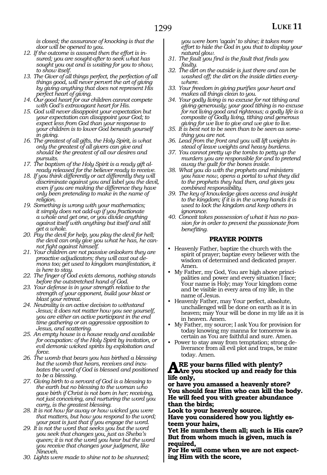*is closed; the assurance of knocking is that the door will be opened to you.* 

- *12. If the outcome is assured then the effort is insured; you are sought-after to seek what has sought you out and is waiting for you to show, to show itself.*
- *13. The Giver of all things perfect, the perfection of all things good, will never pervert the art of giving by giving anything that does not represent His perfect heart of giving.*
- *14. Our good heart for our children cannot compete with God's extravagant heart for His.*
- *15. God will never disappoint your expectation but your expectation can disappoint your God; to expect less from God than your response to your children is to lower God beneath yourself in giving.*
- *16. The greatest of all gifts, the Holy Spirit, is what only the greatest of all givers can give and should be the greatest of all our desires and pursuits.*
- *17. The baptism of the Holy Spirit is a ready gift already released for the believer ready to receive.*
- *18. If you think differently or act differently they will discriminate against you and label you the devil, even if you are making the difference they have only been pretending to make in the name of religion.*
- *19. Something is wrong with your mathematics; it simply does not add-up if you fractionate a whole and get one, or you divide anything against itself with anything but itself and still get a whole.*
- *20. Pay the devil for help, you play the devil for hell; the devil can only give you what he has, he cannot fight against himself.*
- *21. Your children are not passive onlookers they are proactive adjudicators; they will cast out demons too; get used to kingdom manifestation, it is here to stay.*
- *22. The finger of God evicts demons, nothing stands before the outstretched hand of God.*
- *23. Your defense is in your strength relative to the strength of your opponent, build your blast or blast your retreat.*
- *24. Neutrality is an active decision to withstand Jesus; it does not matter how you see yourself, you are either an active participant in the end time gathering or an aggressive opposition to Jesus, and scattering.*
- *25. An empty house is a house ready and available for occupation: of the Holy Spirit by invitation, or evil demonic wicked spirits by exploitation and force.*
- *26. The womb that bears you has birthed a blessing but the womb that hears, receives and incubates the word of God is blessed and positioned to be a blessing.*
- *27. Giving birth to a servant of God is a blessing to the earth but no blessing to the woman who gave birth if Christ is not born in her; receiving, not just conceiving, and nurturing the word you carry, is the greatest blessing.*
- *28. It is not how far away or how wicked you were that matters, but how you respond to the word; your past is just that if you engage the word.*
- *29. It is not the word that seeks you but the word you seek that changes you, just as Sheba's queen; it is not the word you hear but the word you receive that changes your judgment, like Nineveh.*
- *30. Lights were made to shine not to be shunned;*

*you were born 'again' to shine; it takes more effort to hide the God in you that to display your natural glow.* 

- *31. The fault you find is the fault that finds you faulty.*
- *32. The dirt on the outside is just there and can be washed off; the dirt on the inside dirties everywhere.*
- *33. Your freedom in giving purifies your heart and makes all things clean to you.*
- *34. Your godly living is no excuse for not tithing and giving generously; your good tithing is no excuse for not living good and righteous; a godly life is a composite of Godly living, tithing and generous giving for we live to give and we give to live.*
- *35. It is best not to be seen than to be seen as something you are not.*
- *36. Lead from the front and you will lift weights instead of leave weights and heavy burdens.*
- *37. You cannot pretty up the tombs to petty up the murders you are responsible for and to pretend away the guilt for the bones inside.*
- *38. What you do with the prophets and ministers you have now, opens a portal to what they did to the prophets they had then, and gives you combined responsibility.*
- *39. The key of knowledge gives access and insight to the kingdom; if it is in the wrong hands it is used to lock the kingdom and keep others in ignorance.*
- *40. Conceit takes possession of what it has no passion for in order to prevent the passionate from benefiting.*

#### **PRAYER POINTS**

- Heavenly Father, baptize the church with the spirit of prayer; baptize every believer with the wisdom of determined and dedicated prayer. Amen.
- My Father, my God, You are high above principalities and power and every situation I face; Your name is Holy; may Your kingdom come and be visible in every area of my life, in the name of Jesus.
- Heavenly Father, may Your perfect, absolute, unchallenged will be done on earth as it is in heaven; may Your will be done in my life as it is in heaven. Amen.
- My Father, my source; I ask You for provision for today knowing my manna for tomorrow is as certain as You are faithful and sure. Amen.
- Power to stay away from temptation; strong deliverance from all evil plot and traps, be mine today. Amen.

#### **Are your barns filled with plenty? Are you stocked up and ready for this life only,**

**or have you amassed a heavenly store? You should fear Him who can kill the body. He will feed you with greater abundance than the birds;**

**Look to your heavenly source.**

**Have you considered how you lightly esteem your hairs,**

**Yet He numbers them all; such is His care? But from whom much is given, much is required,**

**For He will come when we are not expecting Him with the score,**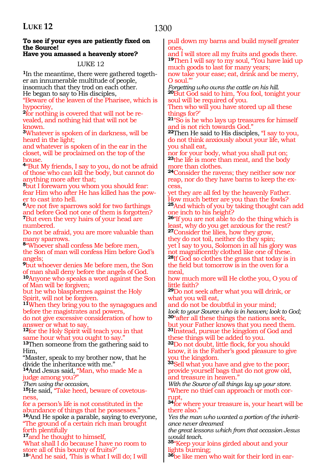### **To see if your eyes are patiently fixed on the Source!**

### **Have you amassed a heavenly store?**

LUKE 12

**1**In the meantime, there were gathered together an innumerable multitude of people, insomuch that they trod on each other. He began to say to His disciples,

"Beware of the leaven of the Pharisee, which is hypocrisy,

**2**for nothing is covered that will not be revealed, and nothing hid that will not be known.

**<sup>3</sup>**Whatever is spoken of in darkness, will be heard in the light;

and whatever is spoken of in the ear in the closet, will be proclaimed on the top of the house.

**<sup>4</sup>**"But My friends, I say to you, do not be afraid of those who can kill the body, but cannot do anything more after that;

**<sup>5</sup>**but I forewarn you whom you should fear: fear Him who after He has killed has the power to cast into hell.

**<sup>6</sup>**Are not five sparrows sold for two farthings and before God not one of them is forgotten? **<sup>7</sup>**But even the very hairs of your head are numbered.

Do not be afraid, you are more valuable than many sparrows.

**<sup>8</sup>**"Whoever shall confess Me before men, the Son of man will confess Him before God's angels;

**<sup>9</sup>**but whoever denies Me before men, the Son of man shall deny before the angels of God. **<sup>10</sup>**Anyone who speaks a word against the Son of Man will be forgiven;

but he who blasphemes against the Holy Spirit, will not be forgiven.

**<sup>11</sup>**When they bring you to the synagogues and before the magistrates and powers,

do not give excessive consideration of how to answer or what to say,

**<sup>12</sup>**for the Holy Spirit will teach you in that same hour what you ought to say."

**<sup>13</sup>**Then someone from the gathering said to Him,

"Master, speak to my brother now, that he divide the inheritance with me."

**<sup>14</sup>**And Jesus said, "Man, who made Me a judge among you?"<br>Then using the occasion,

15<sub>He said, "Take heed, beware of covetous-</sub> ness,

for a person's life is not constituted in the abundance of things that he possesses." **<sup>16</sup>**And He spoke a parable, saying to everyone,

"The ground of a certain rich man brought forth plentifully

**<sup>17</sup>**and he thought to himself,

'What shall I do because I have no room to store all of this bounty of fruits?'

**<sup>18</sup>**"And he said, 'This is what I will do; I will

pull down my barns and build myself greater ones,

and I will store all my fruits and goods there. **<sup>19</sup>**Then I will say to my soul, "You have laid up much goods to last for many years;

now take your ease; eat, drink and be merry, O soul."'

*Forgetting who owns the cattle on his hill.* **<sup>20</sup>**But God said to him, 'You fool, tonight your soul will be required of you.

Then who will you have stored up all these things for?'

**<sup>21</sup>**"So is he who lays up treasures for himself and is not rich towards God."

**<sup>22</sup>**Then He said to His disciples, "I say to you, do not think anxiously about your life, what you shall eat,

nor for your body, what you shall put on; **<sup>23</sup>**the life is more than meat, and the body more than clothes.

**<sup>24</sup>**Consider the ravens; they neither sow nor reap, nor do they have barns to keep the ex**cess** 

yet they are all fed by the heavenly Father. How much better are you than the fowls? **<sup>25</sup>**And which of you by taking thought can add one inch to his height?

**<sup>26</sup>**"If you are not able to do the thing which is least, why do you get anxious for the rest?

**<sup>27</sup>**Consider the lilies, how they grow, they do not toil, neither do they spin; yet I say to you, Solomon in all his glory was not magnificently clothed like one of these. **<sup>28</sup>**If God so clothes the grass that today is in the field but tomorrow is in the oven for a meal,

how much more will He clothe you, O you of little faith?

**<sup>29</sup>**Do not seek after what you will drink, or what you will eat,

and do not be doubtful in your mind; *look to your Source who is in heaven; look to God;* **<sup>30</sup>**"after all these things the nations seek, but your Father knows that you need them. **<sup>31</sup>**Instead, pursue the kingdom of God and these things will be added to you.

**<sup>32</sup>**Do not doubt, little flock, for you should know, it is the Father's good pleasure to give you the kingdom.

**<sup>33</sup>**Sell what you have and give to the poor; provide yourself bags that do not grow old, and treasure in heaven."

*With the Source of all things lay up your store.* "Where no thief can approach or moth corrupt,

**<sup>34</sup>**for where your treasure is, your heart will be there also."

*Yes the man who wanted a portion of the inheritance never dreamed*

*the great lessons which from that occasion Jesus would teach.* 

**<sup>35</sup>**"Keep your loins girded about and your lights burning;

**36**be like men who wait for their lord in ear-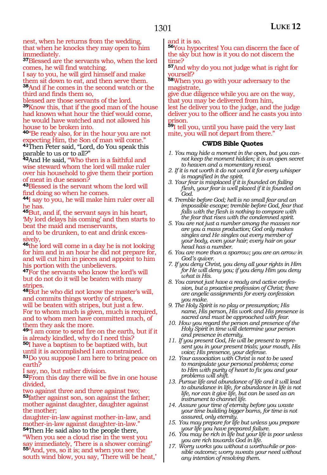nest, when he returns from the wedding, that when he knocks they may open to him immediately.

**<sup>37</sup>**Blessed are the servants who, when the lord comes, he will find watching.

I say to you, he will gird himself and make them sit down to eat, and then serve them. **<sup>38</sup>**And if he comes in the second watch or the third and finds them so,

blessed are those servants of the lord. **<sup>39</sup>**Know this, that if the good man of the house had known what hour the thief would come, he would have watched and not allowed his house to be broken into.

**<sup>40</sup>**"Be ready also, for in the hour you are not pecting Him, the Son of man will come."

**<sup>41</sup>**Then Peter said, "Lord, do You speak this parable to us or to all?"

**<sup>42</sup>**And He said, "Who then is a faithful and wise steward whom the lord will make ruler over his household to give them their portion of meat in due season?

**<sup>43</sup>**Blessed is the servant whom the lord will find doing so when he comes.

**<sup>44</sup>**I say to you, he will make him ruler over all he has.

**<sup>45</sup>**But, and if, the servant says in his heart, 'My lord delays his coming' and then starts to beat the maid and menservants,

and to be drunken, to eat and drink excessively,

**<sup>46</sup>**the lord will come in a day he is not looking for him and in an hour he did not prepare for, and will cut him in pieces and appoint to him his portion with the unbelievers.

**<sup>47</sup>**For the servants who know the lord's will but do not do it will be beaten with many stripes.

**<sup>48</sup>**But he who did not know the master's will, and commits things worthy of stripes, will be beaten with stripes, but just a few. For to whom much is given, much is required, and to whom men have committed much, of them they ask the more.

**<sup>49</sup>**"I am come to send fire on the earth, but if it is already kindled, why do I need this?

**<sup>50</sup>**I have a baptism to be baptized with, but until it is accomplished I am constrained.

**<sup>51</sup>**Do you suppose I am here to bring peace on earth?

I say, no, but rather division.

**<sup>52</sup>**From this day there will be five in one house divided,

two against three and three against two; **<sup>53</sup>**father against son, son against the father; mother against daughter, daughter against the mother;

daughter-in-law against mother-in-law, and mother-in-law against daughter-in-law."

**<sup>54</sup>**Then He said also to the people there, "When you see a cloud rise in the west you say immediately, There is a shower coming!' **<sup>55</sup>**"And, yes, so it is; and when you see the

south wind blow, you say, There will be heat,

and it is so.

**<sup>56</sup>**You hypocrites! You can discern the face of the sky but how is it you do not discern the time?

**<sup>57</sup>**And why do you not judge what is right for yourself?

**<sup>58</sup>**When you go with your adversary to the magistrate,

give due diligence while you are on the way, that you may be delivered from him,

lest he deliver you to the judge, and the judge deliver you to the officer and he casts you into prison.

**<sup>59</sup>**I tell you, until you have paid the very last mite, you will not depart from there."

- *1. You may hide a moment in the open, but you cannot keep the moment hidden; it is an open secret to heaven and a momentary reveal.*
- *2. If it is not worth it do not word it for every whisper is magnified in the spirit.*
- *3. Your fear is misplaced if it is founded on failing flesh, your fear is well placed if it is founded on God.*
- *4. Tremble before God; hell is no small fear and an impossible escape; tremble before God, fear that falls with the flesh is nothing to compare with the fear that rises with the condemned spirit.*
- *5. You are not just a number among the masses nor are you a mass production; God only makes singles and He singles out every member of your body, even your hair; every hair on your head has a number.*
- *6. You are more than a sparrow; you are an arrow in God's quiver.*
- *7. If you deny Christ, you deny all your rights in Him for He will deny you; if you deny Him you deny what is His.*
- *8. You cannot just have a ready and active confession, but a proactive profession of Christ; there are angelic assignments for every confession you make.*
- *9. The Holy Spirit is no play or presumption; His name, His person, His work and His presence is sacred and must be approached with fear.*
- *10. How you regard the person and presence of the Holy Spirit in time will determine your person and presence in eternity.*
- *11. If you present God, He will be present to represent you in your present trials; your mouth, His voice; His presence, your defense.*
- *12. Your association with Christ is not to be used to manipulate your personal problems; come to Him with purity of heart to fix you and your problems will shift.*
- *13. Pursue life and abundance of life and it will lead to abundance in life, for abundance in life is not life, nor can it give life, but can be used as an instrument to channel life.*
- *14. Assure your time of eternity before you waste your time building bigger barns, for time is not assured, only eternity.*
- *15. You may prepare for life but unless you prepare your life you have prepared failure.*
- *16. You may be rich in life but your life is poor unless you are rich towards God in life.*
- *17. Worry works you without a worthwhile or possible outcome; worry sweats your need without any intention of resolving them.*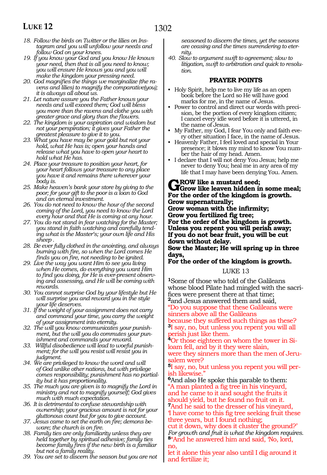- *18. Follow the birds on Twitter or the lilies on Instagram and you will unfollow your needs and follow God on your knees.*
- *19. If you know your God and you know He knows your need, then that is all you need to know; you will ensure He knows you and you will make the kingdom your pressing need.*
- *20. God magnifies the things we marginalize (the ravens and lilies) to magnify the comparative(you); it is always all about us.*
- *21. Let nature assure you the Father knows your needs and will exceed them; God will bless you more than the ravens and clothe you with greater grace and glory than the flowers.*
- *22. The kingdom is your aspiration and wisdom but not your perspiration; it gives your Father the greatest pleasure to give it to you.*
- *23. What you have may be your gold but not your hold, what He has is; open your hands and release what you have to open your heart to hold what He has.*
- *24. Place your treasure to position your heart, for your heart follows your treasure to any place you have it and remains there wherever your body is.*
- *25. Make heaven's bank your store by giving to the poor; for your gift to the poor is a loan to God and an eternal investment.*
- *26. You do not need to know the hour of the second coming of the Lord, you need to know the Lord every hour and that He is coming at any hour.*
- *27. You do not stand in fear watching for the Master; you stand in faith watching and carefully tending what is the Master's; your own life and His sheep .*
- *28. Be ever fully clothed in the anointing, and always burning with fire, so when the Lord comes He finds you on fire, not needing to be ignited.*
- *29. Live the way you want Him to see you living when He comes, do everything you want Him to find you doing, for He is ever-present observing and assessing, and He will be coming with rewards.*
- *30. You cannot surprise God by your lifestyle but He will surprise you and reward you in the style your life deserves.*
- *31. If the weight of your assignment does not carry and command your time, you carry the weight of your assignment into eternity.*
- *32. The will you know communicates your punishment, but the will you do commutes your punishment and commands your reward.*
- *33. Willful disobedience will lead to woeful punishment; for the will you resist will resist you in judgment.*
- *34. We are privileged to know the word and will of God unlike other nations, but with privilege comes responsibility; punishment has no partiality but it has proportionality.*
- *35. The much you are given is to magnify the Lord in ministry and not to magnify yourself; God gives much with much expectation.*
- *36. It is detrimental to confuse stewardship with ownership; your gracious amount is not for your gluttonous count but for you to give account.*
- *37. Jesus came to set the earth on fire; demons beware; the church is on fire.*
- *38. Family ties are only familiarity unless they are held together by spiritual adhesive; family ties become family fires if the new birth is a familiar but not a family reality.*
- *39. You are set to discern the season but you are not*

*seasoned to discern the times, yet the seasons are ceasing and the times surrendering to eternity.* 

*40. Slow to argument swift to agreement; slow to litigation, swift to arbitration and quick to resolution.*

### **PRAYER POINTS**

- Holy Spirit, help me to live my life as an open book before the Lord so He will have good marks for me, in the name of Jesus.
- Power to control and direct our words with precision, be the portion of every kingdom citizen; I cancel every idle word before it is uttered, in the name of Jesus.
- My Father, my God, I fear You only and faith every other situation I face, in the name of Jesus.
- Heavenly Father, I feel loved and special in Your presence; it blows my mind to know You number the hair of my head. Amen.
- I declare that I will not deny You Jesus; help me never to deny You; heal me in any area of my life that I may have been denying You. Amen.

GROW like a mustard seed;<br>
Grow like leaven hidden in some meal;<br>
For the extended of the bingdom is grantly **For the order of the kingdom is growth. Grow supernaturally; Grow woman with the infirmity; Grow you fertilized fig tree; For the order of the kingdom is growth. Unless you repent you will perish away; If you do not bear fruit, you will be cut down without delay. Sow the Master; He will spring up in three days,**

### **For the order of the kingdom is growth.**

### LUKE 13

**<sup>1</sup>**Some of those who told of the Galileans whose blood Pilate had mingled with the sacri- fices were present there at that time; **<sup>2</sup>**and Jesus answered them and said,

"Do you suppose that these Galileans were sinners above all the Galileans

because they suffered such things as these? **<sup>3</sup>**I say, no, but unless you repent you will all perish just like them.

**<sup>4</sup>**Or those eighteen on whom the tower in Si- loam fell, and by it they were slain,

were they sinners more than the men of Jeru- salem were?

**<sup>5</sup>**I say, no, but unless you repent you will per- ish likewise."

**<sup>6</sup>**And also He spoke this parable to them: "A man planted a fig tree in his vineyard, and he came to it and sought the fruits it should yield, but he found no fruit on it. **<sup>7</sup>**And he said to the dresser of his vineyard, 'I have come to this fig tree seeking fruit these

three years, but I found nothing;

cut it down, why does it cluster the ground?' *For growth and fruit is what the kingdom requires.* **<sup>8</sup>**"And he answered him and said, 'No, lord, no,

let it alone this year also until I dig around it and fertilize it;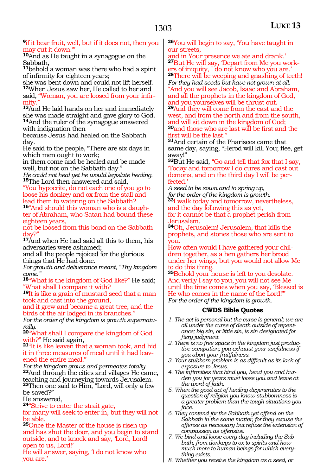#### **<sup>9</sup>**if it bear fruit, well, but if it does not, then you may cut it down.'"

**<sup>10</sup>**And as He taught in a synagogue on the Sabbath,

**<sup>11</sup>**behold a woman was there who had a spirit of infirmity for eighteen years;

she was bent down and could not lift herself. **<sup>12</sup>**When Jesus saw her, He called to her and said, "Woman, you are loosed from your infir- mity."

**<sup>13</sup>**And He laid hands on her and immediately she was made straight and gave glory to God. **<sup>14</sup>**And the ruler of the synagogue answered with indignation then

because Jesus had healed on the Sabbath day.

He said to the people, "There are six days in which men ought to work;

in them come and be healed and be made well, but not on the Sabbath day."

*He could not heal yet he would legislate healing.* **<sup>15</sup>**The Lord then answered and said,

"You hypocrite, do not each one of you go to loose his donkey and ox from the stall and lead them to watering on the Sabbath? **16**"And should this woman who is a daugh-

ter of Abraham, who Satan had bound these eighteen years,

not be loosed from this bond on the Sabbath day?"

**<sup>17</sup>**And when He had said all this to them, his adversaries were ashamed;

and all the people rejoiced for the glorious things that He had done.

*For growth and deliverance meant, "Thy kingdom come."*

**<sup>18</sup>**"What is the kingdom of God like?" He said; "What shall I compare it with?

**<sup>19</sup>**It is like a grain of mustard seed that a man took and cast into the ground,

and it grew and became a great tree, and the birds of the air lodged in its branches."

*For the order of the kingdom is growth supernaturally.*

**<sup>20</sup>**"What shall I compare the kingdom of God

<sup>21</sup>"It is like leaven that a woman took, and hid it in three measures of meal until it had leavened the entire meal."

*For the kingdom grows and permeates totally.* **<sup>22</sup>**And through the cities and villages He came, teaching and journeying towards Jerusalem. **<sup>23</sup>**Then one said to Him, "Lord, will only a few be saved?"

He answered,

**<sup>24</sup>**"Strive to enter the strait gate,

for many will seek to enter in, but they will not be able.

**<sup>25</sup>**Once the Master of the house is risen up and has shut the door, and you begin to stand outside, and to knock and say, 'Lord, Lord! open to us, Lord!'

He will answer, saying, 'I do not know who you are.'

**<sup>26</sup>**You will begin to say, 'You have taught in our streets,

and in Your presence we ate and drank.' **<sup>27</sup>**But He will say, 'Depart from Me you work- ers of iniquity, I do not know who you are.' **<sup>28</sup>**There will be weeping and gnashing of teeth! *For they had seeds but have not grown at all.* "And you will see Jacob, Isaac and Abraham, and all the prophets in the kingdom of God, and you yourselves will be thrust out. **<sup>29</sup>**And they will come from the east and the west, and from the north and from the south, and will sit down in the kingdom of God; **<sup>30</sup>**and those who are last will be first and the first will be the last."

**<sup>31</sup>**And certain of the Pharisees came that same day, saying, "Herod will kill You; flee, get away!"

**<sup>32</sup>**But He said, "Go and tell that fox that I say, 'Today and tomorrow I do cures and cast out demons, and on the third day I will be perfected.'

*A seed to be sown and to spring up, for the order of the kingdom is growth.* **<sup>33</sup>**I walk today and tomorrow, nevertheless, and the day following this as yet,

for it cannot be that a prophet perish from Jerusalem.

**<sup>34</sup>**Oh, Jerusalem! Jerusalem, that kills the prophets, and stones those who are sent to you.

How often would I have gathered your children together, as a hen gathers her brood under her wings, but you would not allow Me to do this thing.

**<sup>35</sup>**Behold your house is left to you desolate. And verily I say to you, you will not see Me until the time comes when you say, 'Blessed is He who comes in the name of the Lord!'" *For the order of the kingdom is growth.*

- *1. The act is personal but the curse is general; we are all under the curse of death outside of repentance; big sin, or little sin, is sin designated for fiery judgment.*
- *2. There is no free space in the kingdom just productive occupation; you exhaust your usefulness if you abort your fruitfulness.*
- *3. Your stubborn problem is as difficult as its lack of exposure to Jesus.*
- *4. The infirmities that bind you, bend you and burden you for years must loose you and leave at the word of faith.*
- *5. When the good act of healing degenerates to the question of religion you know stubbornness is a greater problem than the tough situations you face.*
- *6. They contend for the Sabbath yet offend on the Sabbath in the same matter, for they excuse the offense as necessary but refuse the extension of compassion as offensive.*
- *7. We bind and loose every day including the Sabbath, from donkeys to ox to spirits and how much more to human beings for which everything exists.*
- *8. Whether you receive the kingdom as a seed, or*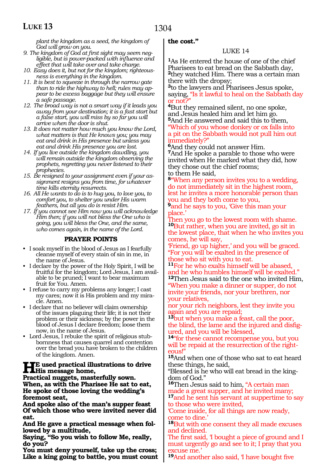*plant the kingdom as a seed, the kingdom of God will grow on you.* 

- *9. The kingdom of God at first sight may seem negligible, but is power-packed with influence and effect that will take over and take charge.*
- *10. Easy does it, but not for the kingdom; righteousness is everything in the kingdom.*
- *11. It is best to squeeze in through the narrow gate than to ride the highway to hell; rules may appear to be excess baggage but they will ensure a safe passage.*
- *12. The broad way is not a smart way if it leads you away from your destination; it is a fast start but a false start, you will miss by so far you will arrive when the door is shut.*
- *13. It does not matter how much you know the Lord, what matters is that He knows you; you may eat and drink in His presence but unless you eat and drink His presence you are lost.*
- *14. If you live outside the kingdom dawdling, you will remain outside the kingdom observing the prophets, regretting you never listened to their prophecies.*
- *15. Be resigned to your assignment even if your assignment resigns you from time, for whatever time kills eternity resurrects.*
- *16. All He wants to do is to hug you, to love you, to comfort you, to shelter you under His warm feathers, but all you do is resist Him.*
- *17. If you cannot see Him now you will acknowledge Him then; if you will not bless the One who is going, you will bless the One, and the same, who comes again, in the name of the Lord.*

### **PRAYER POINTS**

• I soak myself in the blood of Jesus as I fearfully cleanse myself of every stain of sin in me, in the name of Jesus.

- I declare by the power of the Holy Spirit, I will be fruitful for the kingdom; Lord Jesus, I am available to be pruned; I want to bear maximum fruit for You. Amen.
- I refuse to carry my problems any longer; I cast my cares; now it is His problem and my miracle. Amen.
- I declare that no believer will claim ownership of the issues plaguing their life; it is not their problem or their sickness; by the power in the blood of Jesus I declare freedom; loose them now, in the name of Jesus.
- Lord Jesus, I rebuke the spirit of religious stubbornness that causes quarrel and contention over the bread you have broken to the children of the kingdom. Amen.

### **HE** used practical illustrations to drive **His message home,**

**Practical nuggets, masterfully sown. When, as with the Pharisee He sat to eat, He spoke of those loving the wedding's foremost seat,**

**And spoke also of the man's supper feast Of which those who were invited never did eat.**

**And He gave a practical message when followed by a multitude,**

**Saying, "So you wish to follow Me, really, do you?**

**You must deny yourself, take up the cross; Like a king going to battle, you must count** 

### **the cost."**

### LUKE 14

**<sup>1</sup>**As He entered the house of one of the chief Pharisees to eat bread on the Sabbath day, **<sup>2</sup>**they watched Him. There was a certain man there with the dropsy;

**<sup>3</sup>**to the lawyers and Pharisees Jesus spoke, saying, "Is it lawful to heal on the Sabbath day or not?

**<sup>4</sup>**But they remained silent, no one spoke, and Jesus healed him and let him go. **<sup>5</sup>**And He answered and said this to them,

"Which of you whose donkey or ox falls into a pit on the Sabbath would not pull him out immediately?"

**<sup>6</sup>**And they could not answer Him. **<sup>7</sup>**And He spoke a parable to those who were invited when He marked what they did, how they chose out the chief rooms; to them He said,

**<sup>8</sup>**"When any person invites you to a wedding, do not immediately sit in the highest room, lest he invites a more honorable person than you and they both come to you,

**<sup>9</sup>**and he says to you, 'Give this man your place.'

Then you go to the lowest room with shame. **<sup>10</sup>**But rather, when you are invited, go sit in the lowest place, that when he who invites you comes, he will say,

'Friend, go up higher,' and you will be graced. "For you will be exalted in the presence of those who sit with you to eat.

**<sup>11</sup>**For he who exalts himself will be abased, and he who humbles himself will be exalted." **<sup>12</sup>**Then Jesus said to the one who invited Him, "When you make a dinner or supper, do not invite your friends, nor your brethren, nor your relatives,

nor your rich neighbors, lest they invite you again and you are repaid;

**<sup>13</sup>**but when you make a feast, call the poor, the blind, the lame and the injured and disfigured, and you will be blessed,

**<sup>14</sup>**"for these cannot recompense you, but you will be repaid at the resurrection of the righteous!"

**<sup>15</sup>**And when one of those who sat to eat heard these things, he said,

"Blessed is he who will eat bread in the kingdom of God."

**<sup>16</sup>**Then Jesus said to him, "A certain man made a great supper, and he invited many; **<sup>17</sup>**and he sent his servant at suppertime to say

to those who were invited, 'Come inside, for all things are now ready, come to dine.'

**<sup>18</sup>**But with one consent they all made excuses and declined.

The first said, I bought a piece of ground and I must urgently go and see to it; I pray that you excuse me.'

**<sup>19</sup>**And another also said, 'I have bought five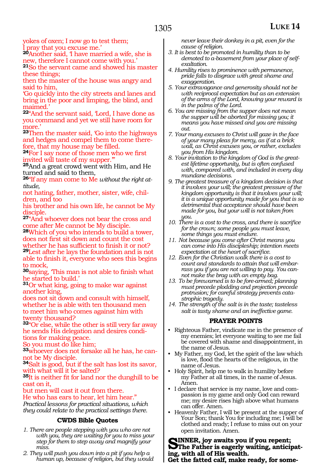yokes of oxen; I now go to test them; I pray that you excuse me.'

**<sup>20</sup>**Another said, 'I have married a wife, she is new, therefore I cannot come with you.'

**<sup>21</sup>**So the servant came and showed his master these things;

then the master of the house was angry and said to him,

'Go quickly into the city streets and lanes and bring in the poor and limping, the blind, and maimed.'

**<sup>22</sup>**"And the servant said, 'Lord, I have done as you command and yet we still have room for more.'

**<sup>23</sup>**Then the master said, 'Go into the highways and hedges and compel them to come therefore, that my house may be filled.

**<sup>24</sup>**For I say none of those men who we first invited will taste of my supper.'"

**<sup>25</sup>**And a great crowd went with Him, and He turned and said to them,

**<sup>26</sup>**"If any man come to Me *without the right attitude,*

not hating, father, mother, sister, wife, children, and too

his brother and his own life, he cannot be My disciple.

**<sup>27</sup>**"And whoever does not bear the cross and come after Me cannot be My disciple.

**<sup>28</sup>**Which of you who intends to build a tower, does not first sit down and count the cost

whether he has sufficient to finish it or not? **<sup>29</sup>**Lest after he lays the foundation and is not able to finish it, everyone who sees this begins to mock,

**<sup>30</sup>**saying, 'This man is not able to finish what he started to build.'

**<sup>31</sup>**Or what king, going to make war against another king,

does not sit down and consult with himself, whether he is able with ten thousand men to meet him who comes against him with twenty thousand?

**<sup>32</sup>**"Or else, while the other is still very far away he sends His delegation and desires conditions for making peace.

So you must do like him;

**33**whoever does not forsake all he has, he cannot be My disciple.

**<sup>34</sup>**Salt is good, but if the salt has lost its savor, with what will it be salted?

**<sup>35</sup>**It is neither fit for land nor the dunghill to be cast on it,

but men will cast it out from there.

He who has ears to hear, let him hear."

*Practical lessons for practical situations, which they could relate to the practical settings there.*

### **CWDS Bible Quotes**

- *1. There are people stepping with you who are not with you, they are waiting for you to miss your step for them to step away and magnify your miss.*
- *2. They will push you down into a pit if you help a human up, because of religion, but they would*

*never leave their donkey in a pit, even for the cause of religion.* 

- *3. It is best to be promoted in humility than to be demoted to a-basement from your place of selfexaltation.*
- *4. Humility rises to prominence with permanence, pride falls to disgrace with great shame and exaggeration.*
- *5. Your extravagance and generosity should not be with reciprocal expectation but as an extension of the arms of the Lord, knowing your reward is in the palms of the Lord.*
- *6. You are missing from the supper does not mean the supper will be aborted for missing you; it means you have missed and you are missing out.*
- *7. Your many excuses to Christ will gaze in the face of your many pleas for mercy, as if at a brick wall, as Christ excuses you, or rather, excludes you from His kingdom.*
- *8. Your invitation to the kingdom of God is the greatest lifetime opportunity, but is often confused with, compared with, and included in every day mundane decisions.*
- *9. The greatest treasure of a kingdom decision is that it involves your will; the greatest pressure of the kingdom opportunity is that it involves your will; it is a unique opportunity made for you that is so detrimental that acceptance should have been made for you, but your will is not taken from you.*
- *10. There is a cost to the cross, and there is sacrifice for the crown; some people you must leave, some things you must endure.*
- *11. Not because you come after Christ means you can come into His discipleship; intention meets expectation at the heart of sacrifice.*
- *12. Even for the Christian walk there is a cost to count and standards to attain that will embarrass you if you are not willing to pay. You cannot make the brag with an empty bag.*
- *13. To be forewarned is to be fore-armed; planning must precede plodding and projection precede protrusion; for careful strategy prevents catastrophic tragedy.*
- *14. The strength of the salt is in the taste; tasteless salt is tasty shame and an ineffective game.*

### **PRAYER POINTS**

- Righteous Father, vindicate me in the presence of my enemies; let everyone waiting to see me fail be covered with shame and disappointment, in the name of Jesus.
- My Father, my God, let the spirit of the law which is love, flood the hearts of the religious, in the name of Jesus.
- Holy Spirit, help me to walk in humility before my Father at all times, in the name of Jesus. Amen.
- I declare that service is my name, love and compassion is my game and only God can reward me; my desire rises high above what humans can offer. Amen.
- Heavenly Father, I will be present at the supper of Your Son; thank You for including me; I will be clothed and ready; I refuse to miss out on your open invitation. Amen.

**SINNER, joy awaits you if you repent;**<br> **S**The Father is eagerly waiting, anticipating, with all of His wealth.

**Get the fatted calf, make ready, for some-**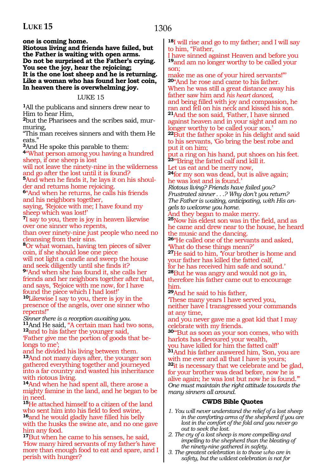**one is coming home.**

**Riotous living and friends have failed, but the Father is waiting with open arms. Do not be surprised at the Father's crying. You see the joy, hear the rejoicing; It is the one lost sheep and he is returning. Like a woman who has found her lost coin, In heaven there is overwhelming joy.**

#### LUKE 15

**<sup>1</sup>**All the publicans and sinners drew near to Him to hear Him,

**2**but the Pharisees and the scribes said, murmuring,

"This man receives sinners and with them He eats."

**<sup>3</sup>**And He spoke this parable to them:

**<sup>4</sup>**"What person among you having a hundred sheep, if one sheep is lost

will not leave the ninety-nine in the wilderness and go after the lost until it is found?

**5**And when he finds it, he lays it on his shoulder and returns home rejoicing.

**<sup>6</sup>**"And when he returns, he calls his friends and his neighbors together,

saying, 'Rejoice with me; I have found my sheep which was lost!'

**<sup>7</sup>**I say to you, there is joy in heaven likewise over one sinner who repents,

than over ninety-nine just people who need no cleansing from their sins.

**<sup>8</sup>**Or what woman, having ten pieces of silver coin, if she should lose one piece

will not light a candle and sweep the house and seek diligently until she finds it? **<sup>9</sup>**"And when she has found it, she calls her

friends and her neighbors together after that, and says, 'Rejoice with me now, for I have found the piece which I had lost!'

**<sup>10</sup>**Likewise I say to you, there is joy in the presence of the angels, over one sinner who repents!"

*Sinner there is a reception awaiting you.*  **<sup>11</sup>**And He said, "A certain man had two sons, **<sup>12</sup>**and to his father the younger said, 'Father give me the portion of goods that be- longs to me';

and he divided his living between them. **<sup>13</sup>**And not many days after, the younger son gathered everything together and journeyed into a far country and wasted his inheritance with riotous living.

**<sup>14</sup>**And when he had spent all, there arose a mighty famine in the land, and he began to be in need.

**<sup>15</sup>**He attached himself to a citizen of the land who sent him into his field to feed swine, **<sup>16</sup>**and he would gladly have filled his belly with the husks the swine ate, and no one gave him any food.

**<sup>17</sup>**But when he came to his senses, he said, 'How many hired servants of my father's have more than enough food to eat and spare, and I perish with hunger?

**<sup>18</sup>**I will rise and go to my father; and I will say to him, "Father,

I have sinned against Heaven and before you **<sup>19</sup>**and am no longer worthy to be called your son;

make me as one of your hired servants!"' **<sup>20</sup>**"And he rose and came to his father. When he was still a great distance away his father saw him and *his heart danced,*  and being filled with joy and compassion, he ran and fell on his neck and kissed his son. **21**And the son said, Father, I have sinned

against heaven and in your sight and am no longer worthy to be called your son.'

**<sup>22</sup>**But the father spoke in his delight and said to his servants, 'Go bring the best robe and put it on him;

put a ring on his hand, put shoes on his feet. **<sup>23</sup>**"'Bring the fatted calf and kill it.

Let us eat and be merry now, **<sup>24</sup>**for my son was dead, but is alive again; he was lost and is found.'

*Riotous living? Friends have failed you? Frustrated sinner . . .? Why don't you return? The Father is waiting, anticipating, with His angels to welcome you home.* 

And they began to make merry.

**<sup>25</sup>**Now his eldest son was in the field, and as he came and drew near to the house, he heard the music and the dancing.

**<sup>26</sup>**"He called one of the servants and asked, 'What do these things mean?'

**<sup>27</sup>**He said to him, 'Your brother is home and your father has killed the fatted calf, for he has received him safe and sound.'

**<sup>28</sup>**But he was angry and would not go in, therefore his father came out to encourage him.

**<sup>29</sup>**And he said to his father,

'These many years I have served you, neither have I transgressed your commands at any time,

and you never gave me a goat kid that I may celebrate with my friends.

**<sup>30</sup>**"'But as soon as your son comes, who with harlots has devoured your wealth,

you have killed for him the fatted calf!' **<sup>31</sup>**And his father answered him, 'Son, you are

with me ever and all that I have is yours;

**<sup>32</sup>**it is necessary that we celebrate and be glad, for your brother was dead before, now he is alive again; he was lost but now he is found.'"

*One must maintain the right attitude towards the many sinners all around.* 

- *1. You will never understand the relief of a lost sheep in the comforting arms of the shepherd if you are lost in the comfort of the fold and you never go out to seek the lost.*
- *2. The cry of a lost sheep is more compelling and impelling to the shepherd than the bleating of the ninety-nine gathered in safety.*
- *3. The greatest celebration is to those who are in safety, but the wildest celebration is not for*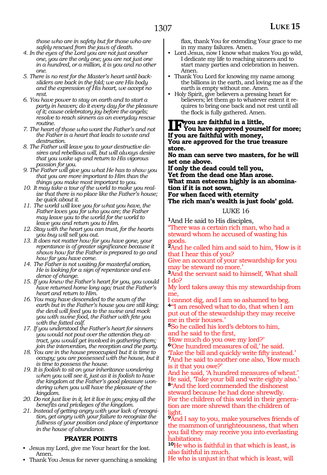*those who are in safety but for those who are safely rescued from the jaws of death.* 

- *4. In the eyes of the Lord you are not just another one, you are the only one; you are not just one in a hundred, or a million, it is you and no other one.*
- *5. There is no rest for the Master's heart until backsliders are back in the fold; we are His body and the expression of His heart, we accept no rest.*
- *6. You have power to stay on earth and to start a party in heaven; do it every day for the pleasure of it; cause celebratory joy before the angels; resolve to reach sinners as an everyday rescue routine.*
- *7. The heart of those who want the Father's and not the Father is a heart that leads to waste and destruction.*
- *8. The Father will leave you to your destructive desires and rebellious will, but will always desire that you wake up and return to His vigorous passion for you.*
- *9. The Father will give you what He has to show you that you are more important to Him than the things you make most important to you.*
- *10. It may take a tour of the world to make you realize that there is no place like the Father's house; be quick about it.*
- *11. The world will love you for what you have, the Father loves you for who you are; the Father may leave you to the world for the world to leave you and return you to Him.*
- *12. Stay with the heart you can trust, for the hearts you buy will sell you out.*
- *13. It does not matter how far you have gone, your repentance is of greater significance because it shows how far the Father is prepared to go and how far you have come.*
- *14. The Father is not waiting for masterful oration, He is looking for a sign of repentance and evidence of change.*
- *15. If you knew the Father's heart for you, you would have returned home long ago; trust the Father's heart and return to Him.*
- *16. You may have descended to the scum of the earth but in the Father's house you are still king; the devil will feed you to the swine and mock you with swine food, the Father with fete you with the fatted calf.*
- *17. If you understood the Father's heart for sinners you would not pout over the attention they attract, you would get involved in gathering them; join the intervention, the reception and the party.*
- *18. You are in the house preoccupied but it is time to occupy; you are possessed with the house, but it is time to possess the house.*
- *19. It is foolish to sit on your inheritance wondering when you will see it, just as it is foolish to have the kingdom at the Father's good pleasure wondering when you will have the pleasure of the kingdom.*
- *20. Do not just live in it, let it live in you; enjoy all the benefits and privileges of the kingdom.*
- *21. Instead of getting angry with your lack of recognition, get angry with your failure to recognize the fullness of your position and place of importance in the house of abundance.*

### **PRAYER POINTS**

- Jesus my Lord, give me Your heart for the lost. Amen.
- Thank You Jesus for never quenching a smoking

flax, thank You for extending Your grace to me in my many failures. Amen.

- Lord Jesus, now I know what makes You go wild, I dedicate my life to reaching sinners and to start many parties and celebration in heaven. Amen.
- Thank You Lord for knowing my name among the billions in the earth, and loving me as if the earth is empty without me. Amen.
- Holy Spirit, give believers a pressing heart for believers; let them go to whatever extent it requires to bring one back and not rest until all the flock is fully gathered. Amen.

## **IF** you are faithful in a little,<br>
You have approved yourself for more;<br> **If you are faithful with money: If you are faithful with money,**

**You are approved for the true treasure store.**

**No man can serve two masters, for he will set one above.**

**If only the dead could tell you, Yet from the dead one Man arose. What man esteems highly is an abomination if it is not sown, For when faced with eternity**

**The rich man's wealth is just fools' gold.**

### LUKE 16

**<sup>1</sup>**And He said to His disciples,

"There was a certain rich man, who had a steward whom he accused of wasting his goods.

**<sup>2</sup>**And he called him and said to him, 'How is it that I hear this of you?

Give an account of your stewardship for you may be steward no more.'

**<sup>3</sup>**And the servant said to himself, 'What shall I do?

My lord takes away this my stewardship from me,

cannot dig, and I am so ashamed to beg. **<sup>4</sup>**"'I am resolved what to do, that when I am

put out of the stewardship they may receive me in their houses.'

**<sup>5</sup>**So he called his lord's debtors to him, and he said to the first,

'How much do you owe my lord?'

**<sup>6</sup>**'One hundred measures of oil,' he said.

'Take the bill and quickly write fifty instead.' **<sup>7</sup>**And he said to another one also, 'How much is it that you owe?'

And he said, 'A hundred measures of wheat.' He said, Take your bill and write eighty also.' **<sup>8</sup>**"And the lord commended the dishonest

steward because he had done shrewdly.

For the children of this world in their generation are more shrewd than the children of light.

**<sup>9</sup>**And I say to you, make yourselves friends of the mammon of unrighteousness, that when you fail they may receive you into everlasting habitations.

**<sup>10</sup>**He who is faithful in that which is least, is also faithful in much.

He who is unjust in that which is least, will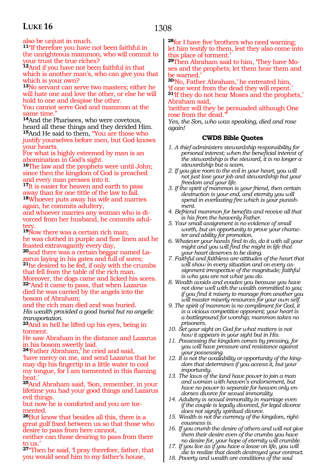1308

also be unjust in much.

**<sup>11</sup>**"If therefore you have not been faithful in the unrighteous mammon, who will commit to your trust the true riches?

**<sup>12</sup>**And if you have not been faithful in that which is another man's, who can give you that which is your own?

**<sup>13</sup>**No servant can serve two masters; either he will hate one and love the other, or else he will hold to one and despise the other.

You cannot serve God and mammon at the same time."

**<sup>14</sup>**And the Pharisees, who were covetous, heard all these things and they derided Him.

**<sup>15</sup>**And He said to them, "You are those who justify yourselves before men, but God knows your hearts.

For what is highly esteemed by man is an abomination in God's sight.

**<sup>16</sup>**The law and the prophets were until John; since then the kingdom of God is preached and every man presses into it.

**<sup>17</sup>**It is easier for heaven and earth to pass away than for one tittle of the law to fail. **<sup>18</sup>**Whoever puts away his wife and marries again, he commits adultery,

and whoever marries any woman who is divorced from her husband, he commits adultery.

**<sup>19</sup>**Now there was a certain rich man; he was clothed in purple and fine linen and he feasted extravagantly every day,

**20**and there was a certain beggar named Lazarus laying in his gates and full of sores; **<sup>21</sup>**he desired to be fed, if only with the crumbs that fell from the table of the rich man. Moreover, the dogs came and licked his sores. **<sup>22</sup>**"And it came to pass, that when Lazarus died he was carried by the angels into the bosom of Abraham;

and the rich man died and was buried. *His wealth provided a good burial but no angelic transportation.*

**<sup>23</sup>**And in hell he lifted up his eyes, being in torment.

He saw Abraham in the distance and Lazarus in his bosom sweetly laid.

**<sup>24</sup>**'Father Abraham,' he cried and said, 'have mercy on me, and send Lazarus that he may dip his fingertip in a little water to cool my tongue, for I am tormented in this flaming heat.'

**<sup>25</sup>**And Abraham said, 'Son, remember, in your lifetime you had your good things and Lazarus evil things.

but now he is comforted and you are tormented.

**<sup>26</sup>**But know that besides all this, there is a great gulf fixed between us so that those who desire to pass from here cannot,

neither can those desiring to pass from there to us.'

**<sup>27</sup>**"Then he said, 'I pray therefore, father, that you would send him to my father's house,

**<sup>28</sup>**for I have five brothers who need warning; let him testify to them, lest they also come into this place of torment.'

**29**Then Abraham said to him, 'They have Moses and the prophets; let them hear them and be warned.

**<sup>30</sup>**'No, Father Abraham,' he entreated him, 'if one went from the dead they will repent.'

**<sup>31</sup>**'If they do not hear Moses and the prophets,' Abraham said,

'neither will they be persuaded although One rose from the dead."

*Yes, the Son, who was speaking, died and rose again!*

- *1. A thief administers stewardship responsibility for personal interest; when the beneficial interest of the stewardship is the steward, it is no longer a stewardship but a scam.*
- *2. If you give room to the evil in your heart, you will not just lose your job and stewardship but your freedom and your life.*
- *3. If the spirit of mammon is your friend, then certain destruction is your end, and eternity you will spend in everlasting fire which is your punishment.*
- *4. Befriend mammon for benefits and receive all that is his from the heavenly Father.*
- *5. Your small assignment is no evidence of small worth, but an opportunity to prove your character and ability for promotion.*
- *6. Whatever your hands find to do, do it with all your might and you will find the might in life that your heart deserves to be doing.*
- *7. Faithful and faithless are attitudes of the heart that will show in every situation and on every assignment irrespective of the magnitude; faithful is who you are not what you do.*
- *8. Wealth avoids and evades you because you have not done well with the wealth committed to you; if you find it misery to manage from another you will master miserly resources for your own self.*
- *9. The spirit of mammon is no compliment for God, it is a vicious competitive opponent; your heart is a battleground for worship; mammon takes no prisoners.*
- *10. Set your sight on God for what matters is not how it appears in your sight but in His.*
- *11. Possessing the kingdom comes by pressing, for you will have pressure and resistance against your possessing.*
- *12. It is not the availability or opportunity of the kingdom that determines if you access it, but your importunity.*
- *13. The laws of the land have power to join a man and woman with heaven's endorsement, but have no power to separate for heaven only endorses divorce for sexual immorality.*
- *14. Adultery is sexual immorality in marriage even if the couple is legally divorced, for legal divorce does not signify spiritual divorce.*
- *15. Wealth is not the currency of the kingdom, righteousness is.*
- *16. If you crumb the desire of others and will not give them their desire even of the crumbs you have no desire for, your hope of eternity will crumble.*
- *17. If you live as if you have a lease on life, you will die to realize that death destroyed your contract.*
- *18. Poverty and wealth are conditions of the soul*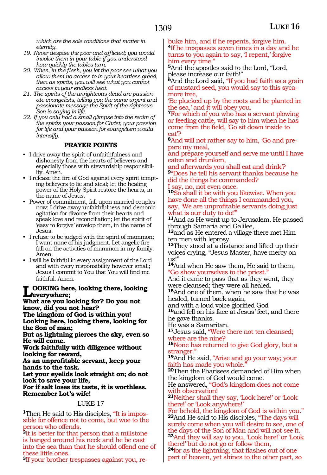*which are the sole conditions that matter in eternity.* 

- *19. Never despise the poor and afflicted; you would involve them in your table if you understood how quickly the tables turn.*
- *20. When, in the flesh, you let the poor see what you allow them no access to in your heartless greed, then as spirits, you will see what you cannot access in your endless heat.*
- *21. The spirits of the unrighteous dead are passionate evangelists, telling you the same urgent and passionate message the Spirit of the righteous Son is saying in life.*
- *22. If you only had a small glimpse into the realm of the spirits your passion for Christ, your passion for life and your passion for evangelism would intensify.*

### **PRAYER POINTS**

- I drive away the spirit of unfaithfulness and dishonesty from the hearts of believers and especially those with stewardship responsibility. Amen.
- I release the fire of God against every spirit tempting believers to lie and steal; let the healing power of the Holy Spirit restore the hearts, in the name of Jesus.
- Power of commitment, fall upon married couples now; I drive away unfaithfulness and demonic agitation for divorce from their hearts and speak love and reconciliation; let the spirit of 'easy to forgive' envelop them, in the name of Jesus.
- I refuse to be judged with the spirit of mammon; I want none of his judgment. Let angelic fire fall on the activities of mammon in my family. Amen.
- I will be faithful in every assignment of the Lord and with every responsibility however small; Jesus I commit to You that You will find me faithful. Amen.

### **Looking here, looking there, looking everywhere;**

**What are you looking for? Do you not know, did you not hear?**

**The kingdom of God is within you! Looking here, looking there, looking for the Son of man;**

**But as lightning pierces the sky, even so He will come.**

**Work faithfully with diligence without looking for reward,**

**As an unprofitable servant, keep your hands to the task.**

**Let your eyelids look straight on; do not look to save your life,**

**For if salt loses its taste, it is worthless. Remember Lot's wife!**

### LUKE 17

**1**Then He said to His disciples, "It is impossible for offence not to come, but woe to the person who offends.

**<sup>2</sup>**It is better for that person that a millstone is hanged around his neck and he be cast into the sea than that he should offend one of these little ones.

**3**If your brother trespasses against you, re-

buke him, and if he repents, forgive him. **<sup>4</sup>**If he trespasses seven times in a day and he turns to you again to say, 'I repent,' forgive him every time."

**<sup>5</sup>**And the apostles said to the Lord, "Lord, please increase our faith!"

**<sup>6</sup>**And the Lord said, "If you had faith as a grain of mustard seed, you would say to this sycamore tree,

'Be plucked up by the roots and be planted in the sea,' and it will obey you.

**<sup>7</sup>**For which of you who has a servant plowing or feeding cattle, will say to him when he has come from the field, 'Go sit down inside to eat'?

**8**And will not rather say to him, 'Go and prepare my meal,

and prepare yourself and serve me until I have eaten and drunken,

and afterwards you shall eat and drink'? **<sup>9</sup>**"Does he tell his servant thanks because he did the things he commanded?

I say, no, not even once.

**<sup>10</sup>**So shall it be with you likewise. When you have done all the things I commanded you, say, 'We are unprofitable servants doing just what is our duty to do!"

**<sup>11</sup>**And as He went up to Jerusalem, He passed through Samaria and Galilee,

**<sup>12</sup>**and as He entered a village there met Him ten men with leprosy.

**<sup>13</sup>**They stood at a distance and lifted up their voices crying, "Jesus Master, have mercy on us!"

**<sup>14</sup>**And when He saw them, He said to them, "Go show yourselves to the priest."

And it came to pass that as they went, they were cleansed; they were all healed.

**<sup>15</sup>**And one of them, when he saw that he was healed, turned back again,

and with a loud voice glorified God

**<sup>16</sup>**and fell on his face at Jesus' feet, and there he gave thanks.

He was a Samaritan.

**<sup>17</sup>**Jesus said, "Were there not ten cleansed; where are the nine?

**<sup>18</sup>**None has returned to give God glory, but a stranger."

**<sup>19</sup>**And He said, "Arise and go your way; your faith has made you whole.

**<sup>20</sup>**Then the Pharisees demanded of Him when the kingdom of God would come.

He answered, "God's kingdom does not come with observation!

**<sup>21</sup>**Neither shall they say, 'Look here!' or 'Look there!' or 'Look anywhere!'

For behold, the kingdom of God is within you." **<sup>22</sup>**And He said to His disciples, "The days will surely come when you will desire to see, one of the days of the Son of Man and will not see it. **<sup>23</sup>**And they will say to you, 'Look here!' or 'Look there!' but do not go or follow them,

**<sup>24</sup>**for as the lightning, that flashes out of one part of heaven, yet shines to the other part, so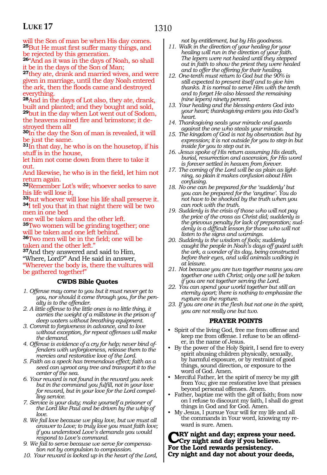will the Son of man be when His day comes. **<sup>25</sup>**But He must first suffer many things, and be rejected by this generation.

**<sup>26</sup>**"And as it was in the days of Noah, so shall it be in the days of the Son of Man;

**<sup>27</sup>**they ate, drank and married wives, and were given in marriage, until the day Noah entered the ark, then the floods came and destroyed everything.

**<sup>28</sup>**And in the days of Lot also, they ate, drank, built and planted; and they bought and sold, **<sup>29</sup>**but in the day when Lot went out of Sodom, the heavens rained fire and brimstone; it de- stroyed them all!

**<sup>30</sup>**In the day the Son of man is revealed, it will be just the same.

**<sup>31</sup>**In that day, he who is on the housetop, if his stuff is in the house,

let him not come down from there to take it out.

And likewise, he who is in the field, let him not return again.

**<sup>32</sup>**Remember Lot's wife; whoever seeks to save his life will lose it,

**<sup>33</sup>**but whoever will lose his life shall preserve it. **<sup>34</sup>**I tell you that in that night there will be two men in one bed

one will be taken and the other left.

**<sup>35</sup>**Two women will be grinding together; one will be taken and one left behind.

**<sup>36</sup>**Two men will be in the field; one will be taken and the other left.

**<sup>37</sup>**And they answered and said to Him, "Where, Lord?" And He said in answer,

"Wherever the body is, there the vultures will be gathered together!"

### **CWDS Bible Quotes**

- *1. Offense may come to you but it must never get to you, nor should it come through you, for the penalty is to the offender.*
- *2. A little offense to the little ones is no little thing, it carries the weight of a millstone in the prison of deep waters without breathing equipment.*
- *3. Commit to forgiveness in advance, and to love without exception, for repeat offenses will make the demand.*
- *4. Offense is evidence of a cry for help; never bind offenders with unforgiveness, release them to the mercies and restorative love of the Lord.*
- *5. Faith as a speck has tremendous effect; faith as a seed can uproot any tree and transport it to the center of the sea.*
- *6. Your reward is not found in the reward you seek but in the command you fulfill, not in your love for reward, but in your love for the Lord compelling service.*
- *7. Service is your duty; make yourself a prisoner of the Lord like Paul and be driven by the whip of love.*
- *8. We fail love because we play love, but we must all answer to Love; to truly love you must faith love; if you understood Love's demands you would respond to Love's command.*
- *9. We fail to serve because we serve for compensation not by compulsion to compassion.*
- *10. Your reward is locked up in the heart of the Lord,*

*not by entitlement, but by His goodness.*

- *11. Walk in the direction of your healing for your healing will run in the direction of your faith. The lepers were not healed until they stepped out in faith to show the priest they were healed and to offer the offering for their healing.*
- *12. One-tenth must return to God but the 90% is still expected to present itself and to give him thanks. It is normal to serve Him with the tenth and to forget He also blessed the remaining (nine lepers) ninety percent.*
- *13. Your healing and the blessing enters God into your heart; thanksgiving enters you into God's heart.*
- *14. Thanksgiving seals your miracle and guards against the one who steals your miracle.*
- *15. The kingdom of God is not by observation but by expression; it is not outside for you to step in but inside for you to step out in.*
- *16. Jesus spoke of His return assuming His death, burial, resurrection and ascension, for His word is forever settled in heaven from forever.*
- *17. The coming of the Lord will be as plain as lightning, so plain it makes confusion about Him confusing.*
- *18. No one can be prepared for the 'suddenly' but you can be prepared for the 'anytime'. You do not have to be shocked by the truth when you can rock with the truth.*
- *19. Suddenly is the crisis of those who will not pay the price of the cross as Christ did; suddenly is the grievous penalty for lack of preparation; suddenly is a difficult lesson for those who will not listen to the signs and warnings.*
- *20. Suddenly is the wisdom of fools; suddenly caught the people in Noah's days off guard with the ark, a wonder of its day, being constructed before their eyes, and wild animals walking in at leisure.*
- *21. Not because you are two together means you are together one with Christ; only one will be taken if you are not together serving the Lord.*
- *22. You can spend your world together but still an eternity apart; there is nothing to emphasize the rupture as the rapture.*
- *23. If you are one in the flesh but not one in the spirit, you are not really one but two.*

### **PRAYER POINTS**

- Spirit of the living God, free me from offense and keep me from offense. I refuse to be an offender, in the name of Jesus.
- By the power of the Holy Spirit, I send fire to every spirit abusing children physically, sexually, by harmful exposure, or by restraint of good things, sound direction, or exposure to the word of God. Amen.
- Merciful Father, let the spirit of mercy be my gift from You; give me restorative love that presses beyond personal offenses. Amen.
- Father, baptize me with the gift of faith; from now on I refuse to discount my faith, I shall do great things in God and for God. Amen.
- My Jesus, I pursue Your will for my life and all the commands in Your word, knowing my reward is sure. Amen.

**KRY night and day; express your need. Cry night and day if you believe. For the Lord rewards persistency. Cry night and day not about your deeds,**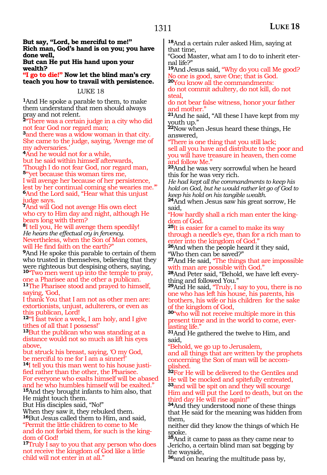**But say, "Lord, be merciful to me!" Rich man, God's hand is on you; you have done well,**

**But can He put His hand upon your wealth?**

**"I go to die!" Now let the blind man's cry teach you how to travail with persistence.**

### LUKE 18

**<sup>1</sup>**And He spoke a parable to them, to make them understand that men should always pray and not relent.

**<sup>2</sup>**"There was a certain judge in a city who did not fear God nor regard man;

**<sup>3</sup>**and there was a widow woman in that city. She came to the judge, saying, 'Avenge me of my adversaries.'

**<sup>4</sup>**And he would not for a while,

but he said within himself afterwards, 'Though I do not fear God, nor regard man, **<sup>5</sup>**"'yet because this woman tires me, I will avenge her because of her persistence, lest by her continual coming she wearies me.'" **<sup>6</sup>**And the Lord said, "Hear what this unjust judge says.

**<sup>7</sup>**And will God not avenge His own elect who cry to Him day and night, although He bears long with them?

**<sup>8</sup>**I tell you, He will avenge them speedily! *He hears the effectual cry in fervency.* Nevertheless, when the Son of Man comes, will He find faith on the earth?"

**<sup>9</sup>**And He spoke this parable to certain of them who trusted in themselves, believing that they were righteous but despising others, saying,

**<sup>10</sup>**"Two men went up into the temple to pray, one a Pharisee and the other a publican. **<sup>11</sup>**The Pharisee stood and prayed to himself,

saying, 'God, I thank You that I am not as other men are: extortionists, unjust, adulterers, or even as this publican, Lord!

<sup>12"</sup>I fast twice a week, I am holy, and I give tithes of all that I possess!'

**<sup>13</sup>**But the publican who was standing at a distance would not so much as lift his eyes above,

but struck his breast, saying, 'O my God, be merciful to me for I am a sinner!' **14**I tell you this man went to his house justified rather than the other, the Pharisee. For everyone who exalts himself will be abased and he who humbles himself will be exalted." **<sup>15</sup>**And they brought infants to him also, that He might touch them.

But His disciples said, "No!"

When they saw it, they rebuked them. **<sup>16</sup>**But Jesus called them to Him, and said, "Permit the little children to come to Me and do not forbid them, for such is the kingdom of God!

**<sup>17</sup>**Truly I say to you that any person who does not receive the kingdom of God like a little child will not enter in at all."

**<sup>18</sup>**And a certain ruler asked Him, saying at that time,

"Good Master, what am I to do to inherit eternal life?"

**<sup>19</sup>**And Jesus said, "Why do you call Me good? No one is good, save One; that is God.

**<sup>20</sup>**You know all the commandments: do not commit adultery, do not kill, do not steal,

do not bear false witness, honor your father and mother."

**<sup>21</sup>**And he said, "All these I have kept from my youth up."

**<sup>22</sup>**Now when Jesus heard these things, He answered,

"There is one thing that you still lack; sell all you have and distribute to the poor and you will have treasure in heaven, then come and follow Me."

**<sup>23</sup>**And he was very sorrowful when he heard this for he was very rich.

*He had kept all the commandments to keep his hold on God, but he would rather let go of God to keep his hold on his tangible wealth.*

**<sup>24</sup>**And when Jesus saw his great sorrow, He said,

"How hardly shall a rich man enter the kingdom of God.

**<sup>25</sup>**It is easier for a camel to make its way through a needle's eye, than for a rich man to enter into the kingdom of God."

**<sup>26</sup>**And when the people heard it they said, "Who then can be saved?"

**<sup>27</sup>**And He said, "The things that are impossible with man are possible with God."

**28**And Peter said, "Behold, we have left everything and followed You."

**<sup>29</sup>**And He said, "Truly, I say to you, there is no one who has left his house, his parents, his brothers, his wife or his children for the sake of the kingdom of God,

**<sup>30</sup>**"who will not receive multiple more in this present time and in the world to come, ever-<br>lasting life."

**<sup>31</sup>**And He gathered the twelve to Him, and said,

"Behold, we go up to Jerusalem,

and all things that are written by the prophets concerning the Son of man will be accom- plished.

**<sup>32</sup>**For He will be delivered to the Gentiles and He will be mocked and spitefully entreated, **<sup>33</sup>**and will be spit on and they will scourge Him and will put the Lord to death, but on the third day He will rise again!"

**<sup>34</sup>**And they understood none of these things that He said for the meaning was hidden from them,

neither did they know the things of which He spoke.

**<sup>35</sup>**And it came to pass as they came near to Jericho, a certain blind man sat begging by the wayside,

**<sup>36</sup>**and on hearing the multitude pass by,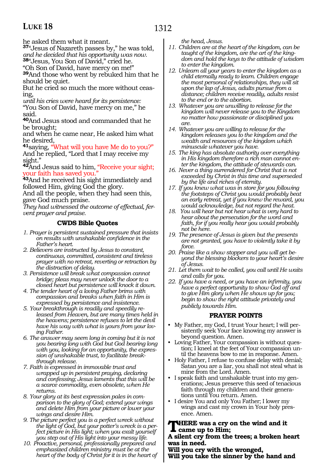he asked them what it meant.

**<sup>37</sup>**"Jesus of Nazareth passes by," he was told, *and he decided that his opportunity was now.*

**<sup>38</sup>**"Jesus, You Son of David," cried he.

"Oh Son of David, have mercy on me!" **<sup>39</sup>**And those who went by rebuked him that he

should be quiet. But he cried so much the more without ceasing,

*until his cries were heard for its persistence:* "You Son of David, have mercy on me," he said.

**<sup>40</sup>**And Jesus stood and commanded that he be brought;

and when he came near, He asked him what he desired,

**<sup>41</sup>**saying, "What will you have Me do to you?" And he replied, "Lord that I may receive my sight."

**<sup>42</sup>**And Jesus said to him, "Receive your sight; your faith has saved you."

**<sup>43</sup>**And he received his sight immediately and followed Him, giving God the glory.

And all the people, when they had seen this, gave God much praise.

*They had witnessed the outcome of effectual, fervent prayer and praise.*

### **CWDS Bible Quotes**

- *1. Prayer is persistent sustained pressure that insists on results with unshakable confidence in the Father's heart.*
- *2. Believers are instructed by Jesus to constant, continuous, committed, consistent and tireless prayer with no retreat, reverting or retraction by the distraction of delay.*
- *3. Persistence will break what compassion cannot bridge; pleas may never unlock the door to a closed heart but persistence will knock it down.*
- *4. The tender heart of a loving Father brims with compassion and breaks when faith in Him is expressed by persistence and insistence.*
- *5. Your breakthrough is readily and speedily released from Heaven, but are many times held in the heavens; persistence refuses to let the devil have his way with what is yours from your loving Father.*
- *6. The answer may seem long in coming but it is not you bearing long with God but God bearing long with you, looking for an opportunity, the expression of unshakable trust, to facilitate breakthrough release.*
- *7. Faith is expressed in immovable trust and wrapped up in persistent praying, declaring and confessing; Jesus laments that this will be a scarce commodity, even obsolete, when He returns.*
- *8. Your glory at its best expression pales in comparison to the glory of God; extend your wings and delete Him from your picture or lower your wings and desire Him.*
- *9. The picture perfect you is a perfect wreck without the light of God, but your potter's wreck is a perfect picture in His light; when you exalt yourself you step out of His light into your messy life.*
- *10. Proactive, personal, professionally prepared and emphasized children ministry must be at the heart of the body of Christ for it is in the heart of*

*the head, Jesus.*

- *11. Children are at the heart of the kingdom, can be taught of the kingdom, are the art of the kingdom and hold the keys to the attitude of wisdom to enter the kingdom.*
- *12. Unlearn all your years to enter the kingdom as a child eternally ready to learn. Children engage the most personal of relationships, they will sit upon the lap of Jesus, adults pursue from a distance; children receive readily, adults resist to the end or to the abortion.*
- *13. Whatever you are unwilling to release for the kingdom will never release you to the Kingdom no matter how passionate or disciplined you are.*
- *14. Whatever you are willing to release for the kingdom releases you to the kingdom and the wealth and resources of the kingdom which minuscule whatever you have.*
- *15. The king has absolute authority over everything in His kingdom therefore a rich man cannot enter the kingdom, the attitude of stewards can.*
- *16. Never a thing surrendered for Christ that is not exceeded by Christ in this time and superseded by the life and riches of eternity.*
- *17. If you knew what was in store for you following the footsteps of Christ you would probably beat an early retreat, yet if you knew the reward, you would acknowledge, but not regard the heat.*
- *18. You will hear but not hear what is very hard to hear about the persecution for the word and faith, for if you really hear you would probably not be here.*
- *19. The presence of Jesus is given but the presents are not granted, you have to violently take it by force.*
- *20. Praise like a show stopper and you will get beyond the blessing blockers to your heart's desire of Jesus.*
- *21. Let them wait to be called, you call until He waits and calls for you.*
- *22. If you have a need, or you have an infirmity, you have a perfect opportunity to show God off and to give Him glory when He shows up for you; begin to show the right attitude privately and publicly towards Him.*

### **PRAYER POINTS**

- My Father, my God, I trust Your heart; I will persistently seek Your face knowing my answer is beyond question. Amen.
- Loving Father, Your compassion is without question; I kneel at the feet of Your compassion until the heavens bow to me in response. Amen.
- Holy Father, I refuse to confuse delay with denial; Satan you are a liar, you shall not steal what is mine from the Lord. Amen.
- I speak faith and unshakable trust into my generations; Jesus preserve this seed of tenacious faith through my children and their generations until You return. Amen.
- I desire You and only You Father; I lower my wings and cast my crown in Your holy presence. Amen.

### **HERE** was a cry on the wind and it **came up to Him;**

**A silent cry from the trees; a broken heart was in need.**

**Will you cry with the wronged,**

**Will you take the sinner by the hand and**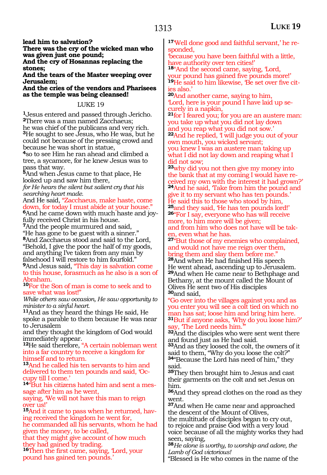**lead him to salvation?**

**There was the cry of the wicked man who was given just one pound; And the cry of Hosannas replacing the stones;**

**And the tears of the Master weeping over Jerusalem;**

**And the cries of the vendors and Pharisees as the temple was being cleansed!**

#### LUKE 19

**<sup>1</sup>**Jesus entered and passed through Jericho. **<sup>2</sup>**There was a man named Zacchaeus; he was chief of the publicans and very rich. **<sup>3</sup>**He sought to see Jesus, who He was, but he could not because of the pressing crowd and because he was short in statue,

**<sup>4</sup>**so to see Him he ran ahead and climbed a tree, a sycamore, for he knew Jesus was to pass that way.

**<sup>5</sup>**And when Jesus came to that place, He looked up and saw him there,

*for He hears the silent but salient cry that his searching heart made.*

And He said, "Zacchaeus, make haste, come down, for today I must abide at your house." **6**And he came down with much haste and joy-

fully received Christ in his house.

**<sup>7</sup>**And the people murmured and said, "He has gone to be guest with a sinner." **<sup>8</sup>**And Zacchaeus stood and said to the Lord, "Behold, I give the poor the half of my goods, and anything I've taken from any man by falsehood I will restore to him fourfold."

**<sup>9</sup>**And Jesus said, "This day is salvation come to this house, forasmuch as he also is a son of Abraham.

**<sup>10</sup>**For the Son of man is come to seek and to save what was lost!"

*While others saw occasion, He saw opportunity to minister to a sinful heart.*

**<sup>11</sup>**And as they heard the things He said, He spoke a parable to them because He was near to Jerusalem

and they thought the kingdom of God would immediately appear.

**<sup>12</sup>**He said therefore, "A certain nobleman went into a far country to receive a kingdom for himself and to return.

**<sup>13</sup>**And he called his ten servants to him and delivered to them ten pounds and said, 'Occupy till I come.'

**14**"But his citizens hated him and sent a message after him as he went,

saying, 'We will not have this man to reign over us!'

**15**And it came to pass when he returned, having received the kingdom he went for,

he commanded all his servants, whom he had given the money, to be called,

that they might give account of how much they had gained by trading.

**<sup>16</sup>**Then the first came, saying, 'Lord, your pound has gained ten pounds.'

**17**'Well done good and faithful servant,' he responded,

'because you have been faithful with a little, have authority over ten cities!'

**<sup>18</sup>**"And the second came, saying, 'Lord, your pound has gained five pounds more!' **<sup>19</sup>**He said to him likewise, 'Be set over five cit- ies also.'

**<sup>20</sup>**And another came, saying to him, 'Lord, here is your pound I have laid up se- curely in a napkin,

**<sup>21</sup>**for I feared you; for you are an austere man: you take up what you did not lay down and you reap what you did not sow.'

**<sup>22</sup>**And he replied, 'I will judge you out of your own mouth, you wicked servant;

you knew I was an austere man taking up what I did not lay down and reaping what I did not sow;

**<sup>23</sup>**why did you not then give my money into the bank that at my coming I would have received my own with the interest it had grown?' **<sup>24</sup>**And he said, 'Take from him the pound and give it to my servant who has ten pounds.' He said this to those who stood by him,<br><sup>25</sup>and they said, He has ten pounds lord!' **26**"For I say, everyone who has will receive more, to him more will be given; and from him who does not have will be taken, even what he has.

**<sup>27</sup>**"But those of my enemies who complained, and would not have me reign over them, bring them and slay them before me."

**<sup>28</sup>**And when He had finished His speech He went ahead, ascending up to Jerusalem. **<sup>29</sup>**And when He came near to Bethphage and Bethany, at the mount called the Mount of Olives He sent two of His disciples **<sup>30</sup>**and said,

"Go over into the villages against you and as you enter you will see a colt tied on which no man has sat; loose him and bring him here. **<sup>31</sup>**But if anyone asks, 'Why do you loose him?' say, 'The Lord needs him.'

**<sup>32</sup>**And the disciples who were sent went there and found just as He had said.

**<sup>33</sup>**And as they loosed the colt, the owners of it said to them, "Why do you loose the colt?" **<sup>34</sup>**"Because the Lord has need of him," they said.

**<sup>35</sup>**They then brought him to Jesus and cast their garments on the colt and set Jesus on him.

**<sup>36</sup>**And they spread clothes on the road as they went.

**<sup>37</sup>**And when He came near and approached the descent of the Mount of Olives,

the multitude of disciples began to cry out, to rejoice and praise God with a very loud voice because of all the mighty works they had seen, saying,

**<sup>38</sup>***He alone is worthy, to worship and adore, the Lamb of God victorious!*

"Blessed is He who comes in the name of the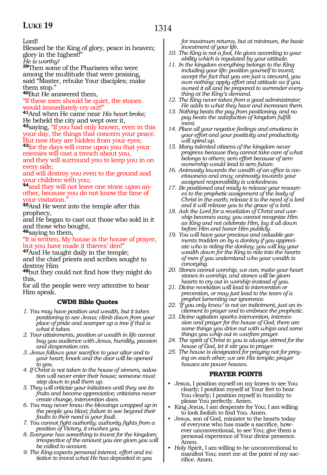Lord!

Blessed be the King of glory, peace in heaven; glory in the highest!"

*He is worthy!*

**<sup>39</sup>**Then some of the Pharisees who were among the multitude that were praising, said "Master, rebuke Your disciples; make them stop."

**<sup>40</sup>**But He answered them,

"If these men should be quiet, the stones would immediately cry out!"

**<sup>41</sup>**And when He came near *His heart broke;* He beheld the city and wept over it,

**<sup>42</sup>**saying, "If you had only known, even in this your day, the things that concern your peace. But now they are hidden from your eyes;

**<sup>43</sup>**for the days will come upon you that your enemies will cast a trench about you, and they will surround you to keep you in on

every side; and will destroy you even to the ground and your children with you;

**44**and they will not leave one stone upon another, because you do not know the time of your visitation."

**<sup>45</sup>**And He went into the temple after this prophecy,

and He began to cast out those who sold in it and those who bought,

**<sup>46</sup>**saying to them,

"It is written, My house is the house of prayer, but you have made it thieves' den!"

**<sup>47</sup>**And He taught daily in the temple; and the chief priests and scribes sought to

**48**but they could not find how they might do this,

for all the people were very attentive to hear Him speak.

### **CWDS Bible Quotes**

- *1. You may have position and wealth, but it takes positioning to see Jesus; climb down from your place of pride and scamper up a tree if that is what it takes.*
- *2. Your attainments, position or wealth in life cannot buy you audience with Jesus, humility, passion and desperation can.*
- *3. Jesus follows your sacrifice to your altar and to your heart; knock and the door will be opened to you.*
- *4. If Christ is not taken to the house of sinners, salvation will never enter their house; someone must step down to pull them up.*
- *5. They will criticize your initiatives until they see its fruits and become appreciative; criticisms never create change, intervention does.*
- *6. You may never know the blessings wrapped up in the people you blast; failure to see beyond their faults to their need is your fault.*
- *7. You cannot fight authority; authority fights from a position of Victory, it crushes you.*
- *8. Everyone has something to invest for the kingdom; irrespective of the amount you are given you will be called to account.*
- *9. The King expects personal interest, effort and initiative to invest what He has deposited in you*

*for maximum returns, but at minimum, the basic investment of your life.*

- *10. The King is not a fool, He gives according to your ability which is regulated by your attitude.*
- *11. In the kingdom everything belongs to the King including your life: position yourself to invest; accept the fact that you are just a steward, you own nothing; apply effort and attitude as if you owned it all and be prepared to surrender everything at the King's demand.*
- *12. The King never takes from a good administrator; He adds to what they have and increases them.*
- *13. Nothing beats the pay from positioning, and no pay beats the satisfaction of kingdom fulfillment.*
- *14. Place all your negative feelings and emotions in your effort and your positivity and productivity will spiral up.*
- *15. Many talented citizens of the kingdom never progress because they cannot take care of what belongs to others; zero effort because of zero ownership would lead to zero future.*
- *16. Animosity towards the wealth of an office is covetousness and envy; animosity towards your assigned responsibility is wickedness.*
- *17. Be positioned and ready to release your resources to the prophetic assignment of the body of Christ in the earth; release it to the need of a lord and it will release you to the grace of a lord.*
- *18. Ask the Lord for a revelation of Christ and worship becomes easy; you cannot recognize Him as King and not celebrate Him, lay it all down before Him and honor Him publicly.*
- *19. You will have your precious and valuable garments trodden on by a donkey if you appreciate who is riding the donkey; you will lay your wealth down for the King to ride into the hearts of men if you understand who your wealth is conveying.*
- *20. Stones cannot worship, we can; make your heart stones in worship, and stones will be given hearts to cry out in worship instead of you.*
- *21. Divine revelation will lead to intervention or prevention, or may just lead to the tears of a prophet lamenting our ignorance.*
- *22. 'If you only knew' is not an indictment, just an incitement to prayer and to embrace the prophetic.*
- *23. Divine agitation sparks intervention, intercession and prayer for the house of God; there are some things you drive out with whips and some things you whip out in warfare prayer.*
- *24. The spirit of Christ in you is always stirred for the house of God, let it stir you to prayer.*
- *25. The house is designated for praying not for preying on each other; we are His temple; prayer houses are power houses.*

### **PRAYER POINTS**

- Jesus, I position myself on my knees to see You clearly; I position myself at Your feet to hear You clearly; I position myself in humility to please You perfectly. Amen.
- King Jesus, I am desperate for You; I am willing to look foolish to find You. Amen.
- Jesus, son of God, minister to the hearts today of everyone who has made a sacrifice, however unconventional, to see You; give them a personal experience of Your divine presence. Amen.
- Holy Spirit, I am willing to be unconventional to manifest You; meet me at the point of my sacrifice. Amen.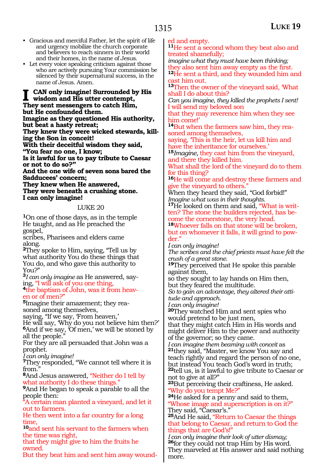- Gracious and merciful Father, let the spirit of life and urgency mobilize the church corporate and believers to reach sinners in their world and their homes, in the name of Jesus.
- Let every voice speaking criticism against those who are actively pursuing Your commission be silenced by their supernatural success, in the name of Jesus. Amen.

**I can only imagine! Surrounded by His wisdom and His utter contempt, They sent messengers to catch Him, but He confounded them. Imagine as they questioned His authority, but beat a hasty retreat; They knew they were wicked stewards, killing the Son in conceit! With their deceitful wisdom they said,** 

**"You fear no one, I know; Is it lawful for us to pay tribute to Caesar or not to do so?"** 

**And the one wife of seven sons bared the Sadducees' concern;** 

**They knew when He answered, They were beneath a crushing stone. I can only imagine!**

### LUKE 20

**<sup>1</sup>**On one of those days, as in the temple He taught, and as He preached the gospel,

scribes, Pharisees and elders came along.

**<sup>2</sup>**They spoke to Him, saying, "Tell us by what authority You do these things that You do, and who gave this authority to You?"

**<sup>3</sup>***I can only imagine* as He answered, say-

<sup>4</sup>the baptism of John, was it from heaven or of men?"

**5**Imagine their amazement; they reasoned among themselves,

saying, "If we say, 'From heaven,'

He will say, 'Why do you not believe him then?' **<sup>6</sup>**And if we say, 'Of men,' we will be stoned by all the people."

For they are all persuaded that John was a prophet.

*I can only imagine!*

**<sup>7</sup>**They responded, "We cannot tell where it is from.

**<sup>8</sup>**And Jesus answered, "Neither do I tell by what authority I do these things."

**<sup>9</sup>**And He began to speak a parable to all the people then:

"A certain man planted a vineyard, and let it out to farmers.

He then went into a far country for a long time,

**<sup>10</sup>**and sent his servant to the farmers when the time was right,

that they might give to him the fruits he owned.

But they beat him and sent him away wound-

ed and empty.

**<sup>11</sup>**He sent a second whom they beat also and treated shamefully;

*imagine what they must have been thinking;* they also sent him away empty as the first.

**<sup>12</sup>**He sent a third, and they wounded him and cast him out.

**<sup>13</sup>**Then the owner of the vineyard said, 'What shall I do about this?

*Can you imagine, they killed the prophets I sent!* I will send my beloved son

that they may reverence him when they see him come!'

**<sup>14</sup>**But when the farmers saw him, they rea- soned among themselves,

saying, 'This is the heir, let us kill him and have the inheritance for ourselves.'

**<sup>15</sup>***Imagine,* they cast him from the vineyard, and there they killed him.

What shall the lord of the vineyard do to them for this thing?

**<sup>16</sup>**He will come and destroy these farmers and give the vineyard to others.

When they heard they said, "God forbid!" *Imagine what was in their thoughts.* 

**17**He looked on them and said, "What is written? The stone the builders rejected, has become the cornerstone, the very head.

**<sup>18</sup>**Whoever falls on that stone will be broken, but on whomever it falls, it will grind to powder."

*I can only imagine!* 

*The scribes and the chief priests must have felt the crush of a great stone.* 

**<sup>19</sup>**They perceived that He spoke this parable against them,

so they sought to lay hands on Him then, but they feared the multitude.

*So to gain an advantage, they altered their attitude and approach.*

*I can only imagine!*

**<sup>20</sup>**They watched Him and sent spies who would pretend to be just men,

that they might catch Him in His words and might deliver Him to the power and authority of the governor; so they came.<br>I can imagine them beaming with conceit as

**<sup>21</sup>they said, "Master, we know You say and** teach rightly and regard the person of no one, but instead You teach God's word in truth;

**<sup>22</sup>**tell us, is it lawful to give tribute to Caesar or not to give at all?"

**<sup>23</sup>**But perceiving their craftiness, He asked.

<sup>24</sup>He asked for a penny and said to them, "Whose image and superscription is on it?" They said, "Caesar's."

**<sup>25</sup>**And He said, "Return to Caesar the things that belong to Caesar, and return to God the things that are God's!"

*I can only imagine their look of utter dismay;*  **<sup>26</sup>**for they could not trap Him by His word. They marveled at His answer and said nothing more.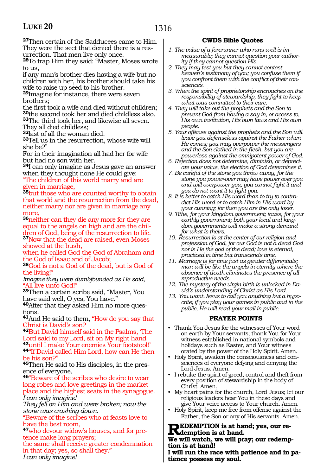**<sup>27</sup>**Then certain of the Sadducees came to Him. They were the sect that denied there is a resurrection. That men live only once.

**<sup>28</sup>**To trap Him they said: "Master, Moses wrote to us,

if any man's brother dies having a wife but no children with her, his brother should take his wife to raise up seed to his brother.

**<sup>29</sup>**Imagine for instance, there were seven brothers;

the first took a wife and died without children; **<sup>30</sup>**the second took her and died childless also.

**<sup>31</sup>**The third took her, and likewise all seven. They all died childless;

**<sup>32</sup>**last of all the woman died.

**<sup>33</sup>**Tell us in the resurrection, whose wife will she be?"

For in their imagination all had her for wife but had no son with her.

**<sup>34</sup>**I can only imagine as Jesus gave an answer when they thought none He could give:

"The children of this world marry and are given in marriage,

**<sup>35</sup>**but those who are counted worthy to obtain that world and the resurrection from the dead, neither marry nor are given in marriage any more,

**<sup>36</sup>**neither can they die any more for they are equal to the angels on high and are the chil- dren of God, being of the resurrection to life. **<sup>37</sup>**Now that the dead are raised, even Moses showed at the bush,

when he called God the God of Abraham and the God of Isaac and of Jacob;

**<sup>38</sup>**God is not a God of the dead, but is God of the living!"

*Imagine they were dumbfounded as He said,* "All live unto God!"

**<sup>39</sup>**Then a certain scribe said, "Master, You have said well, O yes, You have."

**40**After that they asked Him no more questions.

**<sup>41</sup>**And He said to them, "How do you say that Christ is David's son?

**<sup>42</sup>**But David himself said in the Psalms, 'The Lord said to my Lord, sit on My right hand **<sup>43</sup>**until I make Your enemies Your footstool!' **<sup>44</sup>**"If David called Him Lord, how can He then

be his son?"

**45**Then He said to His disciples, in the presence of everyone,

**<sup>46</sup>**"Beware of the scribes who desire to wear long robes and love greetings in the market place and the highest seats in the synagogue. *I can only imagine!* 

*They fell on Him and were broken; now the stone was crashing down.* 

"Beware of the scribes who at feasts love to have the best room,

**<sup>47</sup>**who devour widow's houses, and for pretence make long prayers;

the same shall receive greater condemnation in that day; yes, so shall they." *I can only imagine!*

### **CWDS Bible Quotes**

- *1. The value of a forerunner who runs well is immeasurable; they cannot question your authority if they cannot question His.*
- *2. They may test you but they cannot contest heaven's testimony of you; you confuse them if you confront them with the conflict of their consciences.*
- *3. When the spirit of proprietorship encroaches on the responsibility of stewardship, they fight to keep what was committed to their care.*
- *4. They will take out the prophets and the Son to prevent God from having a say in, or access to, His own institution, His own laws and His own people.*
- *5. Your offense against the prophets and the Son will leave you defenseless against the Father when He comes; you may overpower the messengers and the Son clothed in the flesh, but you are powerless against the omnipotent power of God.*
- *6. Rejection does not determine, diminish, or depreciate your value, the election of God determines it.*
- *7. Be careful of the stone you throw away, for the stone you power-over may have power over you and will overpower you; you cannot fight it and you do not want it to fight you.*
- *8. It is better to catch His word than to try to contradict His word or to catch Him in His word by your cunning; for then you are the only loser.*
- *9. Tithe, for your kingdom government; taxes, for your earthly government; both your local and kingdom governments will make a strong demand for what is theirs.*
- *10. Resurrection is at the center of our religion and profession of God, for our God is not a dead God nor is He the god of the dead; love is eternal, practiced in time but transcends time.*
- *11. Marriage is for time just as gender differentials; man will be like the angels in eternity where the absence of death eliminates the presence of all reproductive needs.*
- *12. The mystery of the virgin birth is unlocked in David's understanding of Christ as His Lord.*
- *13. You want Jesus to call you anything but a hypocrite; if you play your games in public and to the public, He will read your mail in public.*

### **PRAYER POINTS**

- Thank You Jesus for the witnesses of Your word on earth by Your servants; thank You for Your witness established in national symbols and holidays such as Easter, and Your witness orated by the power of the Holy Spirit. Amen.
- Holy Spirit, awaken the consciousness and consciences of everyone defying and denying the Lord Jesus. Amen.
- I rebuke the spirit of greed, control and theft from every position of stewardship in the body of Christ. Amen.
- My heart pains for the church, Lord Jesus; let our religious leaders hear You in these days and give Your voice access to Your church. Amen.
- Holy Spirit, keep me free from offense against the Father, the Son or any of His servants. Amen.

**REDEMPTION is at hand; yes, our re-**<br>We will write by the will near any order or

**We will watch, we will pray; our redemption is at hand!**

**I will run the race with patience and in patience possess my soul.**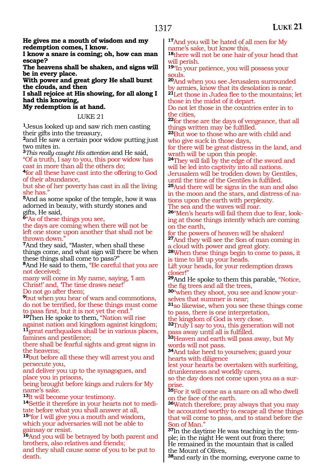**He gives me a mouth of wisdom and my redemption comes, I know.**

**I know a snare is coming; oh, how can man escape?**

**The heavens shall be shaken, and signs will be in every place.**

**With power and great glory He shall burst the clouds, and then**

**I shall rejoice at His showing, for all along I had this knowing,**

#### **My redemption is at hand.**

LUKE 21

**<sup>1</sup>**Jesus looked up and saw rich men casting their gifts into the treasury,

**<sup>2</sup>**and He saw a certain poor widow putting just two mites in.

**<sup>3</sup>***This really caught His attention* and He said, "Of a truth, I say to you, this poor widow has

cast in more than all the others do; **<sup>4</sup>**for all these have cast into the offering to God of their abundance,

but she of her poverty has cast in all the living she has.'

**<sup>5</sup>**And as some spoke of the temple, how it was adorned in beauty, with sturdy stones and gifts, He said,

**<sup>6</sup>**"As of these things you see,

the days are coming when there will not be left one stone upon another that shall not be thrown down."

**<sup>7</sup>**And they said, "Master, when shall these things come, and what sign will there be when these things shall come to pass?"

**<sup>8</sup>**And He said to them, "Be careful that you are not deceived;

many will come in My name, saying, 'I am Christ!' and, 'The time draws near!' Do not go after them;

**<sup>9</sup>**but when you hear of wars and commotions, do not be terrified, for these things must come to pass first, but it is not yet the end."

**<sup>10</sup>**Then He spoke to them, "Nation will rise against nation and kingdom against kingdom; **<sup>11</sup>**great earthquakes shall be in various places, famines and pestilence;

there shall be fearful sights and great signs in the heavens;

**<sup>12</sup>**but before all these they will arrest you and persecute you,

and deliver you up to the synagogues, and place you in prisons,

being brought before kings and rulers for My

name's sake.<br><sup>13</sup>It will become your testimony.

**14**Settle it therefore in your hearts not to meditate before what you shall answer at all,

**<sup>15</sup>**"for I will give you a mouth and wisdom, which your adversaries will not be able to gainsay or resist.

**<sup>16</sup>**And you will be betrayed by both parent and brothers, also relatives and friends;

and they shall cause some of you to be put to death.

**<sup>17</sup>**And you will be hated of all men for My name's sake, but know this, **<sup>18</sup>**there will not be one hair of your head that

will perish.

**<sup>19</sup>**"In your patience, you will possess your souls.

**<sup>20</sup>**And when you see Jerusalem surrounded by armies, know that its desolation is near. **<sup>21</sup>**Let those in Judea flee to the mountains; let those in the midst of it depart.

Do not let those in the countries enter in to the cities,

**<sup>22</sup>**for these are the days of vengeance, that all things written may be fulfilled.

**<sup>23</sup>**But woe to those who are with child and who give suck in those days,

for there will be great distress in the land, and wrath will be upon this people.

**<sup>24</sup>**They will fall by the edge of the sword and will be led into captivity into all nations. Jerusalem will be trodden down by Gentiles,

until the time of the Gentiles is fulfilled. **<sup>25</sup>**And there will be signs in the sun and also in the moon and the stars, and distress of nations upon the earth with perplexity.

The sea and the waves will roar. **26**"Men's hearts will fail them due to fear, looking at those things intently which are coming

on the earth, for the powers of heaven will be shaken! **<sup>27</sup>**And they will see the Son of man coming in

a cloud with power and great glory. **<sup>28</sup>**When these things begin to come to pass, it

is time to lift up your heads. Lift your heads, for your redemption draws closer!"

**<sup>29</sup>**And He spoke to them this parable, "Notice, the fig trees and all the trees,

**<sup>30</sup>**"when they shoot, you see and know your- selves that summer is near;

**<sup>31</sup>**so likewise, when you see these things come to pass, there is one interpretation,

the kingdom of God is very close.

**<sup>32</sup>**Truly I say to you, this generation will not pass away until all is fulfilled.

**<sup>33</sup>**Heaven and earth will pass away, but My words will not pass.

**<sup>34</sup>**And take heed to yourselves; guard your hearts with diligence

lest your hearts be overtaken with surfeiting, drunkenness and worldly cares,

so the day does not come upon you as a surprise.

**<sup>35</sup>**For it will come as a snare on all who dwell on the face of the earth.

**<sup>36</sup>**Watch therefore; pray always that you may be accounted worthy to escape all these things that will come to pass, and to stand before the Son of Man."

**37**In the daytime He was teaching in the temple; in the night He went out from there; He remained in the mountain that is called the Mount of Olives,

**<sup>38</sup>**and early in the morning, everyone came to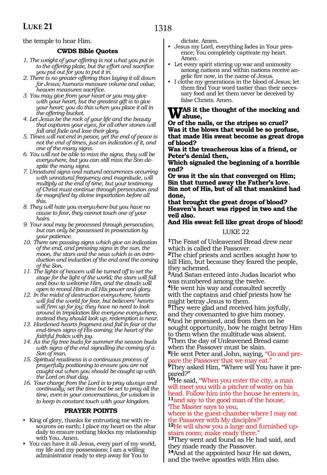the temple to hear Him.

### **CWDS Bible Quotes**

- *1. The weight of your offering is not what you put in to the offering plate, but the effort and sacrifice you put out for you to put it in.*
- *2. There is no greater offering than laying it all down for Jesus; humans measure volume and value, heaven measures sacrifice.*
- *3. You may give from your heart or you may give with your heart, but the greatest gift is to give your heart; you do this when you place it all in the offering bucket.*
- *4. Let Jesus be the rock of your life and the beauty that captures your eyes, for all other stones will fall and fade and lose their glory.*
- *5. Times will not end in peace, yet the end of peace is not the end of times, just an indication of it, and one of the many signs.*
- *6. You will not be able to miss the signs, they will be everywhere, but you can still miss the Son despite the many signs.*
- *7. Unnatural signs and natural occurrences occurring with unnatural frequency and magnitude, will multiply at the end of time, but your testimony of Christ must continue through persecution and be magnified by divine impartation before all this.*
- *8. They will hate you everywhere but you have no cause to fear, they cannot touch one of your hairs.*
- *9. Your soul may be processed through persecution, but can only be possessed in prosecution by your patience.*
- *10. There are passing signs which give an indication of the end, and pressing signs in the sun, the moon, the stars and the seas which is an introduction and induction of the end and the coming of the Son.*
- *11. The lights of heaven will be turned off to set the stage for the light of the world; the stars will fall and bow to welcome Him, and the clouds will open to reveal Him in all His power and glory.*
- *12. In the midst of destruction everywhere, hearts will fail the world for fear, but believers' hearts will firm up for joy; they have no need to look around in trepidation like everyone everywhere, instead they should look up, redemption is near.*
- *13. Hardened hearts fragment and fail in fear at the end-times signs of His coming; the heart of the faithful frolics with joy.*
- *14. As the fig tree buds for summer the season buds with signs of the end signalling the coming of a Son of man.*
- *15. Spiritual readiness is a continuous process of prayerfully positioning to ensure you are not caught out when you should be caught up with the Lord on that day.*
- *16. Your charge from the Lord is to pray always and continually; set the time but be set to pray all the time, even in your conversations, for wisdom is to keep in constant touch with your kingdom.*

### **PRAYER POINTS**

- King of glory, thanks for entrusting me with resources on earth; I place my heart on the altar daily to ensure nothing blocks my relationship with You. Amen.
- You can have it all Jesus, every part of my world, my life and my possessions; I am a willing administrator ready to step away for You to

dictate. Amen.

- Jesus my Lord, everything fades in Your presence; You completely captivate my heart. Amen.
- Let every spirit stirring up war and animosity among nations and within nations receive angelic fire now, in the name of Jesus.
- I clothe my generations in the blood of Jesus; let them find Your word tastier than their necessary food and let them never be deceived by false Christs. Amen.

## WAS it the thought of the mocking and<br> **Abuse,**<br> **Abused by the things as armally**

**Or of the nails, or the stripes so cruel? Was it the blows that would be so profuse, that made His sweat become as great drops of blood?**

**Was it the treacherous kiss of a friend, or Peter's denial then,**

**Which signaled the beginning of a horrible end?**

**Or was it the sin that converged on Him; Sin that turned away the Father's love. Sin not of His, but of all that mankind had done,**

**that brought the great drops of blood? Heaven's heart was ripped in two and the veil also.**

### **And His sweat fell like great drops of blood!**

### LUKE 22

**<sup>1</sup>**The Feast of Unleavened Bread drew near which is called the Passover.

**<sup>2</sup>**The chief priests and scribes sought how to kill Him, but because they feared the people, they schemed.

**<sup>3</sup>**And Satan entered into Judas Iscariot who was numbered among the twelve.

**<sup>4</sup>**He went his way and consulted secretly with the captains and chief priests how he might betray Jesus to them.

**<sup>5</sup>**They were glad and received him joyfully, and they covenanted to give him money.

**<sup>6</sup>**And he promised, and from then on he sought opportunity, how he might betray Him to them when the multitude was absent. **<sup>7</sup>**Then the day of Unleavened Bread came

when the Passover must be slain. **8**He sent Peter and John, saying, "Go and prepare the Passover that we may eat.

**9**They asked Him, "Where will You have it prepared?"

**<sup>10</sup>**He said, "When you enter the city, a man will meet you with a pitcher of water on his head. Follow him into the house he enters in, **<sup>11</sup>**and say to the good man of the house, 'The Master says to you,

where is the guest-chamber where I may eat the Passover with My disciples?'

**12**He will show you a large and furnished uptairs room; make ready there."

**<sup>13</sup>**They went and found as He had said, and they made ready the Passover.

**<sup>14</sup>**And at the appointed hour He sat down, and the twelve apostles with Him also.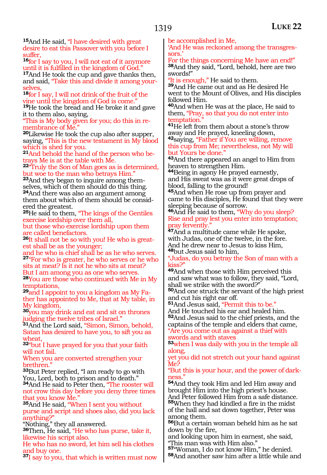**<sup>15</sup>**And He said, "I have desired with great desire to eat this Passover with you before I suffer,

16for I say to you, I will not eat of it anymore until it is fulfilled in the kingdom of God."

**<sup>17</sup>**And He took the cup and gave thanks then, and said, "Take this and divide it among yourselves,

**<sup>18</sup>**for I say, I will not drink of the fruit of the vine until the kingdom of God is come."

**<sup>19</sup>**He took the bread and He broke it and gave it to them also, saying,

"This is My body given for you; do this in re- membrance of Me."

**<sup>20</sup>**Likewise He took the cup also after supper, saying, "This is the new testament in My blood which is shed for you.

**<sup>21</sup>**And behold the hand of the person who be- trays Me is at the table with Me.

**<sup>22</sup>**"Truly the Son of Man goes as is determined, but woe to the man who betrays Him."

**<sup>23</sup>**And they began to inquire among them- selves, which of them should do this thing. **<sup>24</sup>**And there was also an argument among them about which of them should be consid- ered the greatest.

**<sup>25</sup>**He said to them, "The kings of the Gentiles exercise lordship over them all,

but those who exercise lordship upon them are called benefactors.

**<sup>26</sup>**It shall not be so with you! He who is great- est shall be as the younger;

and he who is chief shall be as he who serves. **<sup>27</sup>**"For who is greater, he who serves or he who sits at meat? Is it not he who sits at meat?

But I am among you as one who serves.

**<sup>28</sup>**You are those who continued with Me in My temptations,

**<sup>29</sup>**and I appoint to you a kingdom as My Fa- ther has appointed to Me, that at My table, in My kingdom,

**<sup>30</sup>**you may drink and eat and sit on thrones judging the twelve tribes of Israel."

**<sup>31</sup>**And the Lord said, "Simon, Simon, behold, Satan has desired to have you, to sift you as wheat,

**<sup>32</sup>**"but I have prayed for you that your faith will not fail.

When you are converted strengthen your brethren."

**<sup>33</sup>**But Peter replied, "I am ready to go with You, Lord, both to prison and to death."

**<sup>34</sup>**And He said to Peter then, "The rooster will not crow this day before you deny three times that you know Me."

**<sup>35</sup>**And He said, "When I sent you without purse and script and shoes also, did you lack anything?"

"Nothing," they all answered.

**<sup>36</sup>**Then, He said, "He who has purse, take it, likewise his script also.

He who has no sword, let him sell his clothes and buy one.

**<sup>37</sup>**I say to you, that which is written must now

be accomplished in Me,

'And He was reckoned among the transgres- sors.'

For the things concerning Me have an end!" **<sup>38</sup>**And they said, "Lord, behold, here are two swords!"

"It is enough," He said to them.

**<sup>39</sup>**And He came out and as He desired He went to the Mount of Olives, and His disciples followed Him.

**<sup>40</sup>**And when He was at the place, He said to them, "Pray, so that you do not enter into temptation.

**<sup>41</sup>**He left from them about a stone's throw away and He prayed, kneeling down,

**<sup>42</sup>**saying, "Father if You are willing, remove this cup from Me; nevertheless, not My will but Yours be done."

**<sup>43</sup>**And there appeared an angel to Him from heaven to strengthen Him.

**<sup>44</sup>**Being in agony He prayed earnestly, and His sweat was as it were great drops of blood, falling to the ground!

**<sup>45</sup>**And when He rose up from prayer and came to His disciples, He found that they were sleeping because of sorrow.

**<sup>46</sup>**And He said to them, "Why do you sleep? Rise and pray lest you enter into temptation; pray fervently."

**<sup>47</sup>**And a multitude came while He spoke, with Judas, one of the twelve, in the fore. And he drew near to Jesus to kiss Him, **<sup>48</sup>**but Jesus said to him,

"Judas, do you betray the Son of man with a kiss?"

**<sup>49</sup>**And when those with Him perceived this and saw what was to follow, they said, "Lord, shall we strike with the sword?"

**<sup>50</sup>**And one struck the servant of the high priest and cut his right ear off.

**<sup>51</sup>**And Jesus said, "Permit this to be."

And He touched his ear and healed him. **<sup>52</sup>**And Jesus said to the chief priests, and the captains of the temple and elders that came,

"Are you come out as against a thief with swords and with staves

**<sup>53</sup>**when I was daily with you in the temple all along,

yet you did not stretch out your hand against Me?

"But this is your hour, and the power of darkness."

**<sup>54</sup>**And they took Him and led Him away and brought Him into the high priest's house.

And Peter followed Him from a safe distance. **<sup>55</sup>**When they had kindled a fire in the midst of the hall and sat down together, Peter was among them.

**<sup>56</sup>**But a certain woman beheld him as he sat down by the fire,

and looking upon him in earnest, she said, "This man was with Him also."

**<sup>57</sup>**"Woman, I do not know Him," he denied.

**<sup>58</sup>**And another saw him after a little while and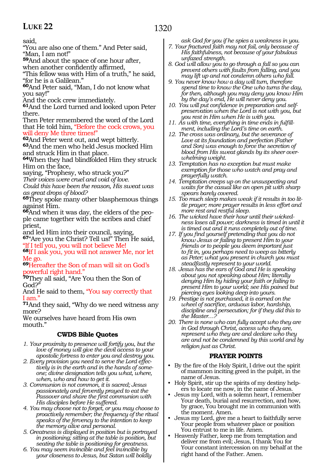said,

"You are also one of them." And Peter said, "Man, I am not!"

**<sup>59</sup>**And about the space of one hour after,

when another confidently affirmed,

"This fellow was with Him of a truth," he said, "for he is a Galilean."

**<sup>60</sup>**And Peter said, "Man, I do not know what you say!"

And the cock crew immediately.

**<sup>61</sup>**And the Lord turned and looked upon Peter there.

Then Peter remembered the word of the Lord that He told him, "Before the cock crows, you will deny Me three times!"

**<sup>62</sup>**And Peter went out, and wept bitterly. **<sup>63</sup>**And the men who held Jesus mocked Him and struck Him in that place.

**<sup>64</sup>**When they had blindfolded Him they struck Him on the face,

saying, "Prophesy, who struck you?"

*Their voices were cruel and void of love.*

*Could this have been the reason, His sweat was as great drops of blood?*

**<sup>65</sup>**They spoke many other blasphemous things against Him.

**66**And when it was day, the elders of the people came together with the scribes and chief priest,

and led Him into their council, saying,

**<sup>67</sup>**"Are you the Christ? Tell us!" Then He said, "If I tell you, you will not believe Me!

**<sup>68</sup>**If I ask you, you will not answer Me, nor let Me go.

**<sup>69</sup>**Hereafter the Son of man will sit on God's owerful right hand."

**<sup>70</sup>**They all said, "Are You then the Son of God?"

And He said to them, "You say correctly that I am."

**<sup>71</sup>**And they said, "Why do we need witness any more?

We ourselves have heard from His own mouth."

### **CWDS Bible Quotes**

- *1. Your proximity to presence will fortify you, but the love of money will give the devil access to your apostolic fortress to enter you and destroy you.*
- *2. Every provision you need to serve the Lord effectively is in the earth and in the hands of someone; divine designation tells you what, where, when, who and how to get it.*
- *3. Communion is not common, it is sacred; Jesus passionately and fervently prayed to eat the Passover and share the first communion with His disciples before He suffered.*
- *4. You may choose not to forget, or you may choose to proactively remember; the frequency of the ritual speaks of the fervency to the intention to keep the memory alive and personal.*
- *5. Greatness is displayed in position but is portrayed in positioning; sitting at the table is position, but seating the table is positioning for greatness.*
- *6. You may seem invincible and feel invincible by your closeness to Jesus, but Satan will boldly*

*ask God for you if he spies a weakness in you.*

*7. Your fractured faith may not fail, only because of His faithfulness, not because of your fabulous unfazed strength.* 

*8. God will allow you to go through a fall so you can prevent others with faults from falling, and you may lift up and not condemn others who fall.*

- *9. You never know how a day will turn, therefore spend time to know the One who turns the day, for then, although you may deny you know Him by the day's end, He will never deny you.*
- *10. You will put confidence in preparation and selfpreservation when the Lord is not with you, but you rest in Him when He is with you.*
- *11. As with time, everything in time ends in fulfillment, including the Lord's time on earth.*
- *12. The cross was ordinary, but the severance of Love at its foundation and perfection (Father and Son) was enough to force the secretion of blood from His sweat glands by its sheer overwhelming weight.*
- *13. Temptation has no exception but must make exemption for those who watch and pray and prayerfully watch.*
- *14. Temptation creeps up on the unsuspecting and waits for the casual like an open pit with sharp spears barely covered.*
- *15. Too much sleep makes weak if it results in too little prayer; more prayer results in less effort and more rest and restful sleep.*
- *16. The wicked have their hour until their wickedness loses all power; darkness is timed in until it is timed out and it runs completely out of time.*
- *17. If you find yourself pretending that you do not know Jesus or failing to present Him to your friends or to people you deem important just to fit in, you perhaps need to weep as bitterly as Peter; what you present in church you must steadfastly represent to your world.*
- *18. Jesus has the ears of God and He is speaking about you not speaking about Him; literally denying Him by hiding your faith or failing to present Him to your world; see His pained but piercing eyes looking deep into yours.*
- *19. Prestige is not purchased, it is earned on the wheel of sacrifice, arduous labor, hardship, discipline and persecution; for if they did this to the Master…?*
- *20. There is none who can fully accept who they are in God through Christ, access who they are, represent who they are and declare who they are and not be condemned by this world and by religion just as Christ.*

### **PRAYER POINTS**

- By the fire of the Holy Spirit, I drive out the spirit of mammon inciting greed in the pulpit, in the name of Jesus.
- Holy Spirit, stir up the spirits of my destiny helpers to locate me now, in the name of Jesus.
- Jesus my Lord, with a solemn heart, I remember Your death, burial and resurrection, and how, by grace, You brought me in communion with the moment. Amen.
- Jesus my Lord, give me a heart to faithfully serve Your people from whatever place or position You entrust to me in life. Amen.
- Heavenly Father, keep me from temptation and deliver me from evil; Jesus, I thank You for Your constant intercession on my behalf at the right hand of the Father. Amen.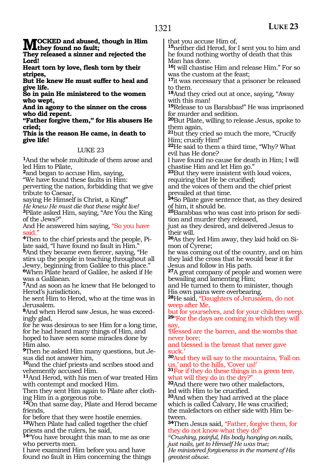**MOCKED** and abused, though in Him<br> **They released a sinner and missted the** 

**They released a sinner and rejected the Lord!** 

**Heart torn by love, flesh torn by their stripes,** 

**But He knew He must suffer to heal and give life.** 

**So in pain He ministered to the women who wept,**

**And in agony to the sinner on the cross who did repent.** 

**"Father forgive them," for His abusers He cried;** 

**This is the reason He came, in death to give life!**

### LUKE 23

**<sup>1</sup>**And the whole multitude of them arose and led Him to Pilate,

**<sup>2</sup>**and began to accuse Him, saying,

"We have found these faults in Him:

perverting the nation, forbidding that we give tribute to Caesar,

saying He Himself is Christ, a King!"

*He knew He must die that these might live!* 

**<sup>3</sup>**Pilate asked Him, saying, "Are You the King of the Jews?"

And He answered him saying, "So you have said."

**4**Then to the chief priests and the people, Pilate said, "I have found no fault in Him." **<sup>5</sup>**And they became even fiercer, saying, "He stirs up the people in teaching throughout all Jewry, beginning from Galilee to this place." **<sup>6</sup>**When Pilate heard of Galilee, he asked if He was a Galilaean.

**<sup>7</sup>**And as soon as he knew that He belonged to Herod's jurisdiction,

he sent Him to Herod, who at the time was in Jerusalem.

**<sup>8</sup>**And when Herod saw Jesus, he was exceed- ingly glad,

for he was desirous to see Him for a long time, for he had heard many things of Him, and hoped to have seen some miracles done by

Him also. **9**Then he asked Him many questions, but Je-<br>sus did not answer him,

**<sup>10</sup>**and the chief priests and scribes stood and vehemently accused Him.

**<sup>11</sup>**And Herod, with his men of war treated Him with contempt and mocked Him.

Then they sent Him again to Pilate after clothing Him in a gorgeous robe.

**<sup>12</sup>**On that same day, Pilate and Herod became friends,

for before that they were hostile enemies. **<sup>13</sup>**When Pilate had called together the chief

priests and the rulers, he said, **<sup>14</sup>**"You have brought this man to me as one

who perverts men.

I have examined Him before you and have found no fault in Him concerning the things that you accuse Him of,

**<sup>15</sup>**neither did Herod, for I sent you to him and he found nothing worthy of death that this Man has done.

**<sup>16</sup>**I will chastise Him and release Him." For so was the custom at the feast;

**<sup>17</sup>**it was necessary that a prisoner be released to them.

**<sup>18</sup>**And they cried out at once, saying, "Away with this man!

**<sup>19</sup>**Release to us Barabbas!" He was imprisoned for murder and sedition.

**<sup>20</sup>**But Pilate, willing to release Jesus, spoke to them again,

**<sup>21</sup>**but they cried so much the more, "Crucify Him; crucify Him!"

**<sup>22</sup>**He said to them a third time, "Why? What evil has He done?

I have found no cause for death in Him; I will chastise Him and let Him go."

**<sup>23</sup>**But they were insistent with loud voices, requiring that He be crucified;

and the voices of them and the chief priest prevailed at that time.

**<sup>24</sup>**So Pilate gave sentence that, as they desired of him, it should be.

**25**Barabbas who was cast into prison for sedition and murder they released,

just as they desired, and delivered Jesus to their will.

**26**As they led Him away, they laid hold on Simon of Cyrene;

he was coming out of the country, and on him they laid the cross that he would bear it for Jesus and follow in His path.

**<sup>27</sup>**A great company of people and women were bewailing and lamenting Him;

and He turned to them to minister, though His own pains were overbearing.

**<sup>28</sup>**He said, "Daughters of Jerusalem, do not weep after Me,

but for yourselves, and for your children weep. **<sup>29</sup>**"For the days are coming in which they will say,

'Blessed are the barren, and the wombs that never bore;

and blessed is the breast that never gave suck.'

**<sup>30</sup>**And they will say to the mountains, 'Fall on us,' and to the hills, 'Cover us!'

**<sup>31</sup>**For if they do these things in a green tree, what will they do in the dry?"

**<sup>32</sup>**And there were two other malefactors, led with Him to be crucified.

**<sup>33</sup>**And when they had arrived at the place which is called Calvary, He was crucified; the malefactors on either side with Him between.

**<sup>34</sup>**Then Jesus said, "Father, forgive them, for they do not know what they do!

*@Crushing, painful, His body hanging on nails, just nails, yet to Himself He was true; He ministered forgiveness in the moment of His greatest abuse.*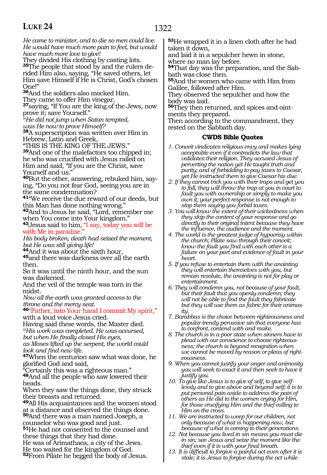1322

*He came to minister, and to die so men could live. He would have much more pain to feel, but would have much more love to give!* 

They divided His clothing by casting lots. **35**The people that stood by and the rulers derided Him also, saying, "He saved others, let Him save Himself if He is Christ, God's chosen One!"

**<sup>36</sup>**And the soldiers also mocked Him.

They came to offer Him vinegar, **<sup>37</sup>**saying, "If You are the king of the Jews, now

prove it; save Yourself."

*@He did not jump when Satan tempted,* 

*was He now to prove Himself?* 

**<sup>38</sup>**A superscription was written over Him in Hebrew, Latin and Greek,

"THIS IS THE KING OF THE JEWS."

**<sup>39</sup>**And one of the malefactors too chipped in; he who was crucified with Jesus railed on Him and said, "If you are the Christ, save Yourself and us."

**40**But the other, answering, rebuked him, saying, "Do you not fear God, seeing you are in the same condemnation?

**<sup>41</sup>**"We receive the due reward of our deeds, but this Man has done nothing wrong."

**<sup>42</sup>**And to Jesus he said, "Lord, remember me when You come into Your kingdom."

**<sup>43</sup>**Jesus said to him, "I say, today you will be with Me in paradise.

*His body broken, death had seized the moment, but He was still giving life!* 

**<sup>44</sup>**And it was about the sixth hour,

**<sup>45</sup>**and there was darkness over all the earth then.

So it was until the ninth hour, and the sun was darkened.

And the veil of the temple was torn in the midst.

*Now all the earth was granted access to the throne and the mercy seat.* 

**<sup>46</sup>**"Father, into Your hand I commit My spirit," with a loud voice Jesus cried.

Having said these words, the Master died. *@His work was completed. He was accursed, but when He finally closed His eyes,*

*as Moses lifted up the serpent, the world could* 

<sup>47</sup>When the centurion saw what was done, he glorified God and said,

"Certainly this was a righteous man." **<sup>48</sup>**And all the people who saw lowered their heads.

When they saw the things done, they struck their breasts and returned.

**<sup>49</sup>**All His acquaintances and the women stood at a distance and observed the things done. **<sup>50</sup>**And there was a man named Joseph, a counselor who was good and just.

**<sup>51</sup>**He had not consented to the counsel and these things that they had done.

He was of Arimathaea, a city of the Jews. He too waited for the kingdom of God.

**<sup>52</sup>**From Pilate he begged the body of Jesus.

**<sup>53</sup>**He wrapped it in a linen cloth after he had taken it down,

and laid it in a sepulcher hewn in stone, where no man lay before.

**54**That day was the preparation, and the Sabbath was close then.

**<sup>55</sup>**And the women who came with Him from Galilee, followed after Him.

They observed the sepulcher and how the body was laid.

**56**They then returned, and spices and ointments they prepared.

Then according to the commandment, they rested on the Sabbath day.

- *1. Conceit vindicates religious envy and makes lying acceptable even if it contradicts the law that validates their religion. They accused Jesus of perverting the nation yet He taught truth and purity; and of forbidding to pay taxes to Caesar, yet He instructed them to give Caesar his due.*
- *2. If they cannot trick you with their traps and get you to fall, they will throw the trap at you in court to fault you with ownership or simply to make you own it; your perfect response is not enough to stop them saying you forbid taxes.*
- *3. You will know the extent of their wickedness when they skip the content of your response and go directly to their original intent because they have the influence, the audience and the moment.*
- *4. The world is the greatest judge of hypocrisy within the church; Pilate saw through their conceit; know the fault you find with each other is a failure on your part and evidence of fault in your heart.*
- *5. If you refuse to entertain them with the anointing they will entertain themselves with you, but remain resolute, the anointing is not for play or entertainment.*
- *6. They will condemn you, not because of your fault, but their fault that you openly condemn; they will not be able to find the fault they fabricate but they will use them as fabric for their animosity.*
- *7. Barabbas is the choice between righteousness and popular trendy pervasive sin that everyone has to confront, contend with and make.*
- *8. The church is in a poor state when sinners have to plead with our conscience to choose righteousness; the church is beyond recognition when we cannot be moved by reason or pleas of righteousness.*
- *9. When you cannot justify your anger and animosity you will seek to exact it and then seek to have it justify you.*
- *10. To give like Jesus is to give of self, to give selflessly and to give above and beyond self; it is to put personal pain aside to address the pain of others as He did to the women crying for Him, for those crucifying Him and the thief calling to Him on the cross.*
- *11. We are instructed to weep for our children, not only because of what is happening now, but because of what is coming to their generations.*
- *12. Not because you lived in sin means you must die in sin; see Jesus and seize the moment like the thief even if it is with your final breath.*
- *13. It is difficult to forgive a painful act even after it is stale; it is Jesus to forgive during the act while*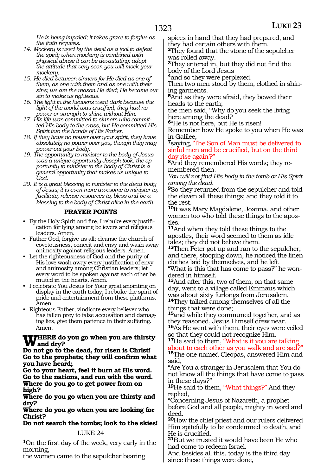*He is being impaled; it takes grace to forgive as the faith requires.* 

- *14. Mockery is used by the devil as a tool to defeat the spirit; when mockery is combined with physical abuse it can be devastating; adopt the attitude that very soon you will mock your mockery.*
- *15. He died between sinners for He died as one of them, as one with them and as one with their sins; we are the reason He died; He became our sin to make us righteous.*
- *16. The light in the heavens went dark because the light of the world was crucified, they had no power or strength to shine without Him.*
- *17. His life was committed to sinners who committed His body to the cross, but He committed His Spirit into the hands of His Father.*
- *18. If they have no power over your spirit, they have absolutely no power over you, though they may power out your body.*
- *19. The opportunity to minister to the body of Jesus was a unique opportunity Joseph took; the opportunity to minister to the body of Christ is a general opportunity that makes us unique to God.*
- *20. It is a great blessing to minister to the dead body of Jesus; it is even more awesome to minister to, facilitate, release resources to, bless and be a blessing to the body of Christ alive in the earth.*

### **PRAYER POINTS**

- By the Holy Spirit and fire, I rebuke every justification for lying among believers and religious leaders. Amen.
- Father God, forgive us all; cleanse the church of covetousness, conceit and envy and wash away animosity against religious leaders. Amen.
- Let the righteousness of God and the purity of His love wash away every justification of envy and animosity among Christian leaders; let every word to be spoken against each other be muted in the hearts. Amen.
- I celebrate You Jesus for Your great anointing on display in the earth today; I rebuke the spirit of pride and entertainment from these platforms. Amen.
- Righteous Father, vindicate every believer who has fallen prey to false accusation and damaging lies, give them patience in their suffering. Amen.

## WHERE do you go when you are thirsty<br> **W** and dry?<br> **Do not go to the dood, for gigon is Christ!**

**Do not go to the dead, for risen is Christ! Go to the prophets; they will confirm what you have heard;**

**Go to your heart, feel it burn at His word. Go to the nations, and run with the word. Where do you go to get power from on high?**

**Where do you go when you are thirsty and dry?**

**Where do you go when you are looking for Christ?**

**Do not search the tombs; look to the skies!** LUKE 24

**<sup>1</sup>**On the first day of the week, very early in the morning,

the women came to the sepulcher bearing

spices in hand that they had prepared, and they had certain others with them.

**<sup>2</sup>**They found that the stone of the sepulcher was rolled away.

**<sup>3</sup>**They entered in, but they did not find the body of the Lord Jesus

**<sup>4</sup>**and so they were perplexed.

Then two men stood by them, clothed in shining garments.

**<sup>5</sup>**And as they were afraid, they bowed their heads to the earth;

the men said, "Why do you seek the living here among the dead?

**<sup>6</sup>**"He is not here, but He is risen!

Remember how He spoke to you when He was in Galilee,

**<sup>7</sup>**saying, 'The Son of Man must be delivered to sinful men and be crucified, but on the third day rise again'?"

**8**And they remembered His words; they remembered then.

*You will not find His body in the tomb or His Spirit among the dead.*

**<sup>9</sup>**So they returned from the sepulcher and told the eleven all these things; and they told it to the rest.

**<sup>10</sup>**It was Mary Magdalene, Joanna, and other women too who told these things to the apostles.

**<sup>11</sup>**And when they told these things to the apostles, their word seemed to them as idle tales; they did not believe them.

**<sup>12</sup>**Then Peter got up and ran to the sepulcher; and there, stooping down, he noticed the linen clothes laid by themselves, and he left.

"What is this that has come to pass?" he wondered in himself.

**<sup>13</sup>**And after this, two of them, on that same day, went to a village called Emmaus which was about sixty furlongs from Jerusalem. **<sup>14</sup>**They talked among themselves of all the

things that were done;

**<sup>15</sup>**and while they communed together, and as they reasoned, Jesus Himself drew near.

**<sup>16</sup>**As He went with them, their eyes were veiled so that they could not recognize Him.

**<sup>17</sup>**He said to them, "What is it you are talking bout to each other as you walk and are sad?" **<sup>18</sup>**The one named Cleopas, answered Him and said,

"Are You a stranger in Jerusalem that You do not know all the things that have come to pass in these days?"

**<sup>19</sup>**He said to them, "What things?" And they replied,

"Concerning Jesus of Nazareth, a prophet before God and all people, mighty in word and deed.

**<sup>20</sup>**How the chief priest and our rulers delivered Him spitefully to be condemned to death, and He is crucified.

**<sup>21</sup>**But we trusted it would have been He who had come to redeem Israel.

And besides all this, today is the third day since these things were done,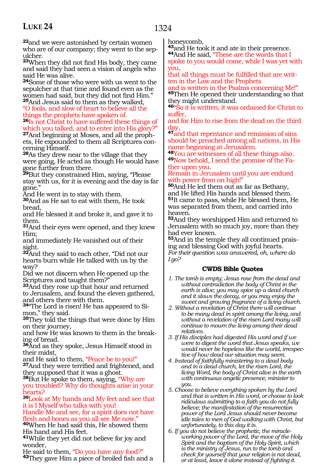**<sup>22</sup>**and we were astonished by certain women who are of our company; they went to the sep-<br>ulcher.

**<sup>23</sup>**When they did not find His body, they came and said they had seen a vision of angels who said He was alive.

**<sup>24</sup>**Some of those who were with us went to the sepulcher at that time and found even as the women had said, but they did not find Him." **<sup>25</sup>**And Jesus said to them as they walked,

"O fools, and slow of heart to believe all the things the prophets have spoken of.

**<sup>26</sup>**Is not Christ to have suffered these things of which you talked, and to enter into His glory?"

**27**And beginning at Moses, and all the prophets, He expounded to them all Scriptures concerning Himself.

**<sup>28</sup>**As they drew near to the village that they were going, He acted as though He would have gone further from there.

**<sup>29</sup>**But they constrained Him, saying, "Please stay with us, for it is evening and the day is far gone."

And He went in to stay with them.

**<sup>30</sup>**And as He sat to eat with them, He took bread,

and He blessed it and broke it, and gave it to them.

**<sup>31</sup>**And their eyes were opened, and they knew Him;

and immediately He vanished out of their sight.

**<sup>32</sup>**And they said to each other, "Did not our hearts burn while He talked with us by the way?

Did we not discern when He opened up the Scriptures and taught them?"

**<sup>33</sup>**And they rose up that hour and returned to Jerusalem, and found the eleven gathered, and others there with them.

**34**"The Lord is risen! He has appeared to Simon," they said.

**<sup>35</sup>**They told the things that were done by Him on their journey,

and how He was known to them in the breaking of bread.

**<sup>36</sup>**And as they spoke, Jesus Himself stood in

their midst,<br>and He said to them, "Peace be to you!"

<sup>37</sup>And they were terrified and frightened, and they supposed that it was a ghost.

**<sup>38</sup>**But He spoke to them, saying, "Why are you troubled? Why do thoughts arise in your hearts?

**<sup>39</sup>**Look at My hands and My feet and see that it is I Myself who talks with you!

Handle Me and see, for a spirit does not have flesh and bones as you all see Me now."

**<sup>40</sup>**When He had said this, He showed them His hand and His feet.

**<sup>41</sup>**While they yet did not believe for joy and

wonder,<br>He said to them, "Do you have any food?" 42They gave Him a piece of broiled fish and a honeycomb,

**<sup>43</sup>**and He took it and ate in their presence. **44**And He said, "These are the words that I 44 And He said, "These are the words that I spoke to you would come, while I was yet with

you,

that all things must be fulfilled that are written in the Law and the Prophets

and is written in the Psalms concerning Me!" **<sup>45</sup>**Then He opened their understanding so that they might understand.

**<sup>46</sup>**"So it is written, it was ordained for Christ to suffer,

and for Him to rise from the dead on the third day,

**<sup>47</sup>**and that repentance and remission of sins should be preached among all nations, in His name beginning at Jerusalem.<br><sup>48</sup>You are witnesses of all these things also.

**49**Now behold, I send the promise of the Fa-<br>ther upon you.

### Remain in Jerusalem until you are endued with power from on high!"

**<sup>50</sup>**And He led them out as far as Bethany, and He lifted His hands and blessed them. **<sup>51</sup>**It came to pass, while He blessed them, He was separated from them, and carried into heaven.

**<sup>52</sup>**And they worshipped Him and returned to Jerusalem with so much joy, more than they had ever known.

**<sup>53</sup>**And in the temple they all continued prais- ing and blessing God with joyful hearts. *For their question was answered, oh, where do I go?*

- *1. The tomb is empty; Jesus rose from the dead and without contradiction the body of Christ in the earth is alive; you may spice up a dead church and it slows the decay, or you may enjoy the sweet and growing fragrance of a living church.*
- *2. Without a revelation of Christ there will continue to be many dead in spirit among the living, and without a revelation of the risen Lord many will continue to mourn the living among their dead relatives.*
- *3. If His disciples had digested His word and if we were to digest the word that Jesus speaks, we would never be hopeless like the world, irrespective of how dead our situation may seem.*
- *4. Instead of faithfully ministering to a dead body and in a dead church, let the risen Lord, the living Word, the body of Christ alive in the earth with continuous angelic presence, minister to you.*
- *5. Choose to believe everything spoken by the Lord and that is written in His word, or choose to look ridiculous submitting to a faith you do not fully believe; the manifestation of the resurrection power of the Lord Jesus should never become idle tales to men of God walking with Christ, but unfortunately, to this day it is.*
- *6. If you do not believe the prophetic, the miracleworking power of the Lord, the move of the Holy Spirit and the baptism of the Holy Spirit, which is the ministry of Jesus, run to the tomb and check for yourself that your religion is not dead, or at least, leave it alone instead of fighting it.*